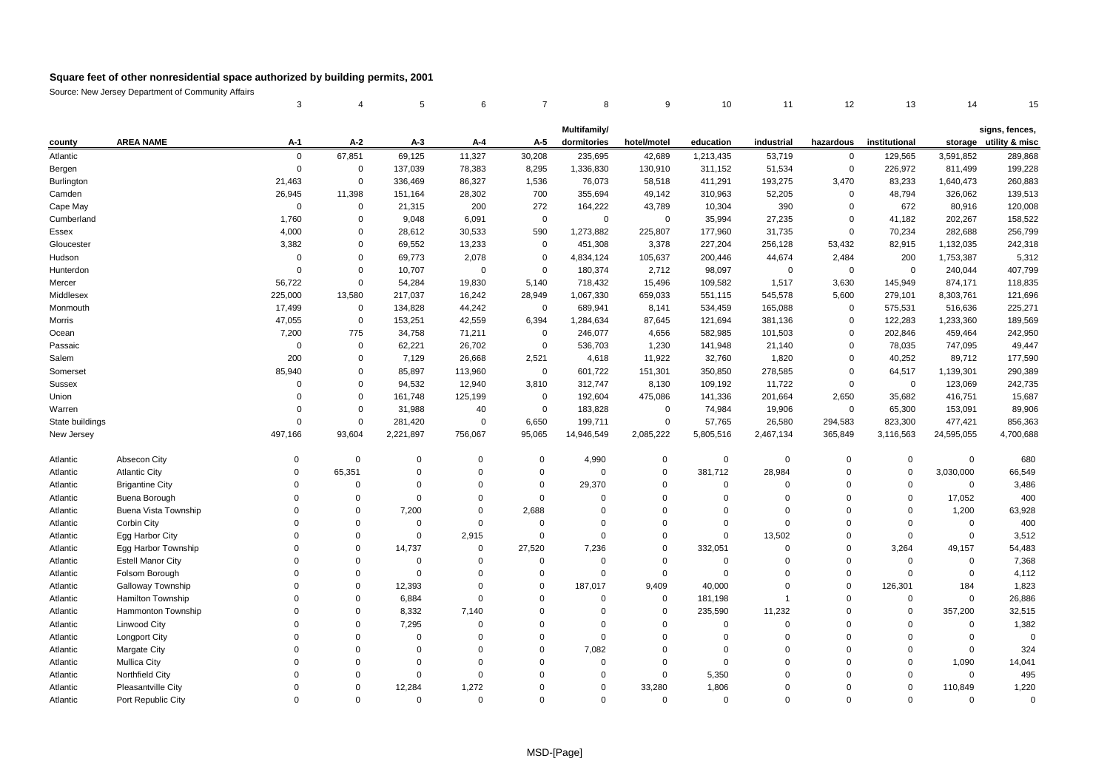|                 |                           | 3           | 4              | 5           | 6           | 7           | 8              | 9           | 10             | 11          | 12          | 13            | 14          | 15                     |
|-----------------|---------------------------|-------------|----------------|-------------|-------------|-------------|----------------|-------------|----------------|-------------|-------------|---------------|-------------|------------------------|
|                 |                           |             |                |             |             |             | Multifamily/   |             |                |             |             |               |             | signs, fences,         |
| county          | <b>AREA NAME</b>          | $A-1$       | $A-2$          | $A-3$       | A-4         | A-5         | dormitories    | hotel/motel | education      | industrial  | hazardous   | institutional |             | storage utility & misc |
| Atlantic        |                           | $\mathsf 0$ | 67,851         | 69,125      | 11,327      | 30,208      | 235,695        | 42,689      | 1,213,435      | 53,719      | $\mathbf 0$ | 129,565       | 3,591,852   | 289,868                |
| Bergen          |                           | $\mathbf 0$ | $\mathbf 0$    | 137,039     | 78,383      | 8,295       | 1,336,830      | 130,910     | 311,152        | 51,534      | $\mathbf 0$ | 226,972       | 811,499     | 199,228                |
| Burlington      |                           | 21,463      | $\mathsf 0$    | 336,469     | 86,327      | 1,536       | 76,073         | 58,518      | 411,291        | 193,275     | 3,470       | 83,233        | 1,640,473   | 260,883                |
| Camden          |                           | 26,945      | 11,398         | 151,164     | 28,302      | 700         | 355,694        | 49,142      | 310,963        | 52,205      | $\mathbf 0$ | 48,794        | 326,062     | 139,513                |
| Cape May        |                           | $\mathbf 0$ | $\mathbf 0$    | 21,315      | 200         | 272         | 164,222        | 43,789      | 10,304         | 390         | 0           | 672           | 80,916      | 120,008                |
| Cumberland      |                           | 1,760       | $\mathbf 0$    | 9,048       | 6,091       | $\mathbf 0$ | $\mathbf 0$    | $\mathbf 0$ | 35,994         | 27,235      | $\mathbf 0$ | 41,182        | 202,267     | 158,522                |
| Essex           |                           | 4,000       | $\mathbf 0$    | 28,612      | 30,533      | 590         | 1,273,882      | 225,807     | 177,960        | 31,735      | $\mathbf 0$ | 70,234        | 282,688     | 256,799                |
| Gloucester      |                           | 3,382       | $\mathbf 0$    | 69,552      | 13,233      | 0           | 451,308        | 3,378       | 227,204        | 256,128     | 53,432      | 82,915        | 1,132,035   | 242,318                |
| Hudson          |                           | $\mathbf 0$ | $\mathbf 0$    | 69,773      | 2,078       | $\mathbf 0$ | 4,834,124      | 105,637     | 200,446        | 44,674      | 2,484       | 200           | 1,753,387   | 5,312                  |
| Hunterdon       |                           | $\mathbf 0$ | $\mathbf 0$    | 10,707      | $\mathbf 0$ | $\Omega$    | 180,374        | 2,712       | 98,097         | $\Omega$    | $\mathbf 0$ | $\mathbf 0$   | 240,044     | 407,799                |
| Mercer          |                           | 56,722      | $\overline{0}$ | 54,284      | 19,830      | 5,140       | 718,432        | 15,496      | 109,582        | 1,517       | 3,630       | 145,949       | 874,171     | 118,835                |
| Middlesex       |                           | 225,000     | 13,580         | 217,037     | 16,242      | 28,949      | 1,067,330      | 659,033     | 551,115        | 545,578     | 5,600       | 279,101       | 8,303,761   | 121,696                |
| Monmouth        |                           | 17,499      | $\mathbf 0$    | 134,828     | 44,242      | 0           | 689,941        | 8,141       | 534,459        | 165,088     | $\mathbf 0$ | 575,531       | 516,636     | 225,271                |
| Morris          |                           | 47,055      | $\mathbf 0$    | 153,251     | 42,559      | 6,394       | 1,284,634      | 87,645      | 121,694        | 381,136     | $\mathbf 0$ | 122,283       | 1,233,360   | 189,569                |
| Ocean           |                           | 7,200       | 775            | 34,758      | 71,211      | $\mathbf 0$ | 246,077        | 4,656       | 582,985        | 101,503     | $\mathbf 0$ | 202,846       | 459,464     | 242,950                |
| Passaic         |                           | $\mathbf 0$ | $\mathbf 0$    | 62,221      | 26,702      | 0           | 536,703        | 1,230       | 141,948        | 21,140      | $\mathbf 0$ | 78,035        | 747,095     | 49,447                 |
| Salem           |                           | 200         | $\mathbf 0$    | 7,129       | 26,668      | 2,521       | 4,618          | 11,922      | 32,760         | 1,820       | $\Omega$    | 40,252        | 89,712      | 177,590                |
| Somerset        |                           | 85,940      | $\mathbf 0$    | 85,897      | 113,960     | $\Omega$    | 601,722        | 151,301     | 350,850        | 278,585     | $\mathbf 0$ | 64,517        | 1,139,301   | 290,389                |
| <b>Sussex</b>   |                           | $\Omega$    | $\mathbf 0$    | 94,532      | 12,940      | 3,810       | 312,747        | 8,130       | 109,192        | 11,722      | $\Omega$    | $\mathbf 0$   | 123,069     | 242,735                |
| Union           |                           | $\Omega$    | $\mathbf 0$    | 161,748     | 125,199     | 0           | 192,604        | 475,086     | 141,336        | 201,664     | 2,650       | 35,682        | 416,751     | 15,687                 |
| Warren          |                           | $\Omega$    | $\mathbf 0$    | 31,988      | 40          | $\mathbf 0$ | 183,828        | $\mathbf 0$ | 74,984         | 19,906      | $\mathbf 0$ | 65,300        | 153,091     | 89,906                 |
| State buildings |                           | $\Omega$    | $\mathbf 0$    | 281,420     | 0           | 6,650       | 199,711        | $\mathbf 0$ | 57,765         | 26,580      | 294,583     | 823,300       | 477,421     | 856,363                |
| New Jersey      |                           | 497,166     | 93,604         | 2,221,897   | 756,067     | 95,065      | 14,946,549     | 2,085,222   | 5,805,516      | 2,467,134   | 365,849     | 3,116,563     | 24,595,055  | 4,700,688              |
|                 |                           |             |                |             |             |             |                |             |                |             |             |               |             |                        |
| Atlantic        | Absecon City              | $\Omega$    | $\overline{0}$ | $\Omega$    | $\mathbf 0$ | $\Omega$    | 4,990          | 0           | $\mathbf 0$    | $\Omega$    | $\mathbf 0$ | $\Omega$      | $\mathbf 0$ | 680                    |
| Atlantic        | <b>Atlantic City</b>      | $\mathbf 0$ | 65,351         | $\Omega$    | $\mathbf 0$ | $\Omega$    | $\mathbf 0$    | 0           | 381,712        | 28,984      | $\mathbf 0$ | $\mathbf 0$   | 3,030,000   | 66,549                 |
| Atlantic        | <b>Brigantine City</b>    | $\Omega$    | $\Omega$       | $\Omega$    | $\mathbf 0$ | $\Omega$    | 29,370         | $\mathbf 0$ | $\mathbf 0$    | $\Omega$    | $\Omega$    | $\Omega$      | $\mathbf 0$ | 3,486                  |
| Atlantic        | Buena Borough             | $\Omega$    | $\Omega$       | $\Omega$    | $\mathbf 0$ | $\mathbf 0$ | $\Omega$       | 0           | $\mathbf 0$    | $\Omega$    | $\mathbf 0$ | $\Omega$      | 17,052      | 400                    |
| Atlantic        | Buena Vista Township      | $\Omega$    | $\Omega$       | 7,200       | $\mathbf 0$ | 2,688       | $\Omega$       | $\Omega$    | $\Omega$       | $\Omega$    | $\Omega$    | $\Omega$      | 1,200       | 63,928                 |
| Atlantic        | Corbin City               | $\Omega$    | $\Omega$       | $\mathbf 0$ | $\mathbf 0$ | $\mathbf 0$ | $\overline{0}$ | 0           | $\mathbf 0$    | $\Omega$    | $\mathbf 0$ | $\mathbf 0$   | $\mathbf 0$ | 400                    |
| Atlantic        | Egg Harbor City           | $\Omega$    | $\Omega$       | $\Omega$    | 2,915       | $\mathbf 0$ | $\mathbf 0$    | 0           | $\mathbf 0$    | 13,502      | $\mathbf 0$ | $\Omega$      | $\Omega$    | 3,512                  |
| Atlantic        | Egg Harbor Township       | $\Omega$    | $\Omega$       | 14,737      | $\mathbf 0$ | 27,520      | 7,236          | $\mathbf 0$ | 332,051        | $\Omega$    | $\mathbf 0$ | 3,264         | 49,157      | 54,483                 |
| Atlantic        | <b>Estell Manor City</b>  | $\Omega$    | $\Omega$       | $\Omega$    | $\mathbf 0$ | $\mathbf 0$ | $\mathbf 0$    | 0           | $\mathbf 0$    | $\Omega$    | $\Omega$    | $\Omega$      | $\Omega$    | 7,368                  |
| Atlantic        | Folsom Borough            | $\Omega$    | $\mathbf 0$    | $\mathbf 0$ | $\mathbf 0$ | $\mathbf 0$ | $\mathbf 0$    | $\mathbf 0$ | $\mathbf 0$    | $\mathbf 0$ | $\mathbf 0$ | $\Omega$      | $\mathbf 0$ | 4,112                  |
| Atlantic        | Galloway Township         | $\Omega$    | $\Omega$       | 12,393      | $\mathbf 0$ | $\mathbf 0$ | 187,017        | 9,409       | 40,000         | $\Omega$    | $\mathbf 0$ | 126,301       | 184         | 1,823                  |
| Atlantic        | Hamilton Township         | $\Omega$    | $\Omega$       | 6,884       | $\mathbf 0$ | $\Omega$    | $\mathbf 0$    | 0           | 181,198        | 1           | $\mathbf 0$ | $\mathbf 0$   | $\mathbf 0$ | 26,886                 |
| Atlantic        | Hammonton Township        | $\Omega$    | $\Omega$       | 8,332       | 7,140       | $\Omega$    | $\Omega$       | 0           | 235,590        | 11,232      | $\mathbf 0$ | $\Omega$      | 357,200     | 32,515                 |
| Atlantic        | Linwood City              | $\Omega$    | $\Omega$       | 7,295       | $\mathbf 0$ | $\Omega$    | $\mathbf 0$    | $\mathbf 0$ | $\overline{0}$ | $\mathbf 0$ | $\Omega$    | $\Omega$      | $\Omega$    | 1,382                  |
| Atlantic        | <b>Longport City</b>      | $\Omega$    | $\Omega$       | $\Omega$    | $\Omega$    | $\Omega$    | $\mathbf 0$    | $\mathbf 0$ | $\Omega$       | $\Omega$    | $\mathbf 0$ | $\Omega$      | $\Omega$    | $\Omega$               |
| Atlantic        | Margate City              | $\Omega$    | $\Omega$       | $\Omega$    | $\mathbf 0$ | $\Omega$    | 7,082          | 0           | $\Omega$       | $\Omega$    | $\Omega$    | $\Omega$      | $\Omega$    | 324                    |
| Atlantic        | <b>Mullica City</b>       | $\Omega$    | $\Omega$       | $\Omega$    | $\mathbf 0$ | $\Omega$    | $\mathbf 0$    | 0           | $\Omega$       | $\Omega$    | $\Omega$    | $\Omega$      | 1,090       | 14,041                 |
| Atlantic        | Northfield City           | $\Omega$    | $\Omega$       | $\Omega$    | $\mathbf 0$ | $\Omega$    | $\mathbf 0$    | $\mathbf 0$ | 5,350          | $\Omega$    | $\Omega$    | $\Omega$      | $\Omega$    | 495                    |
| Atlantic        | <b>Pleasantville City</b> | $\Omega$    | $\Omega$       | 12,284      | 1,272       | $\Omega$    | $\Omega$       | 33,280      | 1,806          | $\Omega$    | $\Omega$    | $\Omega$      | 110,849     | 1,220                  |
| Atlantic        | Port Republic City        | $\Omega$    | $\Omega$       | $\Omega$    | $\Omega$    | $\Omega$    | $\Omega$       | $\Omega$    | $\Omega$       | $\Omega$    | $\Omega$    | $\Omega$      | $\Omega$    | $\Omega$               |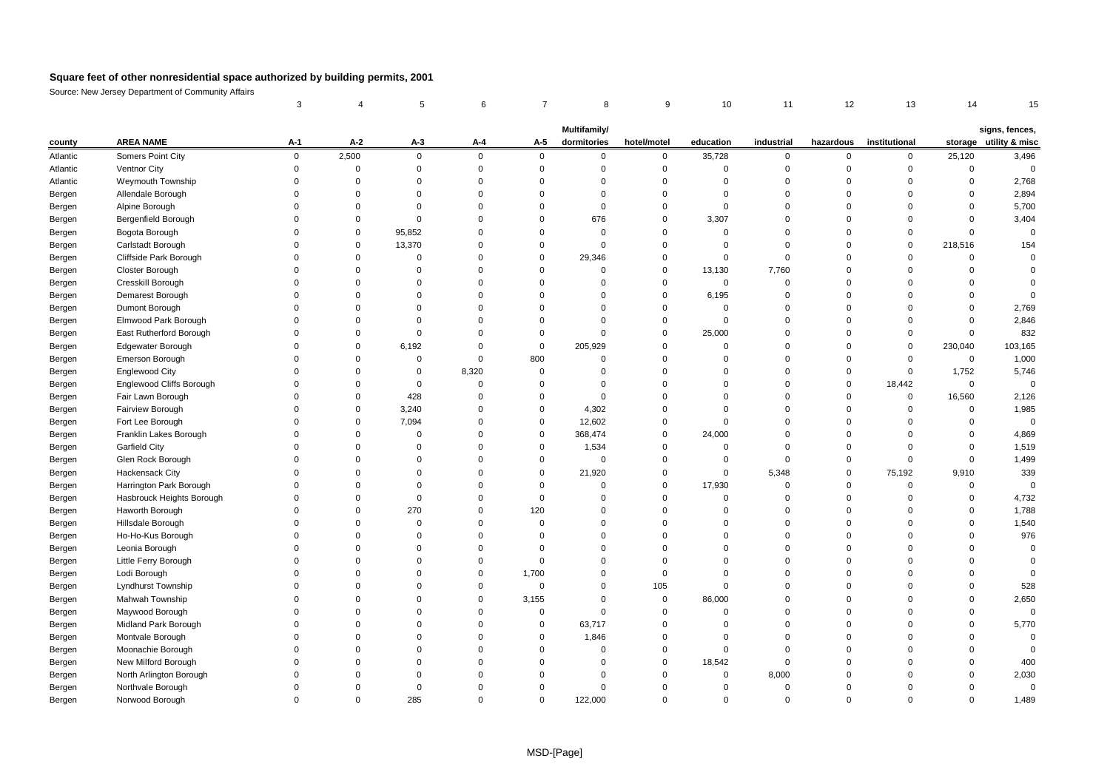|          |                           | 3        | 4           | 5           | 6              | 7           | 8                           | 9           | 10          | 11         | 12          | 13            | 14          | 15                                       |
|----------|---------------------------|----------|-------------|-------------|----------------|-------------|-----------------------------|-------------|-------------|------------|-------------|---------------|-------------|------------------------------------------|
|          |                           |          |             |             |                |             |                             |             |             |            |             |               |             |                                          |
| county   | <b>AREA NAME</b>          | $A-1$    | $A-2$       | $A-3$       | $A - 4$        | A-5         | Multifamily/<br>dormitories | hotel/motel | education   | industrial | hazardous   | institutional |             | signs, fences,<br>storage utility & misc |
| Atlantic | Somers Point City         | 0        | 2,500       | $\mathsf 0$ | $\mathbf 0$    | $\mathbf 0$ | $\mathbf 0$                 | 0           | 35,728      | 0          | 0           | 0             | 25,120      | 3,496                                    |
| Atlantic | Ventnor City              | $\Omega$ | $\Omega$    | $\mathbf 0$ | $\overline{0}$ | $\Omega$    | $\Omega$                    | $\mathbf 0$ | $\mathbf 0$ | $\Omega$   | $\mathbf 0$ | $\Omega$      | $\Omega$    | $\overline{0}$                           |
| Atlantic | Weymouth Township         | $\Omega$ | $\mathbf 0$ | $\Omega$    | $\mathbf 0$    | $\Omega$    | $\Omega$                    | $\mathbf 0$ | $\mathbf 0$ | $\Omega$   | $\mathbf 0$ | $\Omega$      | $\mathbf 0$ | 2,768                                    |
| Bergen   | Allendale Borough         | $\Omega$ | $\Omega$    | $\mathbf 0$ | $\Omega$       | $\Omega$    | $\Omega$                    | $\mathbf 0$ | $\mathbf 0$ | $\Omega$   | $\Omega$    | $\Omega$      | $\Omega$    | 2,894                                    |
| Bergen   | Alpine Borough            | $\Omega$ | 0           | $\mathbf 0$ | $\mathbf 0$    | $\Omega$    | $\mathbf 0$                 | $\mathbf 0$ | $\mathbf 0$ | $\Omega$   | $\mathbf 0$ | $\Omega$      | $\mathbf 0$ | 5,700                                    |
| Bergen   | Bergenfield Borough       | $\Omega$ | $\Omega$    | $\mathbf 0$ | $\mathbf 0$    | $\Omega$    | 676                         | $\mathbf 0$ | 3,307       | $\Omega$   | $\Omega$    | $\Omega$      | $\mathbf 0$ | 3,404                                    |
| Bergen   | Bogota Borough            | $\Omega$ | 0           | 95,852      | $\mathbf 0$    | $\Omega$    | $\Omega$                    | 0           | 0           | $\Omega$   | $\Omega$    | $\Omega$      | $\Omega$    | $\overline{0}$                           |
| Bergen   | Carlstadt Borough         | $\Omega$ | $\Omega$    | 13,370      | $\mathbf 0$    | $\Omega$    | $\Omega$                    | $\mathbf 0$ | $\Omega$    | $\Omega$   | $\Omega$    | $\Omega$      | 218,516     | 154                                      |
| Bergen   | Cliffside Park Borough    | $\Omega$ | $\Omega$    | $\mathbf 0$ | $\mathbf 0$    | $\Omega$    | 29,346                      | $\mathbf 0$ | $\mathbf 0$ | $\Omega$   | $\Omega$    | $\Omega$      | $\Omega$    | $\Omega$                                 |
| Bergen   | Closter Borough           |          | $\Omega$    | $\Omega$    | $\Omega$       | $\Omega$    | O                           | $\mathbf 0$ | 13,130      | 7,760      | $\Omega$    | $\Omega$      | $\Omega$    | $\Omega$                                 |
| Bergen   | Cresskill Borough         | $\Omega$ | $\Omega$    | $\mathbf 0$ | $\overline{0}$ | $\Omega$    | $\Omega$                    | $\mathbf 0$ | $\mathbf 0$ | $\Omega$   | $\Omega$    | $\Omega$      | $\Omega$    | $\Omega$                                 |
| Bergen   | Demarest Borough          | $\Omega$ | $\Omega$    | $\mathbf 0$ | $\overline{0}$ | $\Omega$    | $\Omega$                    | $\mathbf 0$ | 6,195       | $\Omega$   | $\Omega$    | $\Omega$      | $\Omega$    | $\Omega$                                 |
| Bergen   | Dumont Borough            | $\Omega$ | $\Omega$    | $\mathbf 0$ | $\overline{0}$ | $\Omega$    | $\Omega$                    | $\mathbf 0$ | $\mathbf 0$ | $\Omega$   | $\Omega$    | $\Omega$      | $\Omega$    | 2,769                                    |
| Bergen   | Elmwood Park Borough      | $\Omega$ | $\Omega$    | $\mathbf 0$ | $\overline{0}$ | $\Omega$    | $\Omega$                    | $\mathbf 0$ | $\mathbf 0$ | $\Omega$   | $\Omega$    | $\Omega$      | $\Omega$    | 2,846                                    |
| Bergen   | East Rutherford Borough   | $\Omega$ | $\Omega$    | $\mathbf 0$ | $\mathbf 0$    | $\Omega$    | $\Omega$                    | $\mathbf 0$ | 25,000      | 0          | $\Omega$    | $\mathbf 0$   | $\mathbf 0$ | 832                                      |
| Bergen   | <b>Edgewater Borough</b>  | $\Omega$ | $\Omega$    | 6,192       | $\mathbf 0$    | $\mathbf 0$ | 205,929                     | $\mathbf 0$ | $\mathbf 0$ | $\Omega$   | $\Omega$    | $\Omega$      | 230,040     | 103,165                                  |
| Bergen   | Emerson Borough           |          | $\Omega$    | $\mathbf 0$ | $\mathbf 0$    | 800         | $\Omega$                    | $\Omega$    | $\Omega$    | $\Omega$   | $\mathbf 0$ | $\Omega$      | $\mathbf 0$ | 1,000                                    |
| Bergen   | <b>Englewood City</b>     | $\Omega$ | $\Omega$    | $\mathbf 0$ | 8,320          | $\mathbf 0$ | $\Omega$                    | $\Omega$    | $\Omega$    | $\Omega$   | $\Omega$    | $\Omega$      | 1,752       | 5,746                                    |
| Bergen   | Englewood Cliffs Borough  |          | $\Omega$    | $\mathbf 0$ | $\mathbf 0$    | $\Omega$    | $\Omega$                    | $\mathbf 0$ | $\mathbf 0$ | $\Omega$   | $\mathbf 0$ | 18,442        | $\mathbf 0$ | $\Omega$                                 |
| Bergen   | Fair Lawn Borough         | $\Omega$ | $\Omega$    | 428         | $\mathbf 0$    | $\Omega$    | $\Omega$                    | $\mathbf 0$ | $\mathbf 0$ | $\Omega$   | $\Omega$    | $\mathbf 0$   | 16,560      | 2,126                                    |
| Bergen   | Fairview Borough          | $\Omega$ | $\Omega$    | 3,240       | $\mathbf 0$    | $\Omega$    | 4,302                       | $\mathbf 0$ | $\mathbf 0$ | $\Omega$   | $\Omega$    | $\Omega$      | $\mathbf 0$ | 1,985                                    |
| Bergen   | Fort Lee Borough          | $\Omega$ | $\Omega$    | 7,094       | $\Omega$       | $\Omega$    | 12,602                      | $\mathbf 0$ | $\mathbf 0$ | $\Omega$   | $\Omega$    | $\Omega$      | $\Omega$    | $\overline{0}$                           |
| Bergen   | Franklin Lakes Borough    | $\Omega$ | $\Omega$    | $\mathbf 0$ | $\mathbf 0$    | $\Omega$    | 368,474                     | $\mathbf 0$ | 24,000      | $\Omega$   | $\mathbf 0$ | $\Omega$      | $\Omega$    | 4,869                                    |
| Bergen   | Garfield City             |          | $\Omega$    | $\Omega$    | $\Omega$       | $\Omega$    | 1,534                       | $\Omega$    | $\mathbf 0$ | $\Omega$   | $\Omega$    | $\Omega$      | $\Omega$    | 1,519                                    |
| Bergen   | Glen Rock Borough         | $\Omega$ | $\Omega$    | $\Omega$    | $\overline{0}$ | $\Omega$    | O                           | $\mathbf 0$ | $\mathbf 0$ | $\Omega$   | $\mathbf 0$ | $\Omega$      | $\Omega$    | 1,499                                    |
| Bergen   | Hackensack City           | $\Omega$ | $\Omega$    | $\mathbf 0$ | $\overline{0}$ | $\Omega$    | 21,920                      | $\mathbf 0$ | $\mathbf 0$ | 5,348      | $\mathbf 0$ | 75,192        | 9,910       | 339                                      |
| Bergen   | Harrington Park Borough   | $\Omega$ | $\Omega$    | $\mathbf 0$ | $\mathbf 0$    | $\Omega$    | $\mathbf 0$                 | $\mathbf 0$ | 17,930      | $\Omega$   | $\mathbf 0$ | $\Omega$      | $\mathbf 0$ | $\overline{0}$                           |
| Bergen   | Hasbrouck Heights Borough | $\Omega$ | $\mathbf 0$ | $\mathbf 0$ | $\overline{0}$ | $\mathbf 0$ | $\Omega$                    | $\mathbf 0$ | $\mathbf 0$ | $\Omega$   | $\Omega$    | $\Omega$      | $\Omega$    | 4,732                                    |
| Bergen   | Haworth Borough           | $\Omega$ | $\mathbf 0$ | 270         | $\mathbf 0$    | 120         | $\mathbf 0$                 | $\mathbf 0$ | $\mathbf 0$ | 0          | $\Omega$    | $\Omega$      | $\mathbf 0$ | 1,788                                    |
| Bergen   | Hillsdale Borough         | $\Omega$ | $\Omega$    | $\mathbf 0$ | $\overline{0}$ | $\mathbf 0$ | $\Omega$                    | $\mathbf 0$ | $\mathbf 0$ | $\Omega$   | $\Omega$    | $\Omega$      | $\mathbf 0$ | 1,540                                    |
| Bergen   | Ho-Ho-Kus Borough         |          | $\Omega$    | $\mathbf 0$ | $\Omega$       | $\Omega$    | $\Omega$                    | $\Omega$    | $\Omega$    | $\Omega$   | $\Omega$    | $\Omega$      | $\Omega$    | 976                                      |
| Bergen   | Leonia Borough            | $\Omega$ | $\Omega$    | $\Omega$    | $\overline{0}$ | $\Omega$    | $\Omega$                    | $\Omega$    | $\Omega$    | $\Omega$   | $\Omega$    | $\Omega$      | $\Omega$    | $\Omega$                                 |
| Bergen   | Little Ferry Borough      | $\Omega$ | $\Omega$    | $\mathbf 0$ | $\mathbf 0$    | $\mathbf 0$ | $\Omega$                    | $\mathbf 0$ | $\mathbf 0$ | $\Omega$   | $\Omega$    | $\Omega$      | $\Omega$    | $\Omega$                                 |
| Bergen   | Lodi Borough              | $\Omega$ | $\Omega$    | $\mathbf 0$ | $\mathbf 0$    | 1,700       | $\Omega$                    | $\mathbf 0$ | $\mathbf 0$ | $\Omega$   | $\Omega$    | $\Omega$      | $\Omega$    | $\mathbf 0$                              |
| Bergen   | Lyndhurst Township        | $\Omega$ | $\Omega$    | $\mathbf 0$ | $\mathbf 0$    | $\mathbf 0$ | $\Omega$                    | 105         | $\mathbf 0$ | $\Omega$   | $\mathbf 0$ | $\Omega$      | $\Omega$    | 528                                      |
| Bergen   | Mahwah Township           | $\Omega$ | $\Omega$    | $\mathbf 0$ | $\mathbf 0$    | 3,155       | $\Omega$                    | $\mathbf 0$ | 86,000      | $\Omega$   | $\Omega$    | $\Omega$      | $\mathbf 0$ | 2,650                                    |
| Bergen   | Maywood Borough           | $\Omega$ | $\Omega$    | $\mathbf 0$ | $\mathbf 0$    | 0           | $\Omega$                    | $\mathbf 0$ | $\mathbf 0$ | 0          | $\Omega$    | $\Omega$      | $\Omega$    | $\Omega$                                 |
| Bergen   | Midland Park Borough      |          | $\Omega$    | $\mathbf 0$ | $\overline{0}$ | $\Omega$    | 63,717                      | $\mathbf 0$ | $\Omega$    | $\Omega$   | $\Omega$    | $\Omega$      | $\Omega$    | 5,770                                    |
| Bergen   | Montvale Borough          |          | $\Omega$    | $\Omega$    | $\Omega$       | $\Omega$    | 1,846                       | $\Omega$    | $\mathbf 0$ | $\Omega$   | $\Omega$    | $\Omega$      | $\Omega$    | $\Omega$                                 |
| Bergen   | Moonachie Borough         |          | $\Omega$    | $\Omega$    | $\Omega$       | $\Omega$    | $\Omega$                    | $\mathbf 0$ | $\mathbf 0$ | $\Omega$   | $\Omega$    | $\Omega$      | $\Omega$    | $\Omega$                                 |
| Bergen   | New Milford Borough       | $\Omega$ | $\Omega$    | $\mathbf 0$ | $\overline{0}$ | $\Omega$    | $\Omega$                    | $\mathbf 0$ | 18,542      | $\Omega$   | $\Omega$    | $\Omega$      | $\Omega$    | 400                                      |
| Bergen   | North Arlington Borough   |          | $\Omega$    | $\mathbf 0$ | $\Omega$       | $\Omega$    | $\Omega$                    | $\mathbf 0$ | $\mathbf 0$ | 8,000      | $\Omega$    | $\Omega$      | $\Omega$    | 2,030                                    |
| Bergen   | Northvale Borough         | $\Omega$ | $\Omega$    | $\Omega$    | $\Omega$       | $\Omega$    | $\Omega$                    | $\Omega$    | $\mathbf 0$ | $\Omega$   | $\Omega$    | $\Omega$      | $\Omega$    | $\pmb{0}$                                |
| Bergen   | Norwood Borough           | $\Omega$ | $\Omega$    | 285         | $\Omega$       | $\Omega$    | 122.000                     | $\Omega$    | $\Omega$    | $\Omega$   | $\Omega$    | O             | $\Omega$    | 1,489                                    |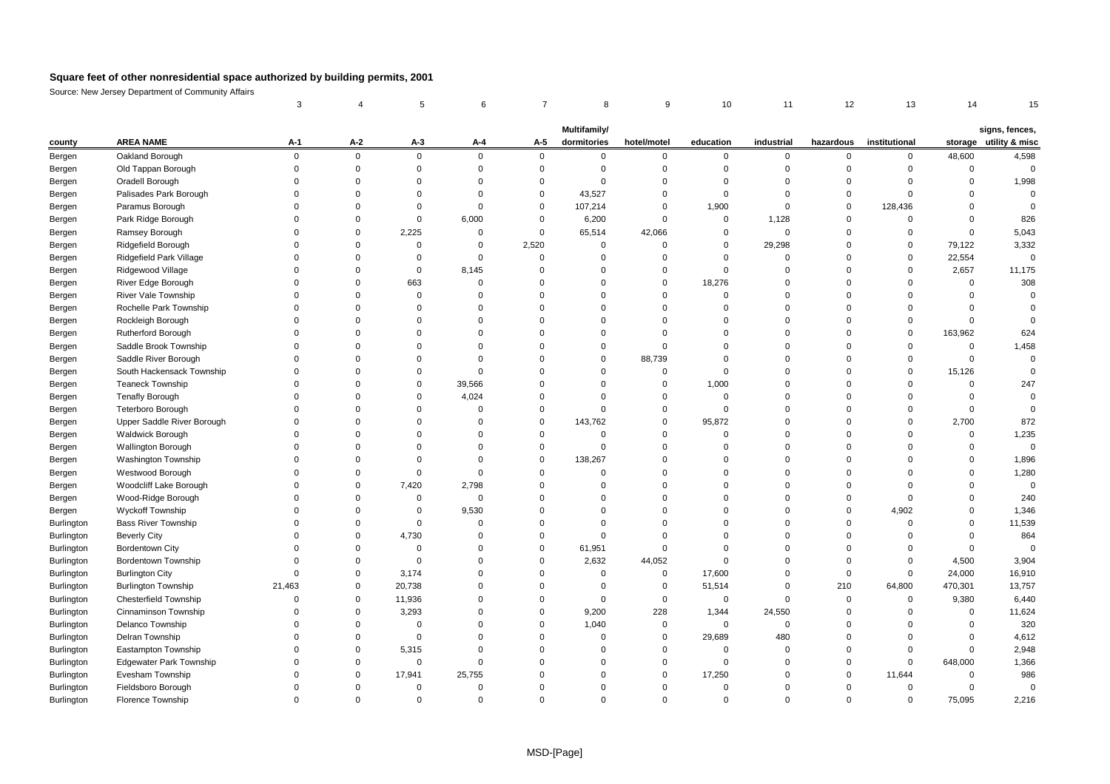|            |                                | 3           | $\overline{4}$ | 5           | 6              | 7           | 8                           | 9           | 10          | 11          | 12          | 13            | 14             | 15                                       |
|------------|--------------------------------|-------------|----------------|-------------|----------------|-------------|-----------------------------|-------------|-------------|-------------|-------------|---------------|----------------|------------------------------------------|
|            |                                |             |                |             |                |             |                             |             |             |             |             |               |                |                                          |
| county     | <b>AREA NAME</b>               | $A-1$       | $A-2$          | $A-3$       | A-4            | A-5         | Multifamily/<br>dormitories | hotel/motel | education   | industrial  | hazardous   | institutional |                | signs, fences,<br>storage utility & misc |
| Bergen     | Oakland Borough                | $\mathbf 0$ | $\mathbf 0$    | $\mathbf 0$ | $\mathbf 0$    | $\mathbf 0$ | $\mathbf 0$                 | 0           | $\mathbf 0$ | 0           | 0           | 0             | 48,600         | 4,598                                    |
| Bergen     | Old Tappan Borough             | $\Omega$    | $\mathbf 0$    | $\mathbf 0$ | $\mathbf 0$    | $\Omega$    | $\Omega$                    | $\Omega$    | $\mathbf 0$ | $\Omega$    | $\mathbf 0$ | $\mathbf 0$   | $\Omega$       | $\Omega$                                 |
| Bergen     | Oradell Borough                | $\Omega$    | $\Omega$       | $\Omega$    | $\overline{0}$ | $\Omega$    | $\Omega$                    | $\Omega$    | $\mathbf 0$ | $\Omega$    | $\mathbf 0$ | $\Omega$      | $\mathbf 0$    | 1,998                                    |
| Bergen     | Palisades Park Borough         | $\Omega$    | $\Omega$       | $\Omega$    | $\Omega$       | $\Omega$    | 43,527                      | $\mathbf 0$ | $\Omega$    | $\Omega$    | $\mathbf 0$ | $\Omega$      | $\Omega$       | $\mathbf 0$                              |
| Bergen     | Paramus Borough                | $\Omega$    | $\Omega$       | $\mathbf 0$ | $\mathbf 0$    | $\Omega$    | 107,214                     | $\mathbf 0$ | 1,900       | $\mathbf 0$ | $\mathbf 0$ | 128,436       | $\mathbf 0$    | $\mathbf 0$                              |
| Bergen     | Park Ridge Borough             | $\Omega$    | $\Omega$       | $\mathsf 0$ | 6,000          | $\Omega$    | 6,200                       | $\mathbf 0$ | $\mathbf 0$ | 1,128       | $\mathbf 0$ | $\mathbf 0$   | $\mathbf 0$    | 826                                      |
| Bergen     | Ramsey Borough                 | $\Omega$    | $\Omega$       | 2,225       | $\mathbf 0$    | $\mathbf 0$ | 65,514                      | 42,066      | $\mathbf 0$ | $\mathbf 0$ | $\mathbf 0$ | $\mathbf 0$   | $\Omega$       | 5,043                                    |
| Bergen     | Ridgefield Borough             | $\Omega$    | $\mathbf 0$    | $\mathbf 0$ | $\pmb{0}$      | 2,520       | $\overline{0}$              | $\mathbf 0$ | $\mathbf 0$ | 29,298      | $\mathbf 0$ | $\mathbf 0$   | 79,122         | 3,332                                    |
| Bergen     | Ridgefield Park Village        | $\Omega$    | $\Omega$       | $\mathbf 0$ | $\overline{0}$ | $\Omega$    | $\Omega$                    | $\mathbf 0$ | $\mathbf 0$ | $\Omega$    | $\Omega$    | $\mathbf 0$   | 22,554         | $\Omega$                                 |
| Bergen     | Ridgewood Village              | $\Omega$    | $\Omega$       | $\mathsf 0$ | 8,145          | $\Omega$    | $\Omega$                    | $\Omega$    | $\mathbf 0$ | $\Omega$    | $\Omega$    | $\Omega$      | 2,657          | 11,175                                   |
| Bergen     | River Edge Borough             | $\Omega$    | $\Omega$       | 663         | $\overline{0}$ | $\Omega$    | $\Omega$                    | $\mathbf 0$ | 18,276      | $\Omega$    | $\Omega$    | $\Omega$      | $\mathbf 0$    | 308                                      |
| Bergen     | River Vale Township            | $\Omega$    | $\mathbf 0$    | $\mathbf 0$ | $\mathbf 0$    | $\Omega$    | $\Omega$                    | $\mathbf 0$ | $\mathbf 0$ | $\mathbf 0$ | $\mathbf 0$ | $\mathbf 0$   | $\mathbf 0$    | $\Omega$                                 |
| Bergen     | Rochelle Park Township         | $\Omega$    | $\Omega$       | $\Omega$    | $\overline{0}$ | $\Omega$    | $\Omega$                    | $\mathbf 0$ | $\mathbf 0$ | $\Omega$    | $\mathbf 0$ | $\mathbf 0$   | $\Omega$       | $\Omega$                                 |
| Bergen     | Rockleigh Borough              |             | $\Omega$       | $\mathbf 0$ | $\mathbf 0$    | $\Omega$    | $\Omega$                    | $\Omega$    | $\Omega$    | $\Omega$    | $\mathbf 0$ | $\mathbf 0$   | $\Omega$       | $\Omega$                                 |
| Bergen     | Rutherford Borough             | $\Omega$    | $\Omega$       | $\Omega$    | $\Omega$       | $\Omega$    | $\Omega$                    | $\mathbf 0$ | $\Omega$    | $\Omega$    | $\mathbf 0$ | $\mathbf 0$   | 163,962        | 624                                      |
| Bergen     | Saddle Brook Township          | $\Omega$    | $\Omega$       | $\mathbf 0$ | $\mathbf 0$    | $\Omega$    | $\Omega$                    | $\mathbf 0$ | $\mathbf 0$ | $\Omega$    | $\Omega$    | $\mathbf 0$   | $\mathbf 0$    | 1,458                                    |
| Bergen     | Saddle River Borough           | $\Omega$    | $\Omega$       | $\mathbf 0$ | $\mathbf 0$    | $\Omega$    | $\Omega$                    | 88,739      | $\Omega$    | $\Omega$    | $\Omega$    | $\mathbf 0$   | $\mathbf 0$    | $\mathbf 0$                              |
| Bergen     | South Hackensack Township      | $\Omega$    | $\Omega$       | $\Omega$    | $\overline{0}$ | $\Omega$    | $\Omega$                    | $\mathbf 0$ | $\mathbf 0$ | $\Omega$    | $\Omega$    | $\Omega$      | 15,126         | $\Omega$                                 |
| Bergen     | <b>Teaneck Township</b>        | $\Omega$    | $\Omega$       | $\mathbf 0$ | 39,566         | $\Omega$    | $\Omega$                    | $\mathbf 0$ | 1,000       | $\mathbf 0$ | $\mathbf 0$ | $\mathbf 0$   | $\Omega$       | 247                                      |
| Bergen     | <b>Tenafly Borough</b>         | $\Omega$    | $\Omega$       | $\mathbf 0$ | 4,024          | $\Omega$    | $\Omega$                    | $\mathbf 0$ | $\mathbf 0$ | $\mathbf 0$ | $\mathbf 0$ | $\mathbf 0$   | $\Omega$       | $\mathbf 0$                              |
| Bergen     | <b>Teterboro Borough</b>       | $\Omega$    | $\Omega$       | $\Omega$    | $\overline{0}$ | $\Omega$    | $\Omega$                    | $\Omega$    | $\Omega$    | $\Omega$    | $\Omega$    | $\Omega$      | $\Omega$       | $\Omega$                                 |
| Bergen     | Upper Saddle River Borough     | $\Omega$    | $\Omega$       | $\mathbf 0$ | $\mathbf 0$    | $\Omega$    | 143,762                     | $\mathbf 0$ | 95,872      | $\Omega$    | $\Omega$    | 0             | 2,700          | 872                                      |
| Bergen     | <b>Waldwick Borough</b>        | $\Omega$    | $\Omega$       | $\Omega$    | $\overline{0}$ | $\Omega$    | $\Omega$                    | $\Omega$    | $\mathbf 0$ | $\Omega$    | $\Omega$    | $\mathbf 0$   | $\Omega$       | 1,235                                    |
| Bergen     | <b>Wallington Borough</b>      | $\Omega$    | $\Omega$       | $\mathbf 0$ | $\mathbf 0$    | $\Omega$    | $\Omega$                    | $\Omega$    | $\Omega$    | $\Omega$    | $\Omega$    | $\Omega$      | $\Omega$       | $\mathbf 0$                              |
| Bergen     | Washington Township            |             | $\Omega$       | $\Omega$    | $\overline{0}$ | $\Omega$    | 138,267                     | $\Omega$    | $\Omega$    | $\Omega$    | $\Omega$    | $\Omega$      | $\Omega$       | 1,896                                    |
| Bergen     | Westwood Borough               | $\Omega$    | $\Omega$       | $\mathbf 0$ | $\overline{0}$ | $\Omega$    | $\Omega$                    | $\Omega$    | $\Omega$    | $\Omega$    | $\Omega$    | $\Omega$      | $\mathbf 0$    | 1,280                                    |
| Bergen     | Woodcliff Lake Borough         | $\Omega$    | $\mathbf 0$    | 7,420       | 2,798          | $\Omega$    | $\mathbf 0$                 | $\Omega$    | $\mathbf 0$ | $\mathbf 0$ | $\Omega$    | $\Omega$      | $\mathbf 0$    | $\mathbf 0$                              |
| Bergen     | Wood-Ridge Borough             | $\Omega$    | 0              | $\mathbf 0$ | $\mathbf 0$    | $\Omega$    | $\Omega$                    | $\Omega$    | $\mathbf 0$ | $\Omega$    | $\mathbf 0$ | $\mathbf 0$   | $\mathbf 0$    | 240                                      |
| Bergen     | Wyckoff Township               | $\Omega$    | 0              | $\mathsf 0$ | 9,530          | $\Omega$    | 0                           | $\mathbf 0$ | $\mathbf 0$ | $\mathbf 0$ | $\mathbf 0$ | 4,902         | $\mathbf 0$    | 1,346                                    |
| Burlington | <b>Bass River Township</b>     | $\Omega$    | $\Omega$       | $\mathbf 0$ | $\mathbf 0$    | $\Omega$    | $\Omega$                    | $\mathbf 0$ | $\mathbf 0$ | $\Omega$    | $\mathbf 0$ | 0             | $\mathbf 0$    | 11,539                                   |
| Burlington | <b>Beverly City</b>            | $\Omega$    | $\Omega$       | 4,730       | $\mathbf 0$    | $\Omega$    | $\Omega$                    | $\mathbf 0$ | $\Omega$    | $\Omega$    | $\Omega$    | $\Omega$      | $\Omega$       | 864                                      |
| Burlington | Bordentown City                | $\Omega$    | $\Omega$       | $\mathbf 0$ | $\overline{0}$ | $\Omega$    | 61,951                      | $\mathbf 0$ | $\mathbf 0$ | $\Omega$    | $\mathbf 0$ | $\Omega$      | $\Omega$       | $\Omega$                                 |
| Burlington | Bordentown Township            | $\Omega$    | $\Omega$       | $\mathsf 0$ | $\Omega$       | $\Omega$    | 2,632                       | 44,052      | $\mathbf 0$ | $\Omega$    | $\mathbf 0$ | $\mathbf 0$   | 4,500          | 3,904                                    |
| Burlington | <b>Burlington City</b>         | $\Omega$    | $\Omega$       | 3,174       | $\overline{0}$ | $\Omega$    | $\overline{0}$              | $\mathbf 0$ | 17,600      | $\Omega$    | $\mathbf 0$ | $\mathbf 0$   | 24,000         | 16,910                                   |
| Burlington | <b>Burlington Township</b>     | 21,463      | 0              | 20,738      | $\mathbf 0$    | $\Omega$    | $\mathbf 0$                 | $\mathbf 0$ | 51,514      | $\mathbf 0$ | 210         | 64,800        | 470,301        | 13,757                                   |
| Burlington | Chesterfield Township          | $\Omega$    | $\Omega$       | 11,936      | $\Omega$       | $\Omega$    | $\Omega$                    | $\mathbf 0$ | $\mathbf 0$ | $\mathbf 0$ | $\mathbf 0$ | 0             | 9,380          | 6,440                                    |
| Burlington | Cinnaminson Township           | $\Omega$    | 0              | 3,293       | $\mathbf 0$    | $\Omega$    | 9,200                       | 228         | 1,344       | 24,550      | $\mathbf 0$ | $\mathbf 0$   | $\Omega$       | 11,624                                   |
| Burlington | <b>Delanco Township</b>        | $\Omega$    | $\Omega$       | $\mathbf 0$ | $\Omega$       | $\Omega$    | 1,040                       | $\mathbf 0$ | $\mathbf 0$ | $\mathbf 0$ | $\Omega$    | $\Omega$      | $\Omega$       | 320                                      |
| Burlington | Delran Township                | $\Omega$    | $\Omega$       | $\mathbf 0$ | $\Omega$       | $\Omega$    | $\Omega$                    | $\mathbf 0$ | 29,689      | 480         | $\Omega$    | $\Omega$      | $\Omega$       | 4,612                                    |
| Burlington | Eastampton Township            | $\Omega$    | $\Omega$       | 5,315       | $\overline{0}$ | $\Omega$    | $\Omega$                    | $\Omega$    | $\mathbf 0$ | $\Omega$    | $\mathbf 0$ | $\Omega$      | $\mathbf 0$    | 2,948                                    |
| Burlington | <b>Edgewater Park Township</b> | $\Omega$    | $\Omega$       | $\Omega$    | $\Omega$       | $\Omega$    | $\Omega$                    | $\mathbf 0$ | $\mathbf 0$ | $\Omega$    | $\mathbf 0$ | $\mathbf 0$   | 648,000        | 1,366                                    |
| Burlington | Evesham Township               | $\Omega$    | $\mathbf 0$    | 17,941      | 25,755         | $\Omega$    | $\Omega$                    | $\Omega$    | 17,250      | $\Omega$    | $\mathbf 0$ | 11,644        | $\Omega$       | 986                                      |
| Burlington | Fieldsboro Borough             | $\Omega$    | $\Omega$       | $\mathbf 0$ | $\overline{0}$ | $\Omega$    | $\Omega$                    | $\Omega$    | $\mathbf 0$ | $\Omega$    | $\Omega$    | $\mathbf 0$   | $\overline{0}$ | $\mathbf 0$                              |
| Burlington | Florence Township              |             | $\Omega$       | $\Omega$    | $\Omega$       | $\Omega$    | $\Omega$                    | $\Omega$    | $\Omega$    | $\Omega$    | $\Omega$    | $\Omega$      | 75.095         | 2,216                                    |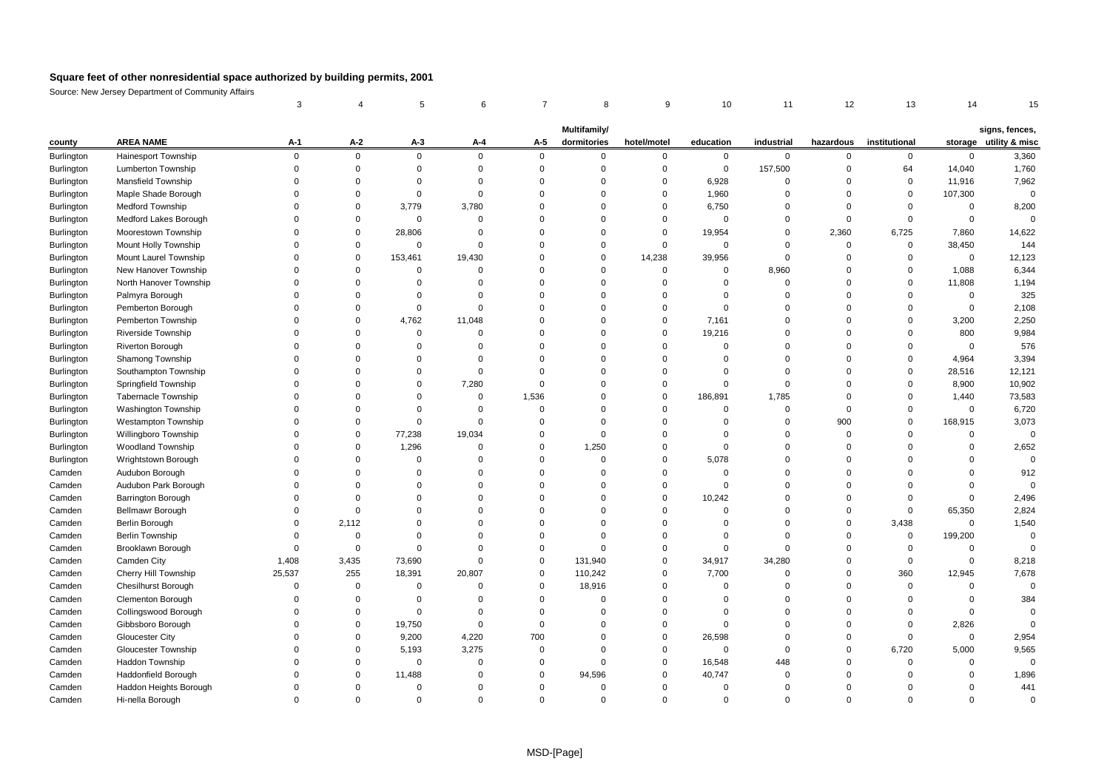|            |                            |             |                | 5           | 6              | 7           | 8                           | 9           | 10             | 11          | 12          | 13            | 14             | 15                                       |
|------------|----------------------------|-------------|----------------|-------------|----------------|-------------|-----------------------------|-------------|----------------|-------------|-------------|---------------|----------------|------------------------------------------|
|            |                            |             |                |             |                |             |                             |             |                |             |             |               |                |                                          |
| county     | <b>AREA NAME</b>           | $A-1$       | $A-2$          | $A-3$       | A-4            | A-5         | Multifamily/<br>dormitories | hotel/motel | education      | industrial  | hazardous   | institutional |                | signs, fences,<br>storage utility & misc |
| Burlington | <b>Hainesport Township</b> | $\mathbf 0$ | $\mathbf 0$    | $\mathbf 0$ | $\mathbf 0$    | $\mathbf 0$ | $\mathbf{0}$                | $\mathbf 0$ | $\mathbf 0$    | $\mathbf 0$ | $\mathbf 0$ | 0             | $\mathbf 0$    | 3,360                                    |
| Burlington | Lumberton Township         | $\Omega$    | $\mathbf 0$    | $\Omega$    | $\mathbf 0$    | $\Omega$    | $\Omega$                    | $\mathbf 0$ | $\mathbf 0$    | 157,500     | $\mathbf 0$ | 64            | 14,040         | 1,760                                    |
| Burlington | <b>Mansfield Township</b>  | $\Omega$    | $\Omega$       | $\Omega$    | $\overline{0}$ | $\Omega$    | $\Omega$                    | $\mathbf 0$ | 6,928          | $\Omega$    | $\mathbf 0$ | $\mathbf 0$   | 11,916         | 7,962                                    |
| Burlington | Maple Shade Borough        | $\Omega$    | $\Omega$       | $\mathbf 0$ | $\overline{0}$ | $\Omega$    | $\Omega$                    | $\mathbf 0$ | 1,960          | $\Omega$    | $\mathbf 0$ | $\mathbf 0$   | 107,300        | $\mathbf 0$                              |
| Burlington | <b>Medford Township</b>    | $\Omega$    | $\mathbf 0$    | 3.779       | 3,780          | $\Omega$    | $\Omega$                    | $\Omega$    | 6,750          | $\Omega$    | $\mathbf 0$ | $\mathbf 0$   | $\Omega$       | 8,200                                    |
| Burlington | Medford Lakes Borough      |             | $\Omega$       | $\mathbf 0$ | $\mathbf 0$    | $\Omega$    | $\Omega$                    | $\mathbf 0$ | $\overline{0}$ | $\mathbf 0$ | $\mathbf 0$ | 0             | $\mathbf 0$    | $\mathbf 0$                              |
| Burlington | Moorestown Township        |             | 0              | 28,806      | $\mathbf 0$    | $\Omega$    | $\Omega$                    | $\mathbf 0$ | 19,954         | $\mathbf 0$ | 2,360       | 6,725         | 7,860          | 14,622                                   |
| Burlington | Mount Holly Township       | $\Omega$    | $\Omega$       | $\mathbf 0$ | $\mathbf 0$    | $\Omega$    | $\Omega$                    | $\mathbf 0$ | $\mathbf 0$    | $\Omega$    | $\mathbf 0$ | 0             | 38,450         | 144                                      |
| Burlington | Mount Laurel Township      | $\Omega$    | $\mathbf{0}$   | 153,461     | 19,430         | $\Omega$    | $\Omega$                    | 14,238      | 39,956         | $\Omega$    | $\mathbf 0$ | $\mathbf 0$   | $\mathbf 0$    | 12,123                                   |
| Burlington | New Hanover Township       |             | $\Omega$       | $\Omega$    | $\overline{0}$ | $\Omega$    | 0                           | $\mathbf 0$ | $\mathbf 0$    | 8,960       | $\Omega$    | $\Omega$      | 1,088          | 6,344                                    |
| Burlington | North Hanover Township     | $\Omega$    | $\Omega$       | $\Omega$    | $\overline{0}$ | $\Omega$    | $\Omega$                    | $\Omega$    | $\mathbf 0$    | $\mathbf 0$ | $\Omega$    | $\mathbf 0$   | 11,808         | 1,194                                    |
| Burlington | Palmyra Borough            | $\Omega$    | $\Omega$       | $\Omega$    | $\overline{0}$ | $\Omega$    | $\Omega$                    | $\Omega$    | $\mathbf 0$    | $\Omega$    | $\mathbf 0$ | $\mathbf 0$   | $\mathbf 0$    | 325                                      |
| Burlington | Pemberton Borough          | $\Omega$    | $\Omega$       | $\mathbf 0$ | $\overline{0}$ | $\Omega$    | $\Omega$                    | $\mathbf 0$ | $\Omega$       | $\Omega$    | $\mathbf 0$ | $\mathbf 0$   | $\mathbf 0$    | 2,108                                    |
| Burlington | Pemberton Township         | $\Omega$    | $\Omega$       | 4,762       | 11,048         | $\Omega$    | $\Omega$                    | $\mathbf 0$ | 7,161          | $\Omega$    | $\Omega$    | $\Omega$      | 3,200          | 2,250                                    |
| Burlington | Riverside Township         | $\Omega$    | $\Omega$       | $\mathbf 0$ | $\mathbf 0$    | $\Omega$    | $\Omega$                    | $\mathbf 0$ | 19,216         | $\mathbf 0$ | $\Omega$    | $\mathbf 0$   | 800            | 9,984                                    |
| Burlington | Riverton Borough           | $\Omega$    | $\Omega$       | $\mathbf 0$ | $\mathbf 0$    | $\Omega$    | $\Omega$                    | $\Omega$    | $\mathbf 0$    | $\Omega$    | $\Omega$    | $\mathbf 0$   | $\mathbf 0$    | 576                                      |
| Burlington | Shamong Township           |             | $\Omega$       | $\Omega$    | $\mathbf 0$    | $\Omega$    | $\Omega$                    | $\Omega$    | $\Omega$       | $\Omega$    | $\Omega$    | $\mathbf 0$   | 4,964          | 3,394                                    |
| Burlington | Southampton Township       | $\Omega$    | $\Omega$       | $\Omega$    | $\Omega$       | $\Omega$    | $\Omega$                    | $\Omega$    | $\Omega$       | $\Omega$    | $\Omega$    | $\Omega$      | 28,516         | 12,121                                   |
| Burlington | Springfield Township       | $\Omega$    | $\Omega$       | $\Omega$    | 7,280          | $\Omega$    | $\Omega$                    | $\Omega$    | $\mathbf 0$    | $\mathbf 0$ | $\mathbf 0$ | $\mathbf 0$   | 8,900          | 10,902                                   |
| Burlington | Tabernacle Township        | $\Omega$    | $\Omega$       | $\Omega$    | $\mathbf 0$    | 1,536       | $\Omega$                    | $\mathbf 0$ | 186,891        | 1,785       | $\mathbf 0$ | $\mathbf 0$   | 1,440          | 73,583                                   |
| Burlington | <b>Washington Township</b> | $\Omega$    | $\Omega$       | $\Omega$    | $\overline{0}$ | $\Omega$    | $\Omega$                    | $\Omega$    | $\mathbf 0$    | $\Omega$    | $\mathbf 0$ | $\mathbf 0$   | $\Omega$       | 6,720                                    |
| Burlington | <b>Westampton Township</b> | $\Omega$    | $\Omega$       | $\mathbf 0$ | $\mathbf 0$    | $\Omega$    | $\Omega$                    | $\Omega$    | $\mathbf 0$    | $\Omega$    | 900         | $\mathbf 0$   | 168,915        | 3,073                                    |
| Burlington | Willingboro Township       | $\Omega$    | $\mathbf 0$    | 77,238      | 19,034         | $\Omega$    | $\mathbf 0$                 | $\mathbf 0$ | $\mathbf 0$    | $\mathbf 0$ | $\mathbf 0$ | $\mathbf 0$   | $\overline{0}$ | $\mathbf 0$                              |
| Burlington | <b>Woodland Township</b>   |             | $\Omega$       | 1,296       | $\mathbf 0$    | $\Omega$    | 1,250                       | $\Omega$    | $\mathbf 0$    | $\Omega$    | $\mathbf 0$ | $\Omega$      | $\Omega$       | 2,652                                    |
| Burlington | Wrightstown Borough        | $\Omega$    | $\Omega$       | $\mathbf 0$ | $\Omega$       | $\Omega$    | $\Omega$                    | $\Omega$    | 5,078          | $\Omega$    | $\Omega$    | $\Omega$      | $\Omega$       | $\Omega$                                 |
| Camden     | Audubon Borough            | $\Omega$    | $\Omega$       | $\Omega$    | $\Omega$       | $\Omega$    | $\Omega$                    | $\Omega$    | $\mathbf 0$    | $\Omega$    | $\Omega$    | $\Omega$      | $\Omega$       | 912                                      |
| Camden     | Audubon Park Borough       | $\Omega$    | $\Omega$       | $\Omega$    | $\overline{0}$ | $\Omega$    | $\Omega$                    | $\mathbf 0$ | $\mathbf 0$    | $\mathbf 0$ | $\mathbf 0$ | $\mathbf 0$   | $\mathbf 0$    | $\Omega$                                 |
| Camden     | <b>Barrington Borough</b>  | $\Omega$    | $\Omega$       | $\Omega$    | $\mathbf 0$    | $\Omega$    | $\Omega$                    | $\Omega$    | 10,242         | $\Omega$    | $\mathbf 0$ | $\mathbf 0$   | $\mathbf 0$    | 2,496                                    |
| Camden     | <b>Bellmawr Borough</b>    | $\Omega$    | $\overline{0}$ | $\mathbf 0$ | $\Omega$       | $\Omega$    | $\Omega$                    | $\Omega$    | $\mathbf 0$    | $\Omega$    | $\mathbf 0$ | $\mathbf 0$   | 65,350         | 2,824                                    |
| Camden     | Berlin Borough             | $\Omega$    | 2,112          | $\Omega$    | $\Omega$       | $\Omega$    | $\Omega$                    | $\Omega$    | $\Omega$       | $\Omega$    | $\mathbf 0$ | 3,438         | $\Omega$       | 1,540                                    |
| Camden     | <b>Berlin Township</b>     | $\Omega$    | $\mathbf 0$    | $\Omega$    | $\mathbf 0$    | $\Omega$    | $\Omega$                    | $\Omega$    | $\mathbf 0$    | $\Omega$    | $\Omega$    | $\mathbf 0$   | 199,200        | $\mathbf 0$                              |
| Camden     | Brooklawn Borough          | $\Omega$    | $\mathbf 0$    | $\mathsf 0$ | $\mathbf 0$    | $\Omega$    | $\Omega$                    | $\mathbf 0$ | $\mathbf 0$    | $\Omega$    | $\mathbf 0$ | $\mathbf 0$   | $\overline{0}$ | $\Omega$                                 |
| Camden     | Camden City                | 1,408       | 3,435          | 73,690      | $\mathbf 0$    | $\Omega$    | 131,940                     | $\Omega$    | 34,917         | 34,280      | $\mathbf 0$ | $\Omega$      | $\mathbf 0$    | 8,218                                    |
| Camden     | Cherry Hill Township       | 25,537      | 255            | 18,391      | 20,807         | $\Omega$    | 110,242                     | $\Omega$    | 7,700          | $\Omega$    | $\mathbf 0$ | 360           | 12,945         | 7,678                                    |
| Camden     | <b>Chesilhurst Borough</b> | $\Omega$    | $\mathbf 0$    | $\mathbf 0$ | $\overline{0}$ | $\Omega$    | 18,916                      | $\Omega$    | $\mathbf 0$    | $\Omega$    | $\mathbf 0$ | $\mathbf 0$   | $\mathbf 0$    | $\Omega$                                 |
| Camden     | Clementon Borough          | $\Omega$    | $\mathbf 0$    | $\mathbf 0$ | $\overline{0}$ | $\Omega$    | $\mathbf 0$                 | $\Omega$    | $\Omega$       | $\Omega$    | $\mathbf 0$ | 0             | $\Omega$       | 384                                      |
| Camden     | Collingswood Borough       | $\Omega$    | $\Omega$       | $\Omega$    | $\overline{0}$ | $\Omega$    | $\Omega$                    | $\Omega$    | $\Omega$       | $\Omega$    | $\Omega$    | $\mathbf 0$   | $\Omega$       | $\Omega$                                 |
| Camden     | Gibbsboro Borough          | $\Omega$    | $\Omega$       | 19,750      | $\mathbf 0$    | $\Omega$    | $\Omega$                    | $\mathbf 0$ | $\mathbf 0$    | $\Omega$    | $\Omega$    | 0             | 2,826          | $\Omega$                                 |
| Camden     | <b>Gloucester City</b>     | $\Omega$    | $\Omega$       | 9,200       | 4,220          | 700         | $\Omega$                    | $\mathbf 0$ | 26,598         | $\mathbf 0$ | $\mathbf 0$ | $\mathbf 0$   | $\mathbf 0$    | 2,954                                    |
| Camden     | <b>Gloucester Township</b> |             | $\Omega$       | 5,193       | 3,275          | $\Omega$    | $\Omega$                    | $\Omega$    | $\mathbf 0$    | $\mathbf 0$ | $\mathbf 0$ | 6,720         | 5,000          | 9,565                                    |
| Camden     | Haddon Township            |             | $\Omega$       | $\mathbf 0$ | $\Omega$       | $\Omega$    | $\Omega$                    | $\Omega$    | 16,548         | 448         | $\mathbf 0$ | $\Omega$      | $\Omega$       | $\Omega$                                 |
| Camden     | Haddonfield Borough        |             | $\Omega$       | 11,488      | $\Omega$       | $\Omega$    | 94,596                      | $\Omega$    | 40,747         | $\Omega$    | $\Omega$    | $\Omega$      | $\mathbf 0$    | 1,896                                    |
| Camden     | Haddon Heights Borough     | $\Omega$    | $\Omega$       | $\Omega$    | $\Omega$       | $\Omega$    | $\Omega$                    | $\Omega$    | $\mathbf 0$    | $\Omega$    | $\Omega$    | 0             | $\mathbf 0$    | 441                                      |
| Camden     | Hi-nella Borough           | $\Omega$    | $\Omega$       | $\Omega$    | $\Omega$       | $\Omega$    | $\Omega$                    | $\Omega$    | $\Omega$       | $\Omega$    | $\Omega$    | $\Omega$      | $\Omega$       | $\Omega$                                 |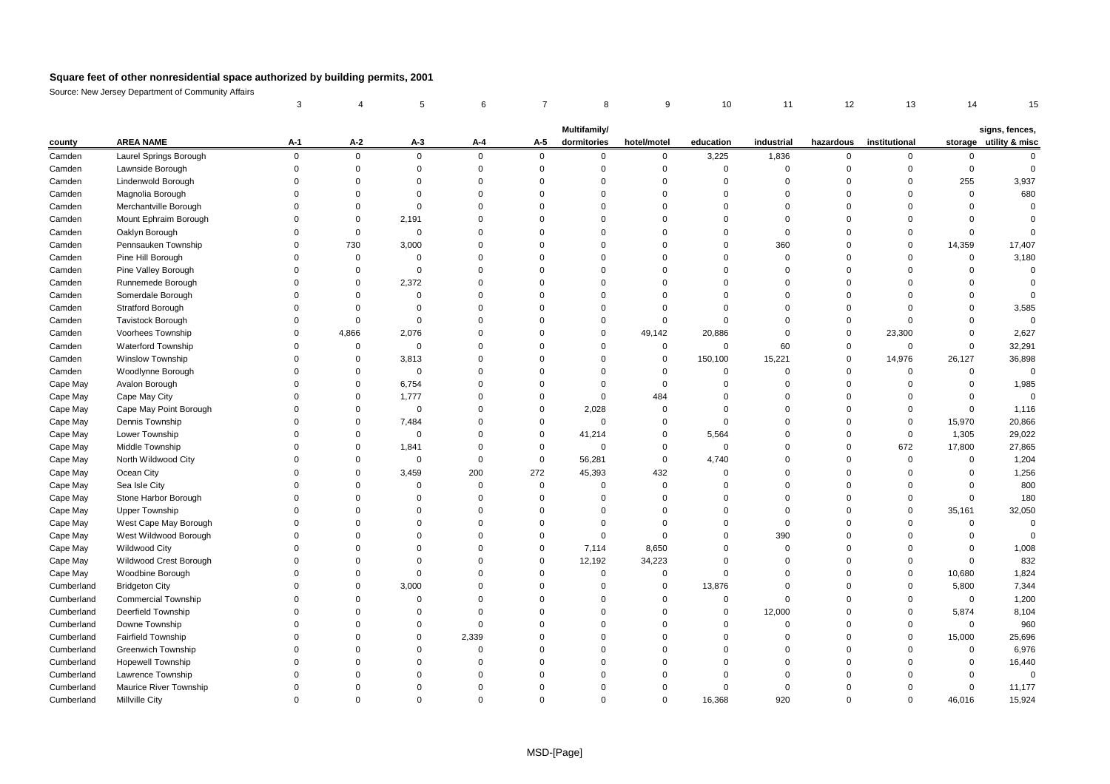|            |                            | 3           | 4              | 5           | 6              | 7           | 8                           | 9           | 10          | 11          | 12          | 13            | 14          | 15                                       |
|------------|----------------------------|-------------|----------------|-------------|----------------|-------------|-----------------------------|-------------|-------------|-------------|-------------|---------------|-------------|------------------------------------------|
|            |                            |             |                |             |                |             |                             |             |             |             |             |               |             |                                          |
| county     | <b>AREA NAME</b>           | A-1         | A-2            | $A-3$       | A-4            | A-5         | Multifamily/<br>dormitories | hotel/motel | education   | industrial  | hazardous   | institutional |             | signs, fences,<br>storage utility & misc |
| Camden     | Laurel Springs Borough     | $\mathbf 0$ | $\mathbf 0$    | $\mathbf 0$ | $\mathbf 0$    | $\mathbf 0$ | $\mathbf 0$                 | 0           | 3,225       | 1,836       | 0           | 0             | 0           | $\mathbf 0$                              |
| Camden     | Lawnside Borough           | $\Omega$    | $\Omega$       | $\mathbf 0$ | $\mathbf 0$    | $\mathbf 0$ | $\Omega$                    | $\mathbf 0$ | $\mathbf 0$ | $\Omega$    | $\mathbf 0$ | $\Omega$      | $\mathbf 0$ | $\Omega$                                 |
| Camden     | Lindenwold Borough         | $\Omega$    | $\Omega$       | $\Omega$    | $\mathbf 0$    | $\Omega$    | $\Omega$                    | $\mathbf 0$ | $\mathbf 0$ | $\Omega$    | $\Omega$    | $\Omega$      | 255         | 3,937                                    |
| Camden     | Magnolia Borough           | $\Omega$    | $\Omega$       | $\Omega$    | $\Omega$       | $\Omega$    | $\Omega$                    | $\mathbf 0$ | $\Omega$    | $\Omega$    | $\Omega$    | $\Omega$      | $\mathbf 0$ | 680                                      |
| Camden     | Merchantville Borough      | $\Omega$    | 0              | $\mathbf 0$ | $\mathbf 0$    | $\Omega$    | $\Omega$                    | 0           | $\Omega$    | $\Omega$    | $\Omega$    | $\Omega$      | $\mathbf 0$ | $\Omega$                                 |
| Camden     | Mount Ephraim Borough      | $\Omega$    | $\Omega$       | 2,191       | $\Omega$       | $\Omega$    | $\Omega$                    | $\Omega$    | $\Omega$    | $\Omega$    | $\Omega$    | $\Omega$      | $\Omega$    | $\Omega$                                 |
| Camden     | Oaklyn Borough             | $\Omega$    | $\mathbf 0$    | $\mathbf 0$ | $\mathbf 0$    | $\Omega$    | $\Omega$                    | $\Omega$    | $\Omega$    | $\Omega$    | $\Omega$    | $\Omega$      | $\mathbf 0$ | $\Omega$                                 |
| Camden     | Pennsauken Township        | $\Omega$    | 730            | 3,000       | $\mathbf 0$    | $\Omega$    | $\Omega$                    | $\Omega$    | $\Omega$    | 360         | $\Omega$    | $\Omega$      | 14,359      | 17,407                                   |
| Camden     | Pine Hill Borough          | $\Omega$    | $\overline{0}$ | $\mathbf 0$ | $\mathbf 0$    | $\Omega$    | $\Omega$                    | $\Omega$    | $\Omega$    | $\mathbf 0$ | $\Omega$    | $\Omega$      | $\mathbf 0$ | 3,180                                    |
| Camden     | Pine Valley Borough        | $\Omega$    | $\Omega$       | $\mathbf 0$ | $\Omega$       | $\Omega$    | $\Omega$                    | $\Omega$    | $\Omega$    | $\Omega$    | $\Omega$    | $\Omega$      | $\Omega$    | $\Omega$                                 |
| Camden     | Runnemede Borough          | $\Omega$    | $\Omega$       | 2,372       | $\mathbf 0$    | $\Omega$    | $\Omega$                    | $\mathbf 0$ | $\mathbf 0$ | $\Omega$    | $\Omega$    | $\Omega$      | $\Omega$    | $\Omega$                                 |
| Camden     | Somerdale Borough          | $\Omega$    | $\Omega$       | $\Omega$    | $\mathbf 0$    | $\Omega$    | $\Omega$                    | $\mathbf 0$ | $\Omega$    | $\Omega$    | $\Omega$    | $\Omega$      | $\Omega$    | $\Omega$                                 |
| Camden     | <b>Stratford Borough</b>   | $\Omega$    | $\Omega$       | $\mathbf 0$ | $\mathbf 0$    | $\Omega$    | $\Omega$                    | $\mathbf 0$ | $\Omega$    | $\Omega$    | $\Omega$    | $\Omega$      | $\Omega$    | 3,585                                    |
| Camden     | <b>Tavistock Borough</b>   | $\Omega$    | $\Omega$       | $\mathbf 0$ | $\Omega$       | $\Omega$    | $\Omega$                    | $\mathbf 0$ | $\mathbf 0$ | $\Omega$    | $\mathbf 0$ | $\Omega$      | $\Omega$    | $\Omega$                                 |
| Camden     | Voorhees Township          | $\Omega$    | 4,866          | 2,076       | $\mathbf 0$    | $\Omega$    | $\mathbf 0$                 | 49,142      | 20,886      | $\mathbf 0$ | $\mathbf 0$ | 23,300        | $\mathbf 0$ | 2,627                                    |
| Camden     | <b>Waterford Township</b>  | $\Omega$    | $\Omega$       | $\mathbf 0$ | $\mathbf 0$    | $\Omega$    | $\Omega$                    | 0           | $\mathbf 0$ | 60          | $\mathbf 0$ | $\Omega$      | $\Omega$    | 32,291                                   |
| Camden     | Winslow Township           | $\Omega$    | $\Omega$       | 3,813       | $\Omega$       | $\Omega$    | $\Omega$                    | 0           | 150,100     | 15,221      | $\mathbf 0$ | 14,976        | 26,127      | 36,898                                   |
| Camden     | Woodlynne Borough          | $\Omega$    | $\Omega$       | $\mathbf 0$ | $\Omega$       | $\Omega$    | $\Omega$                    | $\mathbf 0$ | $\mathbf 0$ | $\Omega$    | $\Omega$    | $\Omega$      | $\Omega$    | $\Omega$                                 |
| Cape May   | Avalon Borough             | $\Omega$    | 0              | 6,754       | $\mathbf 0$    | $\Omega$    | $\Omega$                    | 0           | $\mathbf 0$ | $\Omega$    | $\mathbf 0$ | $\Omega$      | $\mathbf 0$ | 1,985                                    |
| Cape May   | Cape May City              | $\Omega$    | $\Omega$       | 1,777       | $\mathbf 0$    | $\Omega$    | $\mathbf 0$                 | 484         | $\Omega$    | $\Omega$    | $\Omega$    | $\Omega$      | $\Omega$    | $\Omega$                                 |
| Cape May   | Cape May Point Borough     | $\Omega$    | 0              | 0           | $\mathbf 0$    | $\Omega$    | 2,028                       | 0           | $\mathbf 0$ | $\Omega$    | $\Omega$    | $\Omega$      | $\mathbf 0$ | 1,116                                    |
| Cape May   | Dennis Township            | $\Omega$    | $\Omega$       | 7,484       | $\mathbf 0$    | $\Omega$    | $\mathbf 0$                 | 0           | $\Omega$    | $\Omega$    | $\Omega$    | $\Omega$      | 15,970      | 20,866                                   |
| Cape May   | Lower Township             | $\Omega$    | $\Omega$       | $\mathbf 0$ | $\mathbf 0$    | $\mathbf 0$ | 41,214                      | 0           | 5,564       | $\Omega$    | $\mathbf 0$ | $\mathbf 0$   | 1,305       | 29,022                                   |
| Cape May   | Middle Township            | $\Omega$    | $\Omega$       | 1,841       | $\mathbf 0$    | $\Omega$    | $\mathbf 0$                 | $\mathbf 0$ | $\mathbf 0$ | $\Omega$    | $\Omega$    | 672           | 17,800      | 27,865                                   |
| Cape May   | North Wildwood City        | $\Omega$    | $\Omega$       | $\Omega$    | $\mathbf 0$    | $\mathbf 0$ | 56,281                      | 0           | 4,740       | $\Omega$    | $\Omega$    | $\mathbf 0$   | $\Omega$    | 1,204                                    |
| Cape May   | Ocean City                 | $\Omega$    | $\Omega$       | 3,459       | 200            | 272         | 45,393                      | 432         | $\Omega$    | $\Omega$    | $\Omega$    | $\Omega$      | $\Omega$    | 1,256                                    |
| Cape May   | Sea Isle City              | $\Omega$    | $\Omega$       | $\mathbf 0$ | $\mathbf 0$    | $\mathbf 0$ | $\mathbf 0$                 | 0           | $\Omega$    | $\Omega$    | $\Omega$    | $\Omega$      | $\Omega$    | 800                                      |
| Cape May   | Stone Harbor Borough       | $\Omega$    | $\Omega$       | $\Omega$    | $\mathbf 0$    | $\Omega$    | $\Omega$                    | $\mathbf 0$ | $\Omega$    | $\Omega$    | $\Omega$    | $\Omega$      | $\Omega$    | 180                                      |
| Cape May   | <b>Upper Township</b>      | $\Omega$    | $\Omega$       | $\mathbf 0$ | $\mathbf 0$    | $\Omega$    | $\Omega$                    | 0           | $\Omega$    | $\Omega$    | $\Omega$    | $\mathbf 0$   | 35,161      | 32,050                                   |
| Cape May   | West Cape May Borough      | $\Omega$    | $\Omega$       | $\Omega$    | $\mathbf 0$    | $\Omega$    | $\Omega$                    | $\mathbf 0$ | $\Omega$    | $\Omega$    | $\Omega$    | $\Omega$      | $\Omega$    | $\Omega$                                 |
| Cape May   | West Wildwood Borough      |             | $\Omega$       | $\Omega$    | $\Omega$       | $\Omega$    | $\Omega$                    | $\mathbf 0$ | $\Omega$    | 390         | $\Omega$    | 0             | $\Omega$    | $\Omega$                                 |
| Cape May   | Wildwood City              |             | $\Omega$       | $\Omega$    | $\Omega$       | $\Omega$    | 7,114                       | 8,650       | $\Omega$    | $\Omega$    | $\Omega$    | $\Omega$      | $\Omega$    | 1,008                                    |
| Cape May   | Wildwood Crest Borough     | $\Omega$    | $\Omega$       | $\Omega$    | $\mathbf 0$    | $\Omega$    | 12,192                      | 34,223      | $\Omega$    | $\Omega$    | $\Omega$    | $\Omega$      | $\Omega$    | 832                                      |
| Cape May   | Woodbine Borough           | $\Omega$    | $\Omega$       | $\mathbf 0$ | $\mathbf 0$    | $\Omega$    | $\mathbf 0$                 | 0           | $\mathbf 0$ | $\Omega$    | $\Omega$    | $\Omega$      | 10,680      | 1,824                                    |
| Cumberland | <b>Bridgeton City</b>      | $\Omega$    | $\Omega$       | 3,000       | $\overline{0}$ | $\Omega$    | $\mathbf 0$                 | 0           | 13,876      | $\Omega$    | $\Omega$    | $\Omega$      | 5,800       | 7,344                                    |
| Cumberland | <b>Commercial Township</b> | $\Omega$    | $\Omega$       | $\Omega$    | $\mathbf 0$    | $\Omega$    | $\Omega$                    | 0           | $\mathbf 0$ | $\Omega$    | $\Omega$    | $\Omega$      | $\mathbf 0$ | 1,200                                    |
| Cumberland | Deerfield Township         |             | $\Omega$       | $\mathbf 0$ | $\mathbf 0$    | $\Omega$    | $\mathbf 0$                 | 0           | $\mathbf 0$ | 12,000      | $\Omega$    | 0             | 5,874       | 8,104                                    |
| Cumberland | Downe Township             | $\Omega$    | $\Omega$       | $\Omega$    | $\mathbf 0$    | $\Omega$    | $\Omega$                    | $\Omega$    | $\Omega$    | $\Omega$    | $\Omega$    | $\Omega$      | $\mathbf 0$ | 960                                      |
| Cumberland | Fairfield Township         | $\Omega$    | $\Omega$       | $\Omega$    | 2,339          | $\Omega$    | $\Omega$                    | $\Omega$    | $\Omega$    | $\Omega$    | $\Omega$    | $\Omega$      | 15,000      | 25,696                                   |
| Cumberland | <b>Greenwich Township</b>  | $\Omega$    | $\Omega$       | $\Omega$    | $\mathbf 0$    | $\Omega$    | $\Omega$                    | $\Omega$    | $\Omega$    | $\Omega$    | $\Omega$    | $\Omega$      | $\Omega$    | 6,976                                    |
| Cumberland | <b>Hopewell Township</b>   | $\Omega$    | $\Omega$       | $\Omega$    | $\mathbf 0$    | $\Omega$    | $\Omega$                    | $\Omega$    | $\Omega$    | $\Omega$    | $\Omega$    | $\Omega$      | $\Omega$    | 16,440                                   |
| Cumberland | Lawrence Township          |             | $\Omega$       | $\Omega$    | $\Omega$       | $\Omega$    | $\Omega$                    | $\Omega$    | $\Omega$    | $\Omega$    | $\Omega$    | 0             | $\Omega$    | $\Omega$                                 |
| Cumberland | Maurice River Township     | $\Omega$    | $\Omega$       | $\Omega$    | $\Omega$       | $\Omega$    | $\Omega$                    | $\Omega$    | $\Omega$    | $\Omega$    | $\Omega$    | $\Omega$      | $\Omega$    | 11,177                                   |
| Cumberland | Millville City             | $\Omega$    | $\Omega$       | $\Omega$    | $\Omega$       | $\Omega$    | $\Omega$                    | $\Omega$    | 16.368      | 920         | $\Omega$    | $\Omega$      | 46.016      | 15,924                                   |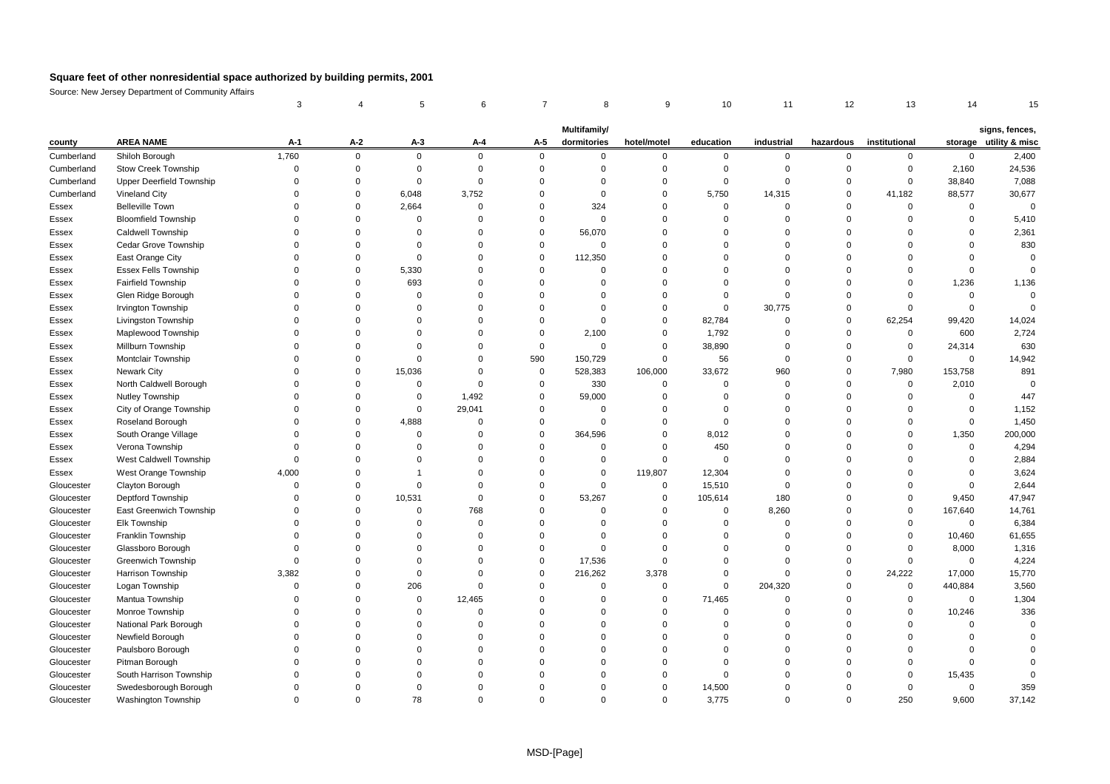|            |                             | 3        |             | 5              | 6              | 7           | 8                           | 9           | 10          | 11          | 12          | 13            | 14             | 15                                       |
|------------|-----------------------------|----------|-------------|----------------|----------------|-------------|-----------------------------|-------------|-------------|-------------|-------------|---------------|----------------|------------------------------------------|
|            |                             |          |             |                |                |             |                             |             |             |             |             |               |                |                                          |
| county     | <b>AREA NAME</b>            | $A-1$    | $A-2$       | $A-3$          | A-4            | A-5         | Multifamily/<br>dormitories | hotel/motel | education   | industrial  | hazardous   | institutional |                | signs, fences,<br>storage utility & misc |
| Cumberland | Shiloh Borough              | 1,760    | $\mathbf 0$ | $\mathbf 0$    | $\mathbf 0$    | $\mathbf 0$ | $\mathbf 0$                 | 0           | 0           | 0           | 0           | 0             | $\mathbf 0$    | 2,400                                    |
| Cumberland | Stow Creek Township         | $\Omega$ | $\Omega$    | $\mathbf 0$    | $\mathbf 0$    | $\mathbf 0$ | $\Omega$                    | $\mathbf 0$ | $\mathbf 0$ | $\Omega$    | $\mathbf 0$ | $\mathbf 0$   | 2,160          | 24,536                                   |
| Cumberland | Upper Deerfield Township    | $\Omega$ | 0           | $\Omega$       | $\mathbf 0$    | $\Omega$    | $\Omega$                    | 0           | $\mathbf 0$ | $\Omega$    | 0           | $\mathbf 0$   | 38,840         | 7,088                                    |
| Cumberland | Vineland City               | $\Omega$ | $\Omega$    | 6,048          | 3,752          | $\Omega$    | $\Omega$                    | $\mathbf 0$ | 5,750       | 14,315      | $\mathbf 0$ | 41,182        | 88,577         | 30,677                                   |
| Essex      | <b>Belleville Town</b>      | $\Omega$ | 0           | 2,664          | $\mathbf 0$    | $\Omega$    | 324                         | 0           | $\mathbf 0$ | $\Omega$    | 0           | 0             | 0              | $\mathbf 0$                              |
| Essex      | <b>Bloomfield Township</b>  | $\Omega$ | $\Omega$    | $\Omega$       | $\Omega$       | $\Omega$    | $\Omega$                    | $\Omega$    | $\Omega$    | $\Omega$    | $\Omega$    | $\Omega$      | $\mathbf 0$    | 5,410                                    |
| Essex      | <b>Caldwell Township</b>    |          | 0           | $\Omega$       | $\Omega$       | $\Omega$    | 56,070                      | $\mathbf 0$ | $\mathbf 0$ | $\Omega$    | $\Omega$    | $\Omega$      | $\mathbf 0$    | 2,361                                    |
| Essex      | Cedar Grove Township        | $\Omega$ | $\Omega$    | $\mathbf 0$    | $\Omega$       | $\Omega$    | $\Omega$                    | $\Omega$    | $\Omega$    | $\Omega$    | $\Omega$    | $\Omega$      | $\Omega$       | 830                                      |
| Essex      | East Orange City            | $\Omega$ | $\Omega$    | $\mathbf 0$    | $\mathbf 0$    | $\mathbf 0$ | 112,350                     | $\Omega$    | $\Omega$    | $\Omega$    | $\Omega$    | $\Omega$      | $\Omega$       | $\mathbf 0$                              |
| Essex      | <b>Essex Fells Township</b> |          | $\Omega$    | 5,330          | $\Omega$       | $\Omega$    | $\Omega$                    | $\Omega$    | $\Omega$    | $\Omega$    | $\Omega$    | $\Omega$      | $\Omega$       | $\Omega$                                 |
| Essex      | Fairfield Township          | $\Omega$ | $\Omega$    | 693            | $\mathbf 0$    | $\Omega$    | $\Omega$                    | $\Omega$    | $\mathbf 0$ | $\Omega$    | $\Omega$    | $\Omega$      | 1,236          | 1,136                                    |
| Essex      | Glen Ridge Borough          | $\Omega$ | $\Omega$    | $\mathbf 0$    | $\mathbf 0$    | $\Omega$    | $\Omega$                    | $\Omega$    | $\mathbf 0$ | $\Omega$    | $\Omega$    | $\mathbf 0$   | $\mathbf 0$    | $\mathbf 0$                              |
| Essex      | Irvington Township          | $\Omega$ | $\Omega$    | $\Omega$       | $\Omega$       | $\Omega$    | $\Omega$                    | $\mathbf 0$ | $\mathbf 0$ | 30,775      | $\mathbf 0$ | $\mathbf 0$   | $\mathbf 0$    | $\mathbf 0$                              |
| Essex      | Livingston Township         |          | $\Omega$    | $\Omega$       | $\Omega$       | $\Omega$    | $\Omega$                    | $\mathbf 0$ | 82,784      | $\Omega$    | $\mathbf 0$ | 62,254        | 99,420         | 14,024                                   |
| Essex      | Maplewood Township          | $\Omega$ | 0           | $\Omega$       | $\mathbf 0$    | $\Omega$    | 2,100                       | 0           | 1,792       | 0           | $\mathbf 0$ | 0             | 600            | 2,724                                    |
| Essex      | Millburn Township           |          | $\Omega$    | $\mathbf 0$    | $\Omega$       | $\mathbf 0$ | $\mathbf 0$                 | $\mathbf 0$ | 38,890      | $\Omega$    | $\mathbf 0$ | $\mathbf 0$   | 24,314         | 630                                      |
| Essex      | Montclair Township          |          | 0           | $\mathbf 0$    | $\Omega$       | 590         | 150,729                     | $\mathbf 0$ | 56          | $\Omega$    | $\mathbf 0$ | $\mathbf 0$   | $\Omega$       | 14,942                                   |
| Essex      | <b>Newark City</b>          | $\Omega$ | $\Omega$    | 15,036         | $\mathbf 0$    | $\mathbf 0$ | 528,383                     | 106,000     | 33,672      | 960         | $\mathbf 0$ | 7,980         | 153,758        | 891                                      |
| Essex      | North Caldwell Borough      |          | 0           | $\mathbf 0$    | $\mathbf 0$    | 0           | 330                         | 0           | 0           | 0           | $\mathbf 0$ | 0             | 2,010          | $\overline{0}$                           |
| Essex      | Nutley Township             | $\Omega$ | $\Omega$    | $\mathbf 0$    | 1,492          | $\Omega$    | 59,000                      | $\mathbf 0$ | $\mathbf 0$ | $\Omega$    | $\mathbf 0$ | $\Omega$      | $\Omega$       | 447                                      |
| Essex      | City of Orange Township     | $\Omega$ | 0           | $\mathbf 0$    | 29,041         | $\Omega$    | $\Omega$                    | 0           | $\mathbf 0$ | $\Omega$    | $\Omega$    | $\Omega$      | $\overline{0}$ | 1,152                                    |
| Essex      | Roseland Borough            | $\Omega$ | $\Omega$    | 4,888          | $\mathbf 0$    | $\Omega$    | $\Omega$                    | $\mathbf 0$ | $\mathbf 0$ | $\Omega$    | $\Omega$    | $\Omega$      | $\mathbf 0$    | 1,450                                    |
| Essex      | South Orange Village        | $\Omega$ | 0           | $\mathbf 0$    | $\overline{0}$ | $\mathbf 0$ | 364,596                     | 0           | 8,012       | $\Omega$    | $\Omega$    | $\Omega$      | 1,350          | 200,000                                  |
| Essex      | Verona Township             | $\Omega$ | $\Omega$    | $\Omega$       | $\mathbf 0$    | $\Omega$    | $\Omega$                    | $\mathbf 0$ | 450         | $\Omega$    | $\Omega$    | $\Omega$      | $\mathbf 0$    | 4,294                                    |
| Essex      | West Caldwell Township      | $\Omega$ | $\Omega$    | $\Omega$       | $\mathbf 0$    | $\Omega$    | $\Omega$                    | 0           | $\Omega$    | $\Omega$    | $\Omega$    | $\Omega$      | $\Omega$       | 2,884                                    |
| Essex      | West Orange Township        | 4,000    | 0           | $\overline{1}$ | $\mathbf 0$    | $\Omega$    | $\mathbf 0$                 | 119,807     | 12,304      | $\Omega$    | $\Omega$    | $\Omega$      | $\mathbf 0$    | 3,624                                    |
| Gloucester | Clayton Borough             | $\Omega$ | $\Omega$    | $\Omega$       | $\mathbf 0$    | $\Omega$    | $\mathbf 0$                 | 0           | 15,510      | $\mathbf 0$ | $\Omega$    | 0             | $\mathbf 0$    | 2,644                                    |
| Gloucester | <b>Deptford Township</b>    | $\Omega$ | $\Omega$    | 10,531         | $\mathbf 0$    | $\Omega$    | 53,267                      | 0           | 105,614     | 180         | $\Omega$    | $\Omega$      | 9,450          | 47,947                                   |
| Gloucester | East Greenwich Township     | $\Omega$ | 0           | $\mathbf 0$    | 768            | $\Omega$    | $\Omega$                    | 0           | $\mathbf 0$ | 8,260       | $\Omega$    | $\mathbf 0$   | 167,640        | 14,761                                   |
| Gloucester | Elk Township                | $\Omega$ | $\Omega$    | $\Omega$       | $\mathbf 0$    | $\Omega$    | $\Omega$                    | $\mathbf 0$ | $\Omega$    | $\Omega$    | $\Omega$    | $\mathbf 0$   | $\Omega$       | 6,384                                    |
| Gloucester | Franklin Township           | $\Omega$ | $\Omega$    | $\Omega$       | $\Omega$       | $\Omega$    | $\Omega$                    | $\Omega$    | $\Omega$    | $\Omega$    | $\Omega$    | $\Omega$      | 10,460         | 61,655                                   |
| Gloucester | Glassboro Borough           | $\Omega$ | $\Omega$    | $\Omega$       | $\Omega$       | $\Omega$    | $\Omega$                    | $\Omega$    | $\Omega$    | $\Omega$    | $\Omega$    | $\Omega$      | 8,000          | 1,316                                    |
| Gloucester | Greenwich Township          | $\Omega$ | 0           | $\Omega$       | $\mathbf 0$    | $\Omega$    | 17,536                      | 0           | $\mathbf 0$ | $\Omega$    | 0           | $\mathbf 0$   | $\mathbf 0$    | 4,224                                    |
| Gloucester | Harrison Township           | 3,382    | $\Omega$    | $\mathbf 0$    | $\mathbf 0$    | $\Omega$    | 216,262                     | 3,378       | $\mathbf 0$ | $\Omega$    | $\mathbf 0$ | 24,222        | 17,000         | 15,770                                   |
| Gloucester | Logan Township              | $\Omega$ | $\Omega$    | 206            | $\mathbf 0$    | $\Omega$    | $\Omega$                    | 0           | $\mathbf 0$ | 204,320     | $\mathbf 0$ | 0             | 440,884        | 3,560                                    |
| Gloucester | Mantua Township             | $\Omega$ | $\Omega$    | $\mathbf 0$    | 12,465         | $\Omega$    | $\Omega$                    | 0           | 71,465      | $\Omega$    | $\Omega$    | $\mathbf 0$   | $\Omega$       | 1,304                                    |
| Gloucester | Monroe Township             | $\Omega$ | 0           | 0              | $\overline{0}$ | $\Omega$    | $\Omega$                    | 0           | $\mathbf 0$ | 0           | $\mathbf 0$ | 0             | 10,246         | 336                                      |
| Gloucester | National Park Borough       | $\Omega$ | $\Omega$    | $\mathbf 0$    | $\Omega$       | $\Omega$    | $\Omega$                    | $\mathbf 0$ | $\Omega$    | $\Omega$    | $\Omega$    | $\Omega$      | $\Omega$       | $\mathbf 0$                              |
| Gloucester | Newfield Borough            |          | $\Omega$    | $\Omega$       | $\mathbf 0$    | $\Omega$    | $\Omega$                    | $\Omega$    | $\mathbf 0$ | $\Omega$    | $\Omega$    | $\Omega$      | $\Omega$       |                                          |
| Gloucester | Paulsboro Borough           |          | O           | $\Omega$       | $\Omega$       | $\Omega$    | $\Omega$                    | $\Omega$    | $\Omega$    | $\Omega$    | $\Omega$    | $\Omega$      | $\Omega$       | $\Omega$                                 |
| Gloucester | Pitman Borough              |          | 0           | $\Omega$       | $\mathbf 0$    | $\Omega$    | $\Omega$                    | $\Omega$    | $\mathbf 0$ | $\Omega$    | $\Omega$    | 0             | $\Omega$       | $\Omega$                                 |
| Gloucester | South Harrison Township     |          | $\Omega$    | $\Omega$       | $\Omega$       | $\Omega$    | $\Omega$                    | $\Omega$    | $\mathbf 0$ | $\Omega$    | $\Omega$    | $\mathbf 0$   | 15,435         | $\Omega$                                 |
| Gloucester | Swedesborough Borough       |          | $\Omega$    | $\Omega$       | $\Omega$       | $\Omega$    | $\Omega$                    | $\Omega$    | 14,500      | $\Omega$    | $\Omega$    | 0             | $\Omega$       | 359                                      |
| Gloucester | <b>Washington Township</b>  | $\Omega$ | $\Omega$    | 78             | $\Omega$       | $\Omega$    | $\Omega$                    | $\Omega$    | 3,775       | $\Omega$    | $\Omega$    | 250           | 9.600          | 37,142                                   |
|            |                             |          |             |                |                |             |                             |             |             |             |             |               |                |                                          |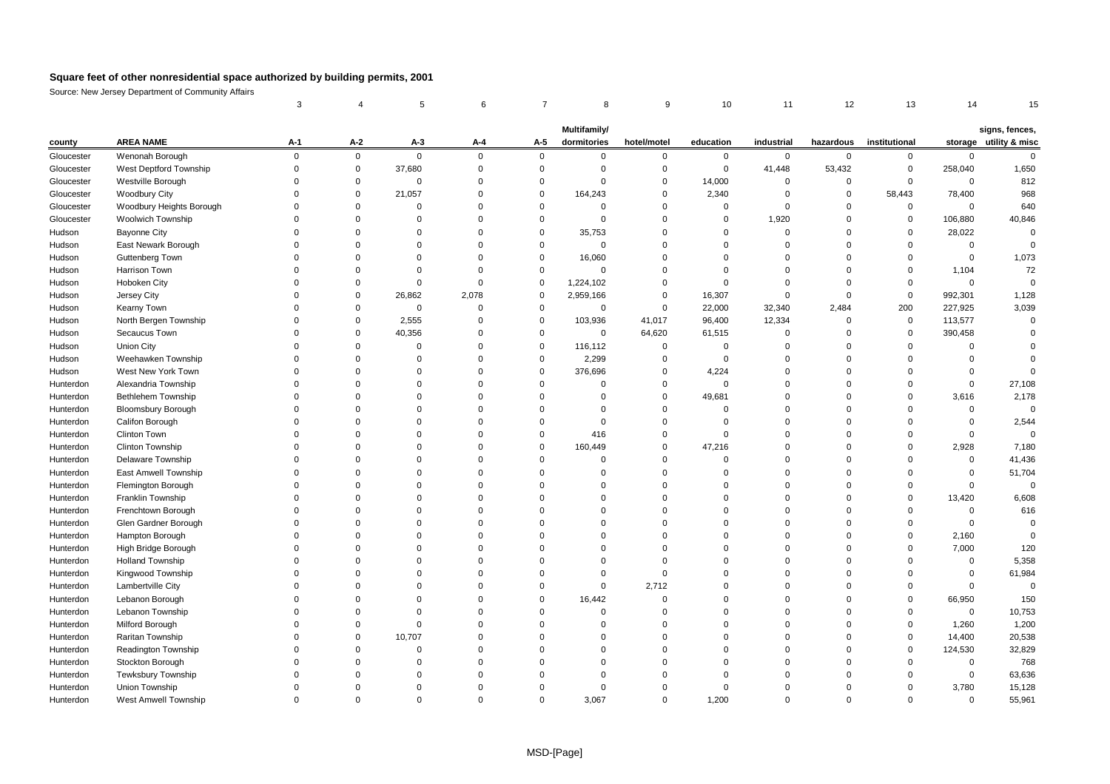|            |                           |              | 4           | 5           | 6              | 7           | 8                           | 9           | 10          | 11          | 12          | 13            | 14          | 15                                       |
|------------|---------------------------|--------------|-------------|-------------|----------------|-------------|-----------------------------|-------------|-------------|-------------|-------------|---------------|-------------|------------------------------------------|
|            |                           |              |             |             |                |             |                             |             |             |             |             |               |             |                                          |
| county     | <b>AREA NAME</b>          | $A-1$        | A-2         | $A-3$       | $A-4$          | A-5         | Multifamily/<br>dormitories | hotel/motel | education   | industrial  | hazardous   | institutional |             | signs, fences,<br>storage utility & misc |
| Gloucester | Wenonah Borough           | $\mathbf{0}$ | $\mathbf 0$ | $\mathbf 0$ | $\mathsf 0$    | $\mathbf 0$ | $\mathbf 0$                 | 0           | $\mathbf 0$ | $\mathbf 0$ | $\mathbf 0$ | $\mathbf 0$   | $\mathbf 0$ | $\mathbf 0$                              |
| Gloucester | West Deptford Township    | $\Omega$     | $\Omega$    | 37,680      | $\mathbf 0$    | $\Omega$    | $\Omega$                    | $\mathbf 0$ | $\mathbf 0$ | 41,448      | 53,432      | $\mathbf{0}$  | 258,040     | 1,650                                    |
| Gloucester | Westville Borough         | $\Omega$     | 0           | $\mathbf 0$ | $\mathbf 0$    | $\mathbf 0$ | $\mathbf 0$                 | 0           | 14,000      | $\Omega$    | $\mathbf 0$ | $\mathbf 0$   | $\mathbf 0$ | 812                                      |
| Gloucester | <b>Woodbury City</b>      | $\Omega$     | $\mathbf 0$ | 21,057      | $\mathbf 0$    | $\mathbf 0$ | 164,243                     | 0           | 2,340       | $\mathbf 0$ | $\mathbf 0$ | 58,443        | 78,400      | 968                                      |
| Gloucester | Woodbury Heights Borough  | $\Omega$     | $\Omega$    | $\Omega$    | $\Omega$       | $\Omega$    | $\mathbf 0$                 | $\mathbf 0$ | $\mathbf 0$ | $\Omega$    | $\mathbf 0$ | $\mathbf 0$   | $\mathbf 0$ | 640                                      |
| Gloucester | <b>Woolwich Township</b>  | $\Omega$     | $\mathbf 0$ | $\mathbf 0$ | $\mathbf 0$    | $\Omega$    | $\mathbf 0$                 | 0           | $\mathbf 0$ | 1,920       | $\mathbf 0$ | $\pmb{0}$     | 106,880     | 40,846                                   |
| Hudson     | <b>Bayonne City</b>       | $\Omega$     | $\Omega$    | $\Omega$    | $\mathbf 0$    | $\Omega$    | 35,753                      | 0           | $\Omega$    | $\Omega$    | $\Omega$    | $\mathbf 0$   | 28,022      | $\Omega$                                 |
| Hudson     | East Newark Borough       | $\Omega$     | $\Omega$    | $\Omega$    | $\overline{0}$ | $\Omega$    | $\mathbf 0$                 | $\Omega$    | $\Omega$    | $\Omega$    | $\Omega$    | $\Omega$      | $\mathbf 0$ | $\Omega$                                 |
| Hudson     | Guttenberg Town           | $\Omega$     | $\Omega$    | $\Omega$    | $\mathbf 0$    | $\mathbf 0$ | 16,060                      | $\Omega$    | $\Omega$    | $\Omega$    | $\Omega$    | $\Omega$      | $\mathbf 0$ | 1,073                                    |
| Hudson     | Harrison Town             | $\Omega$     | $\Omega$    | $\Omega$    | $\mathbf 0$    | $\mathbf 0$ | $\mathbf 0$                 | $\Omega$    | $\Omega$    | $\Omega$    | $\Omega$    | $\Omega$      | 1,104       | 72                                       |
| Hudson     | Hoboken City              | $\Omega$     | $\Omega$    | $\Omega$    | $\mathbf 0$    | $\mathbf 0$ | 1,224,102                   | $\mathbf 0$ | $\Omega$    | $\Omega$    | $\Omega$    | $\Omega$      | $\mathbf 0$ | $\overline{0}$                           |
| Hudson     | Jersey City               | $\Omega$     | $\mathbf 0$ | 26,862      | 2,078          | $\mathsf 0$ | 2,959,166                   | 0           | 16,307      | $\mathbf 0$ | $\mathbf 0$ | $\mathbf 0$   | 992,301     | 1,128                                    |
| Hudson     | Kearny Town               | $\Omega$     | $\Omega$    | $\mathbf 0$ | $\mathbf 0$    | $\mathbf 0$ | $\mathbf 0$                 | 0           | 22,000      | 32,340      | 2,484       | 200           | 227,925     | 3,039                                    |
| Hudson     | North Bergen Township     | $\Omega$     | $\mathbf 0$ | 2,555       | $\mathbf 0$    | $\mathbf 0$ | 103,936                     | 41,017      | 96,400      | 12,334      | $\mathbf 0$ | $\mathsf 0$   | 113,577     | $\Omega$                                 |
| Hudson     | Secaucus Town             | $\Omega$     | $\Omega$    | 40,356      | $\mathbf 0$    | $\Omega$    | $\mathbf 0$                 | 64,620      | 61,515      | $\Omega$    | $\Omega$    | $\Omega$      | 390,458     | $\Omega$                                 |
| Hudson     | Union City                |              | $\Omega$    | $\mathbf 0$ | $\Omega$       | $\mathbf 0$ | 116,112                     | $\mathbf 0$ | $\mathbf 0$ | $\Omega$    | $\Omega$    | $\Omega$      | $\mathbf 0$ |                                          |
| Hudson     | Weehawken Township        |              | $\Omega$    | $\Omega$    | $\Omega$       | $\Omega$    | 2,299                       | $\Omega$    | $\Omega$    | $\Omega$    | $\Omega$    | $\Omega$      | $\Omega$    | $\Omega$                                 |
| Hudson     | West New York Town        | $\Omega$     | $\Omega$    | $\Omega$    | $\mathbf 0$    | $\mathbf 0$ | 376,696                     | 0           | 4,224       | $\Omega$    | $\Omega$    | $\Omega$      | $\Omega$    | $\Omega$                                 |
| Hunterdon  | Alexandria Township       | $\Omega$     | $\Omega$    | $\Omega$    | $\mathbf 0$    | $\Omega$    | $\Omega$                    | 0           | $\mathbf 0$ | $\Omega$    | $\Omega$    | $\Omega$      | $\Omega$    | 27,108                                   |
| Hunterdon  | Bethlehem Township        | $\Omega$     | $\Omega$    | $\Omega$    | $\mathbf 0$    | $\Omega$    | $\mathbf 0$                 | 0           | 49,681      | $\Omega$    | $\Omega$    | $\Omega$      | 3,616       | 2,178                                    |
| Hunterdon  | <b>Bloomsbury Borough</b> | $\Omega$     | $\Omega$    | $\Omega$    | $\mathbf 0$    | $\Omega$    | $\mathbf 0$                 | $\mathbf 0$ | $\Omega$    | $\Omega$    | $\Omega$    | $\Omega$      | $\Omega$    | $\Omega$                                 |
| Hunterdon  | Califon Borough           | $\Omega$     | $\Omega$    | $\mathbf 0$ | $\mathbf 0$    | $\Omega$    | $\Omega$                    | 0           | $\Omega$    | $\Omega$    | $\Omega$    | $\Omega$      | $\mathbf 0$ | 2,544                                    |
| Hunterdon  | Clinton Town              | $\Omega$     | $\Omega$    | $\mathbf 0$ | $\mathbf 0$    | $\mathbf 0$ | 416                         | $\mathbf 0$ | $\Omega$    | $\Omega$    | $\Omega$    | $\Omega$      | $\Omega$    | $\Omega$                                 |
| Hunterdon  | Clinton Township          |              | $\Omega$    | $\Omega$    | $\mathbf 0$    | $\Omega$    | 160,449                     | 0           | 47,216      | $\Omega$    | $\Omega$    | $\Omega$      | 2,928       | 7,180                                    |
| Hunterdon  | Delaware Township         | $\Omega$     | $\Omega$    | $\Omega$    | $\Omega$       | $\Omega$    | $\Omega$                    | $\Omega$    | $\Omega$    | $\Omega$    | $\Omega$    | $\Omega$      | $\mathbf 0$ | 41,436                                   |
| Hunterdon  | East Amwell Township      | $\Omega$     | $\Omega$    | $\Omega$    | $\mathbf 0$    | $\Omega$    | $\Omega$                    | $\Omega$    | $\Omega$    | $\Omega$    | $\Omega$    | $\Omega$      | $\mathbf 0$ | 51,704                                   |
| Hunterdon  | Flemington Borough        | $\Omega$     | $\Omega$    | $\Omega$    | $\mathbf 0$    | $\Omega$    | $\mathbf 0$                 | $\mathbf 0$ | $\Omega$    | $\Omega$    | $\Omega$    | $\Omega$      | $\mathbf 0$ | $\overline{0}$                           |
| Hunterdon  | Franklin Township         | $\Omega$     | $\Omega$    | $\Omega$    | $\Omega$       | $\Omega$    | $\Omega$                    | $\Omega$    | $\Omega$    | $\Omega$    | $\Omega$    | $\Omega$      | 13,420      | 6,608                                    |
| Hunterdon  | Frenchtown Borough        | $\Omega$     | $\mathbf 0$ | $\mathbf 0$ | $\mathbf 0$    | $\Omega$    | $\mathbf 0$                 | 0           | $\Omega$    | $\mathbf 0$ | $\Omega$    | $\mathbf 0$   | $\mathbf 0$ | 616                                      |
| Hunterdon  | Glen Gardner Borough      | $\Omega$     | $\Omega$    | $\Omega$    | $\mathbf 0$    | $\Omega$    | $\Omega$                    | $\Omega$    | $\Omega$    | $\Omega$    | $\Omega$    | $\Omega$      | $\mathbf 0$ | $\Omega$                                 |
| Hunterdon  | Hampton Borough           | $\Omega$     | $\Omega$    | $\Omega$    | $\Omega$       | $\Omega$    | $\Omega$                    | $\Omega$    | $\Omega$    | $\Omega$    | $\Omega$    | $\Omega$      | 2,160       | $\overline{0}$                           |
| Hunterdon  | High Bridge Borough       | $\Omega$     | $\Omega$    | $\Omega$    | $\Omega$       | $\Omega$    | $\Omega$                    | $\Omega$    | $\Omega$    | $\Omega$    | $\Omega$    | $\Omega$      | 7,000       | 120                                      |
| Hunterdon  | <b>Holland Township</b>   | $\Omega$     | $\mathbf 0$ | $\Omega$    | $\mathbf 0$    | $\Omega$    | $\Omega$                    | 0           | $\Omega$    | $\Omega$    | $\Omega$    | $\Omega$      | $\mathbf 0$ | 5,358                                    |
| Hunterdon  | Kingwood Township         | $\Omega$     | $\Omega$    | $\Omega$    | $\mathbf 0$    | $\Omega$    | $\mathbf 0$                 | 0           | $\Omega$    | $\Omega$    | $\Omega$    | $\Omega$      | $\mathbf 0$ | 61,984                                   |
| Hunterdon  | Lambertville City         | $\Omega$     | $\Omega$    | $\Omega$    | $\overline{0}$ | $\Omega$    | $\mathbf 0$                 | 2,712       | $\Omega$    | $\Omega$    | $\Omega$    | $\Omega$      | $\Omega$    | $\overline{0}$                           |
| Hunterdon  | Lebanon Borough           | $\Omega$     | $\Omega$    | $\Omega$    | $\mathbf 0$    | $\Omega$    | 16,442                      | 0           | $\Omega$    | $\Omega$    | $\Omega$    | $\Omega$      | 66,950      | 150                                      |
| Hunterdon  | Lebanon Township          | $\Omega$     | $\Omega$    | $\mathbf 0$ | $\mathbf 0$    | $\Omega$    | $\mathbf 0$                 | 0           | $\Omega$    | $\Omega$    | $\Omega$    | $\mathbf 0$   | $\mathbf 0$ | 10,753                                   |
| Hunterdon  | Milford Borough           | $\Omega$     | $\Omega$    | $\mathbf 0$ | $\Omega$       | $\Omega$    | $\Omega$                    | $\Omega$    | $\Omega$    | $\Omega$    | $\Omega$    | $\Omega$      | 1,260       | 1,200                                    |
| Hunterdon  | Raritan Township          | $\Omega$     | $\Omega$    | 10,707      | $\mathbf 0$    | $\Omega$    | $\Omega$                    | $\Omega$    | $\Omega$    | $\Omega$    | $\Omega$    | $\mathbf 0$   | 14,400      | 20,538                                   |
| Hunterdon  | Readington Township       | $\Omega$     | $\Omega$    | $\Omega$    | $\Omega$       | $\Omega$    | $\Omega$                    | $\Omega$    | $\Omega$    | $\Omega$    | $\Omega$    | $\Omega$      | 124,530     | 32,829                                   |
| Hunterdon  | Stockton Borough          | $\Omega$     | $\Omega$    | $\Omega$    | $\mathbf 0$    | $\Omega$    | $\Omega$                    | $\Omega$    | $\Omega$    | $\Omega$    | $\Omega$    | $\Omega$      | $\mathbf 0$ | 768                                      |
| Hunterdon  | Tewksbury Township        |              | $\Omega$    | $\Omega$    | $\Omega$       | $\Omega$    | $\Omega$                    | $\Omega$    | $\Omega$    | $\Omega$    | $\Omega$    | $\Omega$      | $\mathbf 0$ | 63,636                                   |
| Hunterdon  | Union Township            |              | $\Omega$    | $\Omega$    | $\Omega$       | $\Omega$    | $\Omega$                    | $\Omega$    | $\Omega$    | $\Omega$    | $\Omega$    | $\Omega$      | 3,780       | 15,128                                   |
| Hunterdon  | West Amwell Township      |              | $\Omega$    | $\Omega$    | $\Omega$       | $\Omega$    | 3.067                       | $\Omega$    | 1.200       | $\Omega$    | $\Omega$    | $\Omega$      | $\Omega$    | 55,961                                   |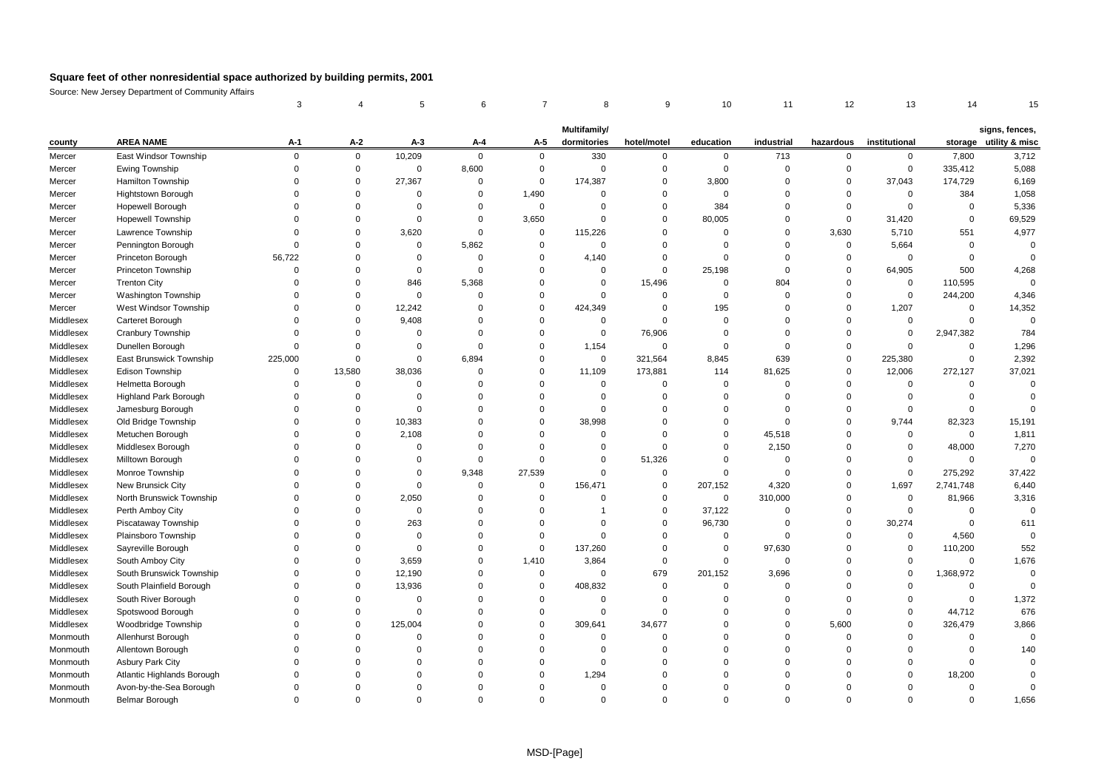|           |                              | 3           |             |             | 6              |             | 8              | 9           | 10          | 11          | 12          | 13            | 14             | 15                     |
|-----------|------------------------------|-------------|-------------|-------------|----------------|-------------|----------------|-------------|-------------|-------------|-------------|---------------|----------------|------------------------|
|           |                              |             |             |             |                |             | Multifamily/   |             |             |             |             |               |                | signs, fences,         |
| county    | <b>AREA NAME</b>             | A-1         | $A-2$       | $A-3$       | A-4            | A-5         | dormitories    | hotel/motel | education   | industrial  | hazardous   | institutional |                | storage utility & misc |
| Mercer    | East Windsor Township        | $\mathbf 0$ | 0           | 10,209      | $\mathbf 0$    | $\mathbf 0$ | 330            | 0           | 0           | 713         | 0           | $\mathbf 0$   | 7,800          | 3,712                  |
| Mercer    | Ewing Township               | $\Omega$    | $\mathbf 0$ | $\Omega$    | 8,600          | $\Omega$    | $\Omega$       | $\Omega$    | $\mathbf 0$ | $\Omega$    | $\mathbf 0$ | $\mathbf 0$   | 335,412        | 5,088                  |
| Mercer    | Hamilton Township            | $\Omega$    | $\Omega$    | 27,367      | $\mathbf 0$    | 0           | 174,387        | 0           | 3,800       | $\Omega$    | $\mathbf 0$ | 37,043        | 174,729        | 6,169                  |
| Mercer    | Hightstown Borough           | $\Omega$    | $\Omega$    | $\Omega$    | $\overline{0}$ | 1,490       | $\Omega$       | $\Omega$    | $\Omega$    | $\Omega$    | $\Omega$    | $\mathbf 0$   | 384            | 1,058                  |
| Mercer    | Hopewell Borough             | $\Omega$    | $\Omega$    | $\Omega$    | $\overline{0}$ | $\mathbf 0$ | $\overline{0}$ | $\mathbf 0$ | 384         | $\mathbf 0$ | $\mathbf 0$ | $\mathbf 0$   | $\mathbf 0$    | 5,336                  |
| Mercer    | <b>Hopewell Township</b>     | $\Omega$    | $\Omega$    | $\Omega$    | $\mathbf 0$    | 3,650       | $\Omega$       | $\Omega$    | 80,005      | $\Omega$    | $\mathbf 0$ | 31,420        | $\mathbf 0$    | 69,529                 |
| Mercer    | Lawrence Township            | $\Omega$    | $\Omega$    | 3,620       | $\overline{0}$ | $\mathbf 0$ | 115,226        | 0           | $\Omega$    | $\Omega$    | 3,630       | 5,710         | 551            | 4,977                  |
| Mercer    | Pennington Borough           | $\Omega$    | $\Omega$    | $\Omega$    | 5,862          | $\Omega$    | $\Omega$       | $\Omega$    | $\Omega$    | $\Omega$    | $\mathbf 0$ | 5,664         | $\mathbf 0$    | $\mathbf 0$            |
| Mercer    | Princeton Borough            | 56,722      | $\Omega$    | $\Omega$    | $\overline{0}$ | $\Omega$    | 4,140          | $\mathbf 0$ | $\mathbf 0$ | $\mathbf 0$ | $\mathbf 0$ | $\mathbf 0$   | $\Omega$       | $\mathbf 0$            |
| Mercer    | Princeton Township           | $\Omega$    | $\Omega$    | $\Omega$    | $\mathbf 0$    | $\Omega$    | $\Omega$       | $\Omega$    | 25,198      | $\Omega$    | $\Omega$    | 64,905        | 500            | 4,268                  |
| Mercer    | <b>Trenton City</b>          | $\Omega$    | $\Omega$    | 846         | 5,368          | $\Omega$    | $\Omega$       | 15,496      | $\mathbf 0$ | 804         | $\Omega$    | 0             | 110,595        | $\mathbf 0$            |
| Mercer    | <b>Washington Township</b>   | $\Omega$    | $\Omega$    | $\Omega$    | $\overline{0}$ | $\Omega$    | $\Omega$       | $\mathbf 0$ | $\mathbf 0$ | $\Omega$    | $\mathbf 0$ | $\mathbf 0$   | 244,200        | 4,346                  |
| Mercer    | West Windsor Township        | $\Omega$    | $\Omega$    | 12,242      | $\overline{0}$ | $\Omega$    | 424,349        | $\mathbf 0$ | 195         | $\Omega$    | $\Omega$    | 1,207         | $\mathbf 0$    | 14,352                 |
| Middlesex | Carteret Borough             | $\Omega$    | $\Omega$    | 9,408       | $\overline{0}$ | $\Omega$    | $\Omega$       | $\Omega$    | $\mathbf 0$ | $\Omega$    | $\Omega$    | $\mathbf 0$   | $\Omega$       | $\Omega$               |
| Middlesex | Cranbury Township            | $\Omega$    | $\Omega$    | $\mathbf 0$ | $\overline{0}$ | $\Omega$    | $\overline{0}$ | 76,906      | $\Omega$    | $\Omega$    | $\mathbf 0$ | $\mathbf 0$   | 2,947,382      | 784                    |
| Middlesex | Dunellen Borough             | $\Omega$    | $\Omega$    | $\Omega$    | $\overline{0}$ | $\Omega$    | 1,154          | $\mathbf 0$ | $\mathbf 0$ | $\Omega$    | $\Omega$    | $\Omega$      | $\Omega$       | 1,296                  |
| Middlesex | East Brunswick Township      | 225,000     | $\Omega$    | $\Omega$    | 6,894          | $\Omega$    | $\mathbf 0$    | 321,564     | 8,845       | 639         | $\mathbf 0$ | 225,380       | $\overline{0}$ | 2,392                  |
| Middlesex | Edison Township              | $\Omega$    | 13,580      | 38,036      | $\overline{0}$ | $\Omega$    | 11,109         | 173,881     | 114         | 81,625      | $\mathbf 0$ | 12,006        | 272,127        | 37,021                 |
| Middlesex | Helmetta Borough             | $\Omega$    | 0           | $\Omega$    | $\overline{0}$ | $\Omega$    | $\overline{0}$ | $\mathbf 0$ | $\mathbf 0$ | $\Omega$    | $\mathbf 0$ | 0             | $\Omega$       | $\Omega$               |
| Middlesex | <b>Highland Park Borough</b> | $\Omega$    | $\Omega$    | $\Omega$    | $\Omega$       | $\Omega$    | $\Omega$       | $\mathbf 0$ | $\mathbf 0$ | $\Omega$    | $\Omega$    | $\mathbf 0$   | $\Omega$       | $\mathbf 0$            |
| Middlesex | Jamesburg Borough            | $\Omega$    | $\Omega$    | $\Omega$    | $\overline{0}$ | $\Omega$    | $\mathbf 0$    | 0           | $\Omega$    | $\Omega$    | $\mathbf 0$ | 0             | $\Omega$       | $\Omega$               |
| Middlesex | Old Bridge Township          | $\Omega$    | $\Omega$    | 10,383      | $\Omega$       | $\Omega$    | 38,998         | $\Omega$    | $\Omega$    | $\Omega$    | $\Omega$    | 9,744         | 82,323         | 15,191                 |
| Middlesex | Metuchen Borough             | $\Omega$    | 0           | 2,108       | $\overline{0}$ | $\Omega$    | 0              | $\Omega$    | $\mathbf 0$ | 45,518      | $\Omega$    | 0             | $\Omega$       | 1,811                  |
| Middlesex | Middlesex Borough            |             | $\Omega$    | $\Omega$    | $\Omega$       | $\Omega$    | $\Omega$       | $\Omega$    | $\Omega$    | 2,150       | $\Omega$    | $\Omega$      | 48,000         | 7,270                  |
| Middlesex | Milltown Borough             | $\Omega$    | $\Omega$    | $\Omega$    | $\overline{0}$ | $\Omega$    | $\Omega$       | 51,326      | $\Omega$    | $\Omega$    | $\Omega$    | $\Omega$      | $\Omega$       | $\mathbf 0$            |
| Middlesex | Monroe Township              | $\Omega$    | $\Omega$    | $\Omega$    | 9,348          | 27,539      | $\Omega$       | $\mathbf 0$ | $\mathbf 0$ | $\Omega$    | $\Omega$    | $\mathbf 0$   | 275,292        | 37,422                 |
| Middlesex | New Brunsick City            | $\Omega$    | $\Omega$    | $\Omega$    | $\overline{0}$ | $\mathbf 0$ | 156,471        | $\mathbf 0$ | 207,152     | 4,320       | $\mathbf 0$ | 1,697         | 2,741,748      | 6,440                  |
| Middlesex | North Brunswick Township     |             | $\Omega$    | 2,050       | $\overline{0}$ | $\Omega$    | $\Omega$       | $\mathbf 0$ | $\mathbf 0$ | 310,000     | $\Omega$    | $\mathbf 0$   | 81,966         | 3,316                  |
| Middlesex | Perth Amboy City             | $\Omega$    | $\Omega$    | $\mathbf 0$ | $\overline{0}$ | $\Omega$    | 1              | $\mathbf 0$ | 37,122      | $\mathbf 0$ | $\mathbf 0$ | $\mathbf 0$   | $\overline{0}$ | $\mathbf 0$            |
| Middlesex | Piscataway Township          | $\Omega$    | $\Omega$    | 263         | $\Omega$       | $\Omega$    | $\Omega$       | $\Omega$    | 96,730      | $\Omega$    | $\Omega$    | 30,274        | $\Omega$       | 611                    |
| Middlesex | Plainsboro Township          |             | $\Omega$    | $\Omega$    | $\Omega$       | $\Omega$    | $\Omega$       | $\Omega$    | $\mathbf 0$ | $\Omega$    | $\Omega$    | $\mathbf 0$   | 4,560          | $\mathbf 0$            |
| Middlesex | Sayreville Borough           |             | $\Omega$    | $\Omega$    | $\Omega$       | $\mathbf 0$ | 137,260        | $\Omega$    | $\mathbf 0$ | 97,630      | $\Omega$    | $\Omega$      | 110,200        | 552                    |
| Middlesex | South Amboy City             | $\Omega$    | $\Omega$    | 3,659       | $\overline{0}$ | 1,410       | 3,864          | $\mathbf 0$ | $\mathbf 0$ | $\Omega$    | $\Omega$    | $\mathbf 0$   | $\mathbf 0$    | 1,676                  |
| Middlesex | South Brunswick Township     | $\Omega$    | $\Omega$    | 12,190      | $\overline{0}$ | $\mathbf 0$ | $\Omega$       | 679         | 201,152     | 3,696       | $\Omega$    | $\mathbf 0$   | 1,368,972      | $\mathbf 0$            |
| Middlesex | South Plainfield Borough     | $\Omega$    | $\Omega$    | 13,936      | $\overline{0}$ | $\Omega$    | 408,832        | $\mathbf 0$ | $\mathbf 0$ | $\Omega$    | $\Omega$    | $\mathbf 0$   | $\mathbf 0$    | $\Omega$               |
| Middlesex | South River Borough          | $\Omega$    | $\Omega$    | $\Omega$    | $\Omega$       | $\Omega$    | $\Omega$       | $\mathbf 0$ | $\Omega$    | $\Omega$    | $\Omega$    | $\mathbf 0$   | $\Omega$       | 1,372                  |
| Middlesex | Spotswood Borough            | $\Omega$    | $\Omega$    | $\Omega$    | $\overline{0}$ | $\Omega$    | $\mathbf 0$    | $\Omega$    | $\Omega$    | $\Omega$    | $\mathbf 0$ | $\mathbf 0$   | 44,712         | 676                    |
| Middlesex | Woodbridge Township          |             | $\Omega$    | 125,004     | $\Omega$       | $\Omega$    | 309,641        | 34,677      | $\Omega$    | $\Omega$    | 5,600       | $\mathbf 0$   | 326,479        | 3,866                  |
| Monmouth  | Allenhurst Borough           |             | $\Omega$    | $\Omega$    | $\Omega$       | $\Omega$    | $\Omega$       | $\Omega$    | $\Omega$    | $\Omega$    | $\mathbf 0$ | $\Omega$      | $\Omega$       | $\Omega$               |
| Monmouth  | Allentown Borough            |             | $\Omega$    | $\Omega$    | $\Omega$       | $\Omega$    | $\Omega$       | $\Omega$    | $\Omega$    | $\Omega$    | $\Omega$    | $\Omega$      | $\Omega$       | 140                    |
| Monmouth  | <b>Asbury Park City</b>      | $\Omega$    | 0           | $\Omega$    | $\Omega$       | $\Omega$    | $\Omega$       | $\Omega$    | $\Omega$    | $\Omega$    | $\Omega$    | 0             | $\Omega$       | $\mathbf 0$            |
| Monmouth  | Atlantic Highlands Borough   |             | $\Omega$    | $\Omega$    | $\Omega$       | $\Omega$    | 1,294          | $\Omega$    | $\Omega$    | $\Omega$    | $\Omega$    | $\mathbf 0$   | 18,200         | $\Omega$               |
| Monmouth  | Avon-by-the-Sea Borough      | $\Omega$    | $\Omega$    | $\Omega$    | $\Omega$       | $\Omega$    | $\Omega$       | $\Omega$    | $\Omega$    | $\Omega$    | $\Omega$    | $\mathbf 0$   | $\Omega$       | $\mathbf 0$            |
| Monmouth  | Belmar Borough               | $\Omega$    | $\Omega$    | $\Omega$    | $\Omega$       | $\Omega$    | $\Omega$       | $\Omega$    | $\Omega$    | $\Omega$    | $\Omega$    | $\Omega$      | $\Omega$       | 1,656                  |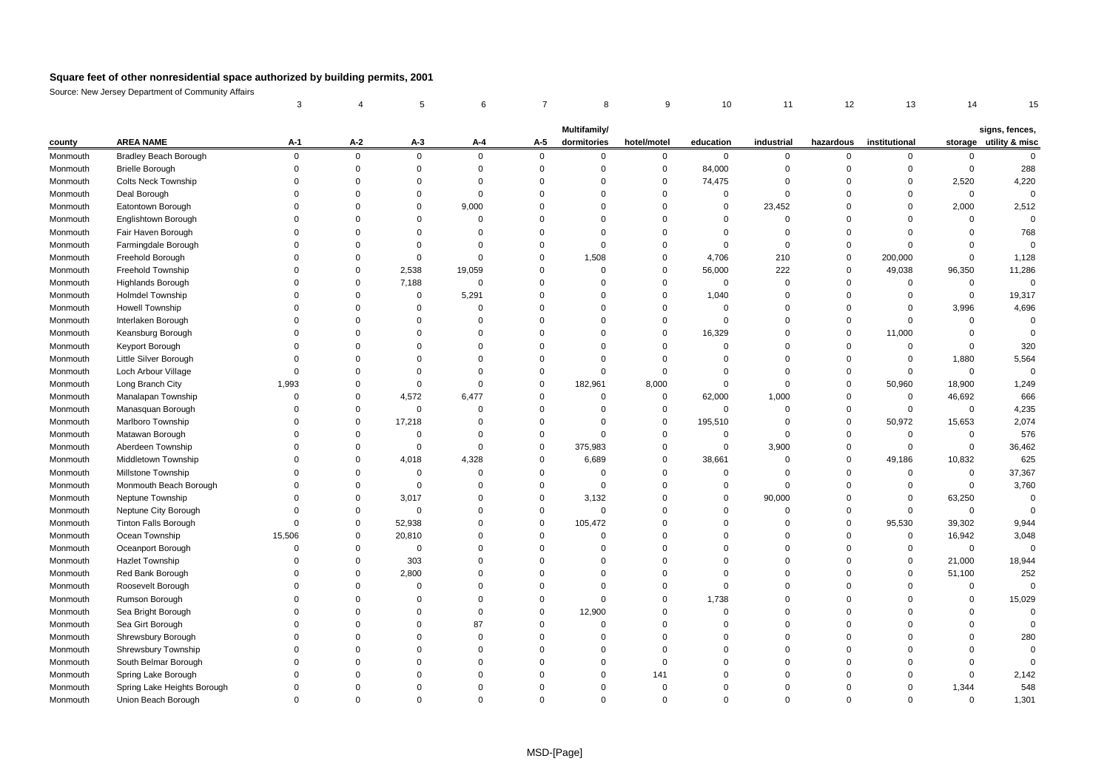|          |                              | 3           |             | 5           | 6              | 7           | 8                           | 9           | 10             | 11             | 12          | 13            | 14             |                                          |
|----------|------------------------------|-------------|-------------|-------------|----------------|-------------|-----------------------------|-------------|----------------|----------------|-------------|---------------|----------------|------------------------------------------|
|          |                              |             |             |             |                |             |                             |             |                |                |             |               |                |                                          |
| county   | <b>AREA NAME</b>             | $A-1$       | $A-2$       | $A-3$       | A-4            | A-5         | Multifamily/<br>dormitories | hotel/motel | education      | industrial     | hazardous   | institutional |                | signs, fences,<br>storage utility & misc |
| Monmouth | <b>Bradley Beach Borough</b> | $\mathbf 0$ | $\mathbf 0$ | $\mathbf 0$ | $\mathbf 0$    | $\mathbf 0$ | $\mathbf 0$                 | 0           | $\mathbf 0$    | 0              | 0           | 0             | 0              | $\mathsf{O}$                             |
| Monmouth | <b>Brielle Borough</b>       |             | $\mathbf 0$ | $\mathbf 0$ | $\mathbf 0$    | $\Omega$    | $\Omega$                    | $\mathbf 0$ | 84,000         | $\Omega$       | $\mathbf 0$ | $\mathbf 0$   | $\Omega$       | 288                                      |
| Monmouth | <b>Colts Neck Township</b>   |             | $\mathbf 0$ | $\Omega$    | $\mathbf 0$    | $\Omega$    | $\Omega$                    | 0           | 74,475         | $\Omega$       | $\mathbf 0$ | $\Omega$      | 2,520          | 4,220                                    |
| Monmouth | Deal Borough                 | $\Omega$    | $\Omega$    | $\Omega$    | $\overline{0}$ | $\Omega$    | $\Omega$                    | $\mathbf 0$ | $\mathbf 0$    | $\Omega$       | $\Omega$    | $\Omega$      | $\mathbf 0$    | $\Omega$                                 |
| Monmouth | Eatontown Borough            |             | $\mathbf 0$ | $\mathbf 0$ | 9,000          | $\Omega$    | $\Omega$                    | $\mathbf 0$ | $\mathbf 0$    | 23,452         | $\mathbf 0$ | $\mathbf 0$   | 2,000          | 2,512                                    |
| Monmouth | Englishtown Borough          |             | $\Omega$    | $\Omega$    | $\mathbf 0$    | $\Omega$    | $\Omega$                    | $\Omega$    | $\Omega$       | $\Omega$       | $\Omega$    | $\Omega$      | $\Omega$       | $\Omega$                                 |
| Monmouth | Fair Haven Borough           |             | $\Omega$    | $\mathbf 0$ | $\mathbf 0$    | $\Omega$    | $\Omega$                    | $\Omega$    | $\mathbf 0$    | $\Omega$       | $\mathbf 0$ | $\Omega$      | $\Omega$       | 768                                      |
| Monmouth | Farmingdale Borough          | $\Omega$    | $\Omega$    | $\mathbf 0$ | $\mathbf 0$    | $\Omega$    | $\Omega$                    | $\Omega$    | $\mathbf 0$    | $\mathbf 0$    | $\mathbf 0$ | $\mathbf 0$   | $\Omega$       | $\mathbf 0$                              |
| Monmouth | Freehold Borough             | $\Omega$    | $\Omega$    | $\mathbf 0$ | $\mathbf 0$    | $\Omega$    | 1,508                       | $\mathbf 0$ | 4,706          | 210            | $\mathbf 0$ | 200,000       | $\Omega$       | 1,128                                    |
| Monmouth | Freehold Township            |             | $\Omega$    | 2,538       | 19,059         | $\Omega$    | $\Omega$                    | $\Omega$    | 56,000         | 222            | $\Omega$    | 49,038        | 96,350         | 11,286                                   |
| Monmouth | <b>Highlands Borough</b>     | $\Omega$    | $\Omega$    | 7,188       | $\mathbf 0$    | $\Omega$    | $\Omega$                    | $\mathbf 0$ | $\mathbf 0$    | 0              | $\mathbf 0$ | 0             | 0              | $\mathbf 0$                              |
| Monmouth | Holmdel Township             | $\Omega$    | $\Omega$    | $\mathbf 0$ | 5,291          | $\Omega$    | $\Omega$                    | $\mathbf 0$ | 1,040          | $\Omega$       | $\mathbf 0$ | $\mathbf 0$   | $\mathbf 0$    | 19,317                                   |
| Monmouth | Howell Township              | $\Omega$    | $\Omega$    | $\mathbf 0$ | $\mathbf 0$    | $\Omega$    | $\Omega$                    | $\mathbf 0$ | $\overline{0}$ | $\Omega$       | $\mathbf 0$ | 0             | 3,996          | 4,696                                    |
| Monmouth | Interlaken Borough           | $\Omega$    | $\Omega$    | $\Omega$    | $\mathbf 0$    | $\Omega$    | $\Omega$                    | $\mathbf 0$ | $\mathbf 0$    | $\Omega$       | $\mathbf 0$ | $\mathbf 0$   | $\Omega$       | $\Omega$                                 |
| Monmouth | Keansburg Borough            |             | $\Omega$    | $\mathbf 0$ | $\mathbf 0$    | $\Omega$    | 0                           | $\mathbf 0$ | 16,329         | $\mathbf 0$    | $\mathbf 0$ | 11,000        | $\overline{0}$ | $\mathbf 0$                              |
| Monmouth | Keyport Borough              | $\Omega$    | $\Omega$    | $\Omega$    | $\overline{0}$ | $\Omega$    | $\Omega$                    | $\Omega$    | $\mathbf 0$    | $\Omega$       | $\mathbf 0$ | $\mathbf 0$   | $\Omega$       | 320                                      |
| Monmouth | Little Silver Borough        | $\Omega$    | $\Omega$    | $\Omega$    | $\overline{0}$ | $\Omega$    | $\Omega$                    | $\mathbf 0$ | $\Omega$       | $\Omega$       | $\mathbf 0$ | $\mathbf 0$   | 1,880          | 5,564                                    |
| Monmouth | Loch Arbour Village          | $\Omega$    | $\Omega$    | $\Omega$    | $\overline{0}$ | $\Omega$    | $\Omega$                    | $\Omega$    | $\Omega$       | $\Omega$       | $\mathbf 0$ | $\mathbf 0$   | $\mathbf 0$    | $\mathbf 0$                              |
| Monmouth | Long Branch City             | 1,993       | $\Omega$    | $\mathbf 0$ | $\mathbf 0$    | $\Omega$    | 182,961                     | 8,000       | $\mathbf 0$    | $\mathbf 0$    | $\mathbf 0$ | 50,960        | 18,900         | 1,249                                    |
| Monmouth | Manalapan Township           | $\Omega$    | $\Omega$    | 4,572       | 6,477          | $\Omega$    | $\Omega$                    | $\mathbf 0$ | 62,000         | 1,000          | $\mathbf 0$ | $\mathbf 0$   | 46,692         | 666                                      |
| Monmouth | Manasquan Borough            | $\Omega$    | $\mathbf 0$ | $\mathbf 0$ | $\mathbf 0$    | $\Omega$    | $\Omega$                    | 0           | $\mathbf 0$    | $\overline{0}$ | 0           | 0             | $\mathbf 0$    | 4,235                                    |
| Monmouth | Marlboro Township            | $\Omega$    | $\Omega$    | 17,218      | $\overline{0}$ | $\Omega$    | $\Omega$                    | $\mathbf 0$ | 195,510        | $\mathbf 0$    | $\mathbf 0$ | 50,972        | 15,653         | 2,074                                    |
| Monmouth | Matawan Borough              |             | $\Omega$    | $\mathbf 0$ | $\mathbf 0$    | $\Omega$    | $\Omega$                    | $\mathbf 0$ | $\mathbf 0$    | $\Omega$       | $\mathbf 0$ | 0             | $\overline{0}$ | 576                                      |
| Monmouth | Aberdeen Township            |             | $\Omega$    | $\mathbf 0$ | $\overline{0}$ | $\Omega$    | 375,983                     | $\Omega$    | $\mathbf 0$    | 3,900          | $\mathbf 0$ | $\mathbf 0$   | $\mathbf 0$    | 36,462                                   |
| Monmouth | Middletown Township          | $\Omega$    | $\Omega$    | 4,018       | 4,328          | $\Omega$    | 6,689                       | $\mathbf 0$ | 38,661         | $\mathbf 0$    | $\mathbf 0$ | 49,186        | 10,832         | 625                                      |
| Monmouth | Millstone Township           | $\Omega$    | $\Omega$    | $\mathbf 0$ | $\mathbf 0$    | $\Omega$    | $\Omega$                    | $\Omega$    | $\mathbf 0$    | $\Omega$       | $\mathbf 0$ | 0             | $\mathbf 0$    | 37,367                                   |
| Monmouth | Monmouth Beach Borough       | $\Omega$    | $\Omega$    | $\mathbf 0$ | $\mathbf 0$    | $\Omega$    | $\overline{0}$              | $\Omega$    | $\mathbf 0$    | $\Omega$       | $\mathbf 0$ | $\mathbf 0$   | $\mathbf 0$    | 3,760                                    |
| Monmouth | Neptune Township             | $\Omega$    | $\Omega$    | 3,017       | $\Omega$       | $\Omega$    | 3,132                       | $\Omega$    | $\mathbf 0$    | 90,000         | $\mathbf 0$ | $\mathbf 0$   | 63,250         | $\Omega$                                 |
| Monmouth | Neptune City Borough         | $\Omega$    | $\Omega$    | $\mathbf 0$ | $\mathbf 0$    | $\Omega$    | 0                           | $\Omega$    | $\mathbf 0$    | $\overline{0}$ | 0           | $\mathbf 0$   | $\mathbf 0$    | $\mathbf 0$                              |
| Monmouth | <b>Tinton Falls Borough</b>  | $\Omega$    | $\Omega$    | 52,938      | $\overline{0}$ | $\Omega$    | 105,472                     | $\Omega$    | $\mathbf 0$    | $\Omega$       | $\Omega$    | 95,530        | 39,302         | 9,944                                    |
| Monmouth | Ocean Township               | 15,506      | $\Omega$    | 20,810      | $\mathbf 0$    | $\Omega$    | 0                           | $\Omega$    | $\Omega$       | $\Omega$       | $\Omega$    | $\mathbf 0$   | 16,942         | 3,048                                    |
| Monmouth | Oceanport Borough            | $\Omega$    | $\Omega$    | $\mathbf 0$ | $\Omega$       | $\Omega$    | 0                           | $\Omega$    | $\Omega$       | $\Omega$       | $\Omega$    | $\Omega$      | $\Omega$       | $\Omega$                                 |
| Monmouth | Hazlet Township              | $\Omega$    | $\mathbf 0$ | 303         | $\Omega$       | $\Omega$    | $\Omega$                    | $\Omega$    | $\mathbf 0$    | $\Omega$       | $\mathbf 0$ | $\mathbf 0$   | 21,000         | 18,944                                   |
| Monmouth | Red Bank Borough             | $\Omega$    | $\mathbf 0$ | 2,800       | $\overline{0}$ | $\Omega$    | $\Omega$                    | $\Omega$    | $\Omega$       | $\Omega$       | $\mathbf 0$ | $\mathbf 0$   | 51,100         | 252                                      |
| Monmouth | Roosevelt Borough            |             | $\Omega$    | 0           | $\overline{0}$ | $\Omega$    | $\Omega$                    | $\Omega$    | $\mathbf 0$    | $\Omega$       | $\Omega$    | $\mathbf 0$   | $\mathbf 0$    | $\Omega$                                 |
| Monmouth | Rumson Borough               |             | $\Omega$    | $\Omega$    | $\Omega$       | $\Omega$    | $\Omega$                    | $\Omega$    | 1,738          | $\Omega$       | $\Omega$    | $\mathbf 0$   | $\mathbf 0$    | 15,029                                   |
| Monmouth | Sea Bright Borough           |             | $\Omega$    | $\mathbf 0$ | $\mathbf 0$    | $\Omega$    | 12,900                      | 0           | $\mathbf 0$    | $\mathbf 0$    | $\Omega$    | 0             | $\Omega$       | $\Omega$                                 |
| Monmouth | Sea Girt Borough             |             | $\Omega$    | $\Omega$    | 87             | $\Omega$    | $\Omega$                    | $\Omega$    | $\Omega$       | $\Omega$       | $\Omega$    | $\Omega$      | $\Omega$       | $\mathbf 0$                              |
| Monmouth | Shrewsbury Borough           |             | $\Omega$    | $\Omega$    | $\mathbf 0$    | $\Omega$    | O                           | $\Omega$    | $\Omega$       | $\Omega$       | $\Omega$    | $\Omega$      | $\Omega$       | 280                                      |
| Monmouth | Shrewsbury Township          |             | $\Omega$    | $\Omega$    | $\Omega$       | $\Omega$    | $\Omega$                    | $\Omega$    | $\Omega$       | $\Omega$       | $\Omega$    | $\Omega$      | $\Omega$       | $\Omega$                                 |
| Monmouth | South Belmar Borough         |             | $\Omega$    | $\Omega$    | $\Omega$       | $\Omega$    | $\Omega$                    | $\mathbf 0$ | $\mathbf 0$    | $\Omega$       | $\Omega$    | $\Omega$      | $\Omega$       | $\Omega$                                 |
| Monmouth | Spring Lake Borough          |             | $\Omega$    | $\Omega$    | $\Omega$       | $\Omega$    | $\Omega$                    | 141         | $\Omega$       | $\Omega$       | $\Omega$    | $\mathbf 0$   | $\mathbf 0$    | 2,142                                    |
| Monmouth | Spring Lake Heights Borough  |             | $\Omega$    | $\Omega$    | $\Omega$       | $\Omega$    | $\Omega$                    | $\Omega$    | $\Omega$       | $\Omega$       | $\Omega$    | $\mathbf 0$   | 1,344          | 548                                      |
| Monmouth | Union Beach Borough          |             | $\Omega$    | $\Omega$    | $\Omega$       | $\Omega$    | $\Omega$                    | $\Omega$    | $\Omega$       | $\Omega$       | $\Omega$    | $\Omega$      | $\Omega$       | 1,301                                    |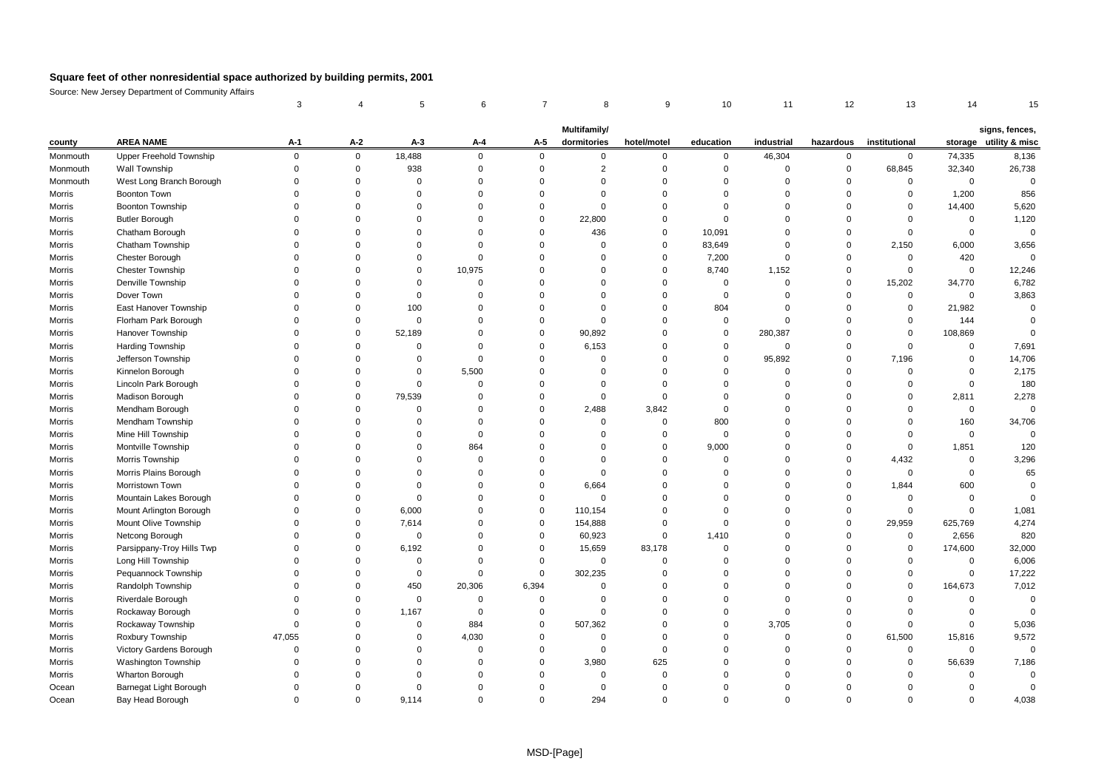|          |                            | 3           | $\overline{4}$ | 5           | 6              | 7           | 8                           | 9           | 10          | 11          | 12          | 13            | 14             | 15                                       |
|----------|----------------------------|-------------|----------------|-------------|----------------|-------------|-----------------------------|-------------|-------------|-------------|-------------|---------------|----------------|------------------------------------------|
|          |                            |             |                |             |                |             |                             |             |             |             |             |               |                |                                          |
| county   | <b>AREA NAME</b>           | $A-1$       | $A-2$          | $A-3$       | A-4            | A-5         | Multifamily/<br>dormitories | hotel/motel | education   | industrial  | hazardous   | institutional |                | signs, fences,<br>storage utility & misc |
| Monmouth | Upper Freehold Township    | $\mathbf 0$ | $\mathbf 0$    | 18,488      | $\mathbf 0$    | $\mathbf 0$ | $\mathbf 0$                 | 0           | $\mathbf 0$ | 46,304      | 0           | 0             | 74,335         | 8,136                                    |
| Monmouth | Wall Township              | $\Omega$    | $\mathbf 0$    | 938         | $\overline{0}$ | $\Omega$    | $\overline{2}$              | $\mathbf 0$ | $\mathbf 0$ | $\Omega$    | $\mathbf 0$ | 68,845        | 32,340         | 26,738                                   |
| Monmouth | West Long Branch Borough   | $\Omega$    | $\mathbf 0$    | $\Omega$    | $\Omega$       | $\Omega$    | $\Omega$                    | $\Omega$    | $\mathbf 0$ | $\Omega$    | 0           | 0             | $\mathbf 0$    | $\overline{0}$                           |
| Morris   | <b>Boonton Town</b>        | $\Omega$    | $\Omega$       | $\Omega$    | $\Omega$       | $\Omega$    | $\Omega$                    | $\Omega$    | $\Omega$    | $\Omega$    | $\mathbf 0$ | $\mathbf 0$   | 1,200          | 856                                      |
| Morris   | <b>Boonton Township</b>    | $\Omega$    | $\mathbf 0$    | $\Omega$    | $\mathbf 0$    | $\Omega$    | $\Omega$                    | $\Omega$    | $\mathbf 0$ | $\Omega$    | 0           | 0             | 14,400         | 5,620                                    |
| Morris   | <b>Butler Borough</b>      | $\Omega$    | $\Omega$       | $\Omega$    | $\overline{0}$ | $\Omega$    | 22,800                      | $\Omega$    | $\Omega$    | $\Omega$    | $\Omega$    | $\Omega$      | $\mathbf 0$    | 1,120                                    |
| Morris   | Chatham Borough            | $\Omega$    | $\Omega$       | $\mathbf 0$ | $\mathbf 0$    | $\Omega$    | 436                         | 0           | 10,091      | $\Omega$    | 0           | $\mathbf 0$   | $\mathbf 0$    | $\mathbf 0$                              |
| Morris   | Chatham Township           | $\Omega$    | $\Omega$       | $\mathbf 0$ | $\overline{0}$ | $\Omega$    | $\Omega$                    | $\mathbf 0$ | 83,649      | $\Omega$    | $\mathbf 0$ | 2,150         | 6,000          | 3,656                                    |
| Morris   | <b>Chester Borough</b>     | $\Omega$    | $\Omega$       | $\mathbf 0$ | $\mathbf 0$    | $\Omega$    | $\Omega$                    | $\mathbf 0$ | 7,200       | $\Omega$    | $\mathbf 0$ | $\mathbf 0$   | 420            | 0                                        |
| Morris   | <b>Chester Township</b>    |             | $\Omega$       | $\Omega$    | 10,975         | $\Omega$    | $\Omega$                    | $\Omega$    | 8,740       | 1,152       | $\mathbf 0$ | $\Omega$      | $\mathbf 0$    | 12,246                                   |
| Morris   | Denville Township          | $\Omega$    | $\Omega$       | $\mathbf 0$ | $\mathbf 0$    | $\Omega$    | $\Omega$                    | $\Omega$    | $\mathbf 0$ | $\mathbf 0$ | $\mathbf 0$ | 15,202        | 34,770         | 6,782                                    |
| Morris   | Dover Town                 | $\Omega$    | $\Omega$       | $\mathbf 0$ | $\overline{0}$ | $\Omega$    | $\Omega$                    | $\Omega$    | $\mathbf 0$ | $\Omega$    | $\mathbf 0$ | $\mathbf 0$   | $\mathbf 0$    | 3,863                                    |
| Morris   | East Hanover Township      | $\Omega$    | $\Omega$       | 100         | $\mathbf 0$    | $\Omega$    | $\Omega$                    | $\Omega$    | 804         | $\Omega$    | $\mathbf 0$ | $\mathbf 0$   | 21,982         | $\mathbf 0$                              |
| Morris   | Florham Park Borough       | $\Omega$    | $\Omega$       | $\mathbf 0$ | $\overline{0}$ | $\Omega$    | $\Omega$                    | $\Omega$    | $\mathbf 0$ | $\Omega$    | $\Omega$    | $\mathbf 0$   | 144            | $\Omega$                                 |
| Morris   | Hanover Township           |             | $\Omega$       | 52,189      | $\mathbf 0$    | $\Omega$    | 90,892                      | 0           | $\mathbf 0$ | 280,387     | $\Omega$    | $\mathbf 0$   | 108,869        | $\mathbf 0$                              |
| Morris   | Harding Township           |             | $\Omega$       | $\mathbf 0$ | $\overline{0}$ | $\Omega$    | 6,153                       | $\Omega$    | $\mathbf 0$ | $\Omega$    | $\mathbf 0$ | $\mathbf 0$   | $\Omega$       | 7,691                                    |
| Morris   | Jefferson Township         |             | $\Omega$       | $\Omega$    | $\overline{0}$ | $\Omega$    | $\Omega$                    | $\Omega$    | $\mathbf 0$ | 95,892      | $\mathbf 0$ | 7,196         | $\overline{0}$ | 14,706                                   |
| Morris   | Kinnelon Borough           | $\Omega$    | $\Omega$       | $\Omega$    | 5,500          | $\Omega$    | $\Omega$                    | $\Omega$    | $\Omega$    | $\Omega$    | $\Omega$    | $\mathbf 0$   | $\Omega$       | 2,175                                    |
| Morris   | Lincoln Park Borough       | $\Omega$    | $\Omega$       | $\mathbf 0$ | $\mathbf 0$    | $\Omega$    | $\Omega$                    | $\mathbf 0$ | $\mathbf 0$ | $\Omega$    | 0           | 0             | $\mathbf 0$    | 180                                      |
| Morris   | Madison Borough            | $\Omega$    | $\Omega$       | 79.539      | $\overline{0}$ | $\Omega$    | $\Omega$                    | $\mathbf 0$ | $\mathbf 0$ | $\Omega$    | $\mathbf 0$ | $\mathbf 0$   | 2,811          | 2,278                                    |
| Morris   | Mendham Borough            | $\Omega$    | $\Omega$       | 0           | $\mathbf 0$    | $\Omega$    | 2,488                       | 3,842       | $\mathbf 0$ | $\Omega$    | $\Omega$    | $\Omega$      | $\mathbf 0$    | $\Omega$                                 |
| Morris   | Mendham Township           | $\Omega$    | $\Omega$       | $\mathbf 0$ | $\overline{0}$ | $\Omega$    | $\Omega$                    | $\mathbf 0$ | 800         | $\Omega$    | $\Omega$    | $\mathbf 0$   | 160            | 34,706                                   |
| Morris   | Mine Hill Township         |             | $\Omega$       | $\Omega$    | $\mathbf 0$    | $\Omega$    | $\Omega$                    | $\mathbf 0$ | $\mathbf 0$ | $\Omega$    | $\mathbf 0$ | $\mathbf 0$   | $\Omega$       | $\Omega$                                 |
| Morris   | Montville Township         |             | $\Omega$       | $\Omega$    | 864            | $\Omega$    | $\Omega$                    | $\Omega$    | 9,000       | $\Omega$    | $\Omega$    | $\Omega$      | 1,851          | 120                                      |
| Morris   | Morris Township            | $\Omega$    | $\Omega$       | $\Omega$    | $\mathbf 0$    | $\Omega$    | $\Omega$                    | $\Omega$    | $\mathbf 0$ | $\Omega$    | $\mathbf 0$ | 4,432         | $\mathbf 0$    | 3,296                                    |
| Morris   | Morris Plains Borough      |             | $\Omega$       | $\Omega$    | $\overline{0}$ | $\Omega$    | $\Omega$                    | $\Omega$    | $\Omega$    | $\Omega$    | $\mathbf 0$ | $\mathbf 0$   | $\mathbf 0$    | 65                                       |
| Morris   | Morristown Town            | $\Omega$    | $\Omega$       | $\mathbf 0$ | $\mathbf 0$    | $\Omega$    | 6,664                       | $\Omega$    | $\mathbf 0$ | $\mathbf 0$ | $\mathbf 0$ | 1,844         | 600            | $\mathbf 0$                              |
| Morris   | Mountain Lakes Borough     | $\Omega$    | $\Omega$       | $\mathbf 0$ | $\overline{0}$ | $\Omega$    | $\Omega$                    | $\Omega$    | $\Omega$    | $\Omega$    | $\mathbf 0$ | 0             | $\Omega$       | $\Omega$                                 |
| Morris   | Mount Arlington Borough    |             | $\Omega$       | 6,000       | $\mathbf 0$    | $\Omega$    | 110,154                     | 0           | $\Omega$    | $\Omega$    | $\mathbf 0$ | 0             | $\overline{0}$ | 1,081                                    |
| Morris   | Mount Olive Township       | $\Omega$    | $\Omega$       | 7,614       | $\overline{0}$ | $\Omega$    | 154,888                     | $\mathbf 0$ | $\mathbf 0$ | $\Omega$    | $\mathbf 0$ | 29,959        | 625,769        | 4,274                                    |
| Morris   | Netcong Borough            |             | $\Omega$       | $\mathbf 0$ | $\Omega$       | $\Omega$    | 60,923                      | $\mathbf 0$ | 1,410       | $\Omega$    | $\Omega$    | $\mathbf 0$   | 2,656          | 820                                      |
| Morris   | Parsippany-Troy Hills Twp  | $\Omega$    | $\Omega$       | 6,192       | $\overline{0}$ | $\Omega$    | 15,659                      | 83,178      | $\mathbf 0$ | $\Omega$    | $\Omega$    | $\Omega$      | 174,600        | 32,000                                   |
| Morris   | Long Hill Township         | $\Omega$    | $\Omega$       | $\mathbf 0$ | $\overline{0}$ | $\Omega$    | $\Omega$                    | 0           | $\mathbf 0$ | $\Omega$    | $\mathbf 0$ | 0             | $\mathbf 0$    | 6,006                                    |
| Morris   | Pequannock Township        | $\Omega$    | $\mathbf 0$    | $\mathbf 0$ | $\overline{0}$ | $\mathbf 0$ | 302,235                     | $\mathbf 0$ | $\mathbf 0$ | $\Omega$    | $\mathbf 0$ | $\mathbf 0$   | $\mathbf 0$    | 17,222                                   |
| Morris   | Randolph Township          | $\Omega$    | $\Omega$       | 450         | 20,306         | 6,394       | $\Omega$                    | $\Omega$    | $\mathbf 0$ | $\Omega$    | $\mathbf 0$ | $\mathbf 0$   | 164,673        | 7,012                                    |
| Morris   | Riverdale Borough          | $\Omega$    | $\Omega$       | $\mathbf 0$ | $\overline{0}$ | $\mathbf 0$ | $\Omega$                    | $\Omega$    | $\Omega$    | $\Omega$    | $\Omega$    | $\mathbf 0$   | $\mathbf 0$    | $\mathsf 0$                              |
| Morris   | Rockaway Borough           | $\Omega$    | $\Omega$       | 1,167       | $\mathbf 0$    | $\Omega$    | $\Omega$                    | 0           | $\mathbf 0$ | $\Omega$    | 0           | 0             | $\overline{0}$ | $\Omega$                                 |
| Morris   | Rockaway Township          | $\Omega$    | $\Omega$       | $\mathbf 0$ | 884            | $\Omega$    | 507,362                     | $\Omega$    | $\mathbf 0$ | 3,705       | $\mathbf 0$ | $\mathbf 0$   | $\Omega$       | 5,036                                    |
| Morris   | Roxbury Township           | 47,055      | $\Omega$       | $\Omega$    | 4,030          | $\Omega$    | O                           | $\Omega$    | $\Omega$    | $\Omega$    | $\mathbf 0$ | 61,500        | 15,816         | 9,572                                    |
| Morris   | Victory Gardens Borough    | $\Omega$    | $\Omega$       | $\Omega$    | $\overline{0}$ | $\Omega$    | $\Omega$                    | $\mathbf 0$ | $\Omega$    | $\Omega$    | $\mathbf 0$ | $\mathbf 0$   | $\mathbf 0$    | $\mathbf 0$                              |
| Morris   | <b>Washington Township</b> | $\Omega$    | $\Omega$       | $\Omega$    | $\overline{0}$ | $\Omega$    | 3,980                       | 625         | $\mathbf 0$ | $\Omega$    | $\mathbf 0$ | $\mathbf 0$   | 56,639         | 7,186                                    |
| Morris   | <b>Wharton Borough</b>     |             | $\Omega$       | $\Omega$    | $\Omega$       | $\Omega$    | $\Omega$                    | $\mathbf 0$ | $\mathbf 0$ | $\Omega$    | $\Omega$    | $\Omega$      | $\Omega$       | $\Omega$                                 |
| Ocean    | Barnegat Light Borough     | $\Omega$    | $\Omega$       | $\Omega$    | $\Omega$       | $\Omega$    | $\Omega$                    | $\Omega$    | $\Omega$    | $\Omega$    | $\Omega$    | 0             | $\Omega$       | $\mathbf 0$                              |
| Ocean    | Bay Head Borough           |             | $\Omega$       | 9.114       | $\Omega$       | $\Omega$    | 294                         | $\Omega$    | $\Omega$    | $\Omega$    | $\Omega$    | $\Omega$      | $\Omega$       | 4,038                                    |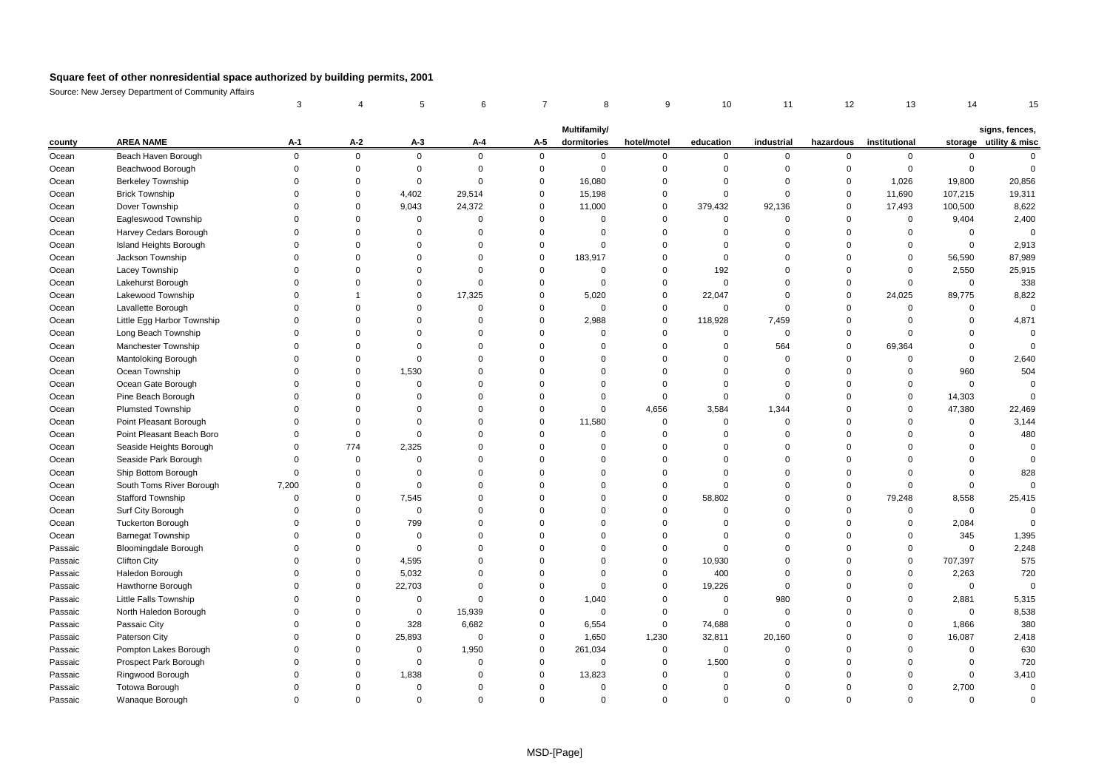|         |                            | 3           |             | 5           |                | 7           | 8            | 9           | 10          | 11             | 12          | 13            | 14          |                        |
|---------|----------------------------|-------------|-------------|-------------|----------------|-------------|--------------|-------------|-------------|----------------|-------------|---------------|-------------|------------------------|
|         |                            |             |             |             |                |             | Multifamily/ |             |             |                |             |               |             | signs, fences,         |
| county  | <b>AREA NAME</b>           | A-1         | $A-2$       | $A-3$       | A-4            | A-5         | dormitories  | hotel/motel | education   | industrial     | hazardous   | institutional |             | storage utility & misc |
| Ocean   | Beach Haven Borough        | $\mathbf 0$ | $\mathbf 0$ | $\mathsf 0$ | $\mathbf 0$    | $\mathsf 0$ | $\mathbf 0$  | $\mathbf 0$ | $\mathbf 0$ | $\mathbf 0$    | 0           | $\mathbf 0$   | $\mathbf 0$ | $\mathbf 0$            |
| Ocean   | Beachwood Borough          | $\Omega$    | 0           | $\mathbf 0$ | $\mathbf 0$    | $\mathbf 0$ | $\mathbf 0$  | $\mathbf 0$ | $\Omega$    | $\Omega$       | $\mathbf 0$ | $\mathbf{0}$  | $\mathbf 0$ | $\overline{0}$         |
| Ocean   | <b>Berkeley Township</b>   |             | $\Omega$    | $\mathsf 0$ | $\mathbf 0$    | $\Omega$    | 16,080       | $\Omega$    | $\Omega$    | $\Omega$       | 0           | 1,026         | 19,800      | 20,856                 |
| Ocean   | <b>Brick Township</b>      |             | $\mathbf 0$ | 4,402       | 29,514         | $\Omega$    | 15,198       | $\Omega$    | $\Omega$    | $\Omega$       | $\mathbf 0$ | 11,690        | 107,215     | 19,311                 |
| Ocean   | Dover Township             | $\Omega$    | 0           | 9,043       | 24,372         | $\Omega$    | 11,000       | 0           | 379,432     | 92,136         | 0           | 17,493        | 100,500     | 8,622                  |
| Ocean   | Eagleswood Township        |             | $\mathbf 0$ | $\mathbf 0$ | $\mathbf 0$    | $\Omega$    | $\Omega$     | 0           | $\Omega$    | $\Omega$       | $\mathbf 0$ | $\mathbf 0$   | 9,404       | 2,400                  |
| Ocean   | Harvey Cedars Borough      |             | $\mathbf 0$ | $\mathsf 0$ | $\mathbf 0$    | $\mathbf 0$ | $\Omega$     | $\mathbf 0$ | $\Omega$    | $\Omega$       | $\Omega$    | $\mathbf 0$   | $\mathbf 0$ | $\overline{0}$         |
| Ocean   | Island Heights Borough     |             | $\Omega$    | $\Omega$    | $\mathbf 0$    | $\Omega$    | $\Omega$     | $\Omega$    | $\Omega$    | $\Omega$       | $\Omega$    | $\mathbf 0$   | $\mathbf 0$ | 2,913                  |
| Ocean   | Jackson Township           |             | 0           | $\mathbf 0$ | $\mathbf 0$    | $\mathbf 0$ | 183,917      | 0           | $\Omega$    | 0              | $\Omega$    | $\mathbf 0$   | 56,590      | 87,989                 |
| Ocean   | Lacey Township             |             | $\Omega$    | $\Omega$    | $\mathbf 0$    | $\Omega$    | $\mathbf 0$  | $\Omega$    | 192         | $\Omega$       | $\Omega$    | $\mathbf 0$   | 2,550       | 25,915                 |
| Ocean   | Lakehurst Borough          |             | $\Omega$    | $\Omega$    | $\mathbf 0$    | $\Omega$    | $\Omega$     | $\mathbf 0$ | $\Omega$    | 0              | $\mathbf 0$ | $\Omega$      | $\mathbf 0$ | 338                    |
| Ocean   | Lakewood Township          |             | 1           | $\Omega$    | 17,325         | $\Omega$    | 5,020        | 0           | 22,047      | $\Omega$       | 0           | 24,025        | 89,775      | 8,822                  |
| Ocean   | Lavallette Borough         |             | $\Omega$    | $\Omega$    | $\mathbf 0$    | $\Omega$    | $\mathbf 0$  | 0           | $\Omega$    | $\Omega$       | $\Omega$    | $\mathbf 0$   | $\mathbf 0$ | $\Omega$               |
| Ocean   | Little Egg Harbor Township |             | $\mathbf 0$ | $\Omega$    | $\mathbf 0$    | $\mathbf 0$ | 2,988        | 0           | 118,928     | 7,459          | $\Omega$    | $\mathbf 0$   | $\mathbf 0$ | 4,871                  |
| Ocean   | Long Beach Township        |             | $\Omega$    | $\Omega$    | $\mathbf 0$    | $\Omega$    | $\Omega$     | $\mathbf 0$ | $\Omega$    | $\Omega$       | $\mathbf 0$ | $\Omega$      | $\Omega$    | $\overline{0}$         |
| Ocean   | Manchester Township        |             | $\Omega$    | $\mathbf 0$ | $\mathbf 0$    | $\Omega$    | $\Omega$     | $\mathbf 0$ | $\Omega$    | 564            | $\mathbf 0$ | 69,364        | $\mathbf 0$ | $\Omega$               |
| Ocean   | Mantoloking Borough        |             | $\Omega$    | $\mathbf 0$ | $\mathbf 0$    | $\Omega$    | $\Omega$     | $\Omega$    | $\Omega$    | $\Omega$       | $\Omega$    | $\mathbf 0$   | $\mathbf 0$ | 2,640                  |
| Ocean   | Ocean Township             |             | $\Omega$    | 1,530       | $\mathbf 0$    | $\Omega$    | $\Omega$     | $\Omega$    | $\Omega$    | $\Omega$       | $\Omega$    | $\mathbf 0$   | 960         | 504                    |
| Ocean   | Ocean Gate Borough         |             | $\Omega$    | $\mathbf 0$ | $\mathbf 0$    | $\Omega$    | $\Omega$     | $\mathbf 0$ | $\Omega$    | $\Omega$       | $\Omega$    | $\mathbf 0$   | $\mathbf 0$ | $\overline{0}$         |
| Ocean   | Pine Beach Borough         | $\Omega$    | $\mathbf 0$ | $\Omega$    | $\mathbf 0$    | $\Omega$    | $\mathbf 0$  | 0           | $\Omega$    | $\Omega$       | $\Omega$    | $\mathbf 0$   | 14,303      | $\mathbf 0$            |
| Ocean   | <b>Plumsted Township</b>   |             | $\Omega$    | $\Omega$    | $\Omega$       | $\Omega$    | $\mathbf 0$  | 4,656       | 3,584       | 1,344          | $\Omega$    | $\mathbf 0$   | 47,380      | 22,469                 |
| Ocean   | Point Pleasant Borough     |             | $\Omega$    | $\mathbf 0$ | $\mathbf 0$    | $\Omega$    | 11,580       | 0           | $\Omega$    | $\mathbf 0$    | $\Omega$    | $\mathbf 0$   | $\mathbf 0$ | 3,144                  |
| Ocean   | Point Pleasant Beach Boro  | $\Omega$    | $\mathbf 0$ | $\mathbf 0$ | $\mathbf 0$    | $\Omega$    | $\mathbf 0$  | $\mathbf 0$ | $\Omega$    | $\Omega$       | $\Omega$    | $\Omega$      | $\Omega$    | 480                    |
| Ocean   | Seaside Heights Borough    | $\Omega$    | 774         | 2,325       | $\Omega$       | $\Omega$    | $\Omega$     | $\Omega$    | $\Omega$    | $\Omega$       | $\Omega$    | $\Omega$      | $\Omega$    | $\overline{0}$         |
| Ocean   | Seaside Park Borough       | $\Omega$    | $\mathbf 0$ | $\Omega$    | $\Omega$       | $\Omega$    | $\Omega$     | $\Omega$    | $\Omega$    | $\Omega$       | $\Omega$    | $\Omega$      | $\Omega$    | $\Omega$               |
| Ocean   | Ship Bottom Borough        | $\Omega$    | $\mathbf 0$ | $\mathbf 0$ | $\mathbf 0$    | $\Omega$    | $\Omega$     | 0           | $\Omega$    | $\Omega$       | $\Omega$    | $\Omega$      | $\mathbf 0$ | 828                    |
| Ocean   | South Toms River Borough   | 7,200       | $\mathbf 0$ | $\mathbf 0$ | $\mathbf 0$    | $\Omega$    | $\Omega$     | $\mathbf 0$ | $\Omega$    | $\Omega$       | $\mathbf 0$ | $\mathbf 0$   | $\mathbf 0$ | $\Omega$               |
| Ocean   | Stafford Township          | $\Omega$    | 0           | 7,545       | $\overline{0}$ | $\Omega$    | $\Omega$     | 0           | 58,802      | $\Omega$       | $\mathbf 0$ | 79,248        | 8,558       | 25,415                 |
| Ocean   | Surf City Borough          | $\Omega$    | $\Omega$    | $\mathbf 0$ | $\mathbf 0$    | $\Omega$    | $\Omega$     | $\mathbf 0$ | $\Omega$    | $\Omega$       | $\Omega$    | $\mathbf 0$   | $\mathbf 0$ | $\Omega$               |
| Ocean   | <b>Tuckerton Borough</b>   |             | $\Omega$    | 799         | $\mathbf 0$    | $\Omega$    | $\Omega$     | $\mathbf 0$ | $\Omega$    | $\Omega$       | $\Omega$    | $\mathbf 0$   | 2,084       | $\Omega$               |
| Ocean   | <b>Barnegat Township</b>   |             | $\Omega$    | $\mathbf 0$ | $\mathbf 0$    | $\Omega$    | $\Omega$     | $\Omega$    | $\Omega$    | $\Omega$       | $\Omega$    | $\Omega$      | 345         | 1,395                  |
| Passaic | Bloomingdale Borough       |             | $\Omega$    | $\mathsf 0$ | $\mathbf 0$    | $\Omega$    | $\Omega$     | $\mathbf 0$ | $\Omega$    | $\Omega$       | $\Omega$    | $\mathbf 0$   | $\mathbf 0$ | 2,248                  |
| Passaic | <b>Clifton City</b>        |             | $\Omega$    | 4,595       | $\mathbf 0$    | $\Omega$    | $\Omega$     | 0           | 10,930      | $\Omega$       | $\Omega$    | $\mathbf 0$   | 707,397     | 575                    |
| Passaic | Haledon Borough            |             | $\mathbf 0$ | 5,032       | $\mathbf 0$    | $\Omega$    | $\mathbf 0$  | 0           | 400         | $\Omega$       | $\Omega$    | $\mathbf 0$   | 2,263       | 720                    |
| Passaic | Hawthorne Borough          |             | $\mathbf 0$ | 22,703      | $\mathbf 0$    | $\Omega$    | $\mathbf 0$  | 0           | 19,226      | $\Omega$       | $\Omega$    | $\mathbf 0$   | $\mathbf 0$ | $\overline{0}$         |
| Passaic | Little Falls Township      |             | 0           | $\mathbf 0$ | $\mathbf 0$    | $\Omega$    | 1,040        | 0           | $\mathbf 0$ | 980            | $\Omega$    | $\mathbf 0$   | 2,881       | 5,315                  |
| Passaic | North Haledon Borough      |             | $\Omega$    | $\mathbf 0$ | 15,939         | $\Omega$    | $\mathbf 0$  | 0           | $\mathbf 0$ | $\mathbf 0$    | $\Omega$    | $\Omega$      | $\mathbf 0$ | 8,538                  |
| Passaic | Passaic City               |             | $\Omega$    | 328         | 6,682          | $\Omega$    | 6,554        | 0           | 74,688      | $\overline{0}$ | $\Omega$    | $\mathbf 0$   | 1,866       | 380                    |
| Passaic | Paterson City              |             | $\Omega$    | 25,893      | $\mathbf 0$    | $\Omega$    | 1,650        | 1,230       | 32,811      | 20,160         | $\Omega$    | $\Omega$      | 16,087      | 2,418                  |
| Passaic | Pompton Lakes Borough      |             | $\Omega$    | $\Omega$    | 1,950          | $\Omega$    | 261,034      | 0           | $\mathbf 0$ | $\Omega$       | $\Omega$    | $\Omega$      | $\mathbf 0$ | 630                    |
| Passaic | Prospect Park Borough      |             | $\mathbf 0$ | $\mathbf 0$ | $\mathbf 0$    | $\Omega$    | $\mathbf 0$  | $\mathbf 0$ | 1,500       | $\Omega$       | $\Omega$    | $\Omega$      | $\mathbf 0$ | 720                    |
| Passaic | Ringwood Borough           |             | $\Omega$    | 1,838       | $\mathbf 0$    | $\Omega$    | 13,823       | $\mathbf 0$ | $\Omega$    | $\Omega$       | $\Omega$    | $\Omega$      | $\mathbf 0$ | 3,410                  |
| Passaic | <b>Totowa Borough</b>      |             | $\Omega$    | $\mathbf 0$ | $\Omega$       | $\Omega$    | $\Omega$     | $\Omega$    | $\Omega$    | $\Omega$       |             | $\Omega$      | 2,700       | $\mathbf 0$            |
| Passaic | Wanaque Borough            |             | $\Omega$    | $\Omega$    | $\Omega$       | $\Omega$    | $\Omega$     | $\Omega$    | $\Omega$    | $\Omega$       |             | $\Omega$      | $\Omega$    | $\Omega$               |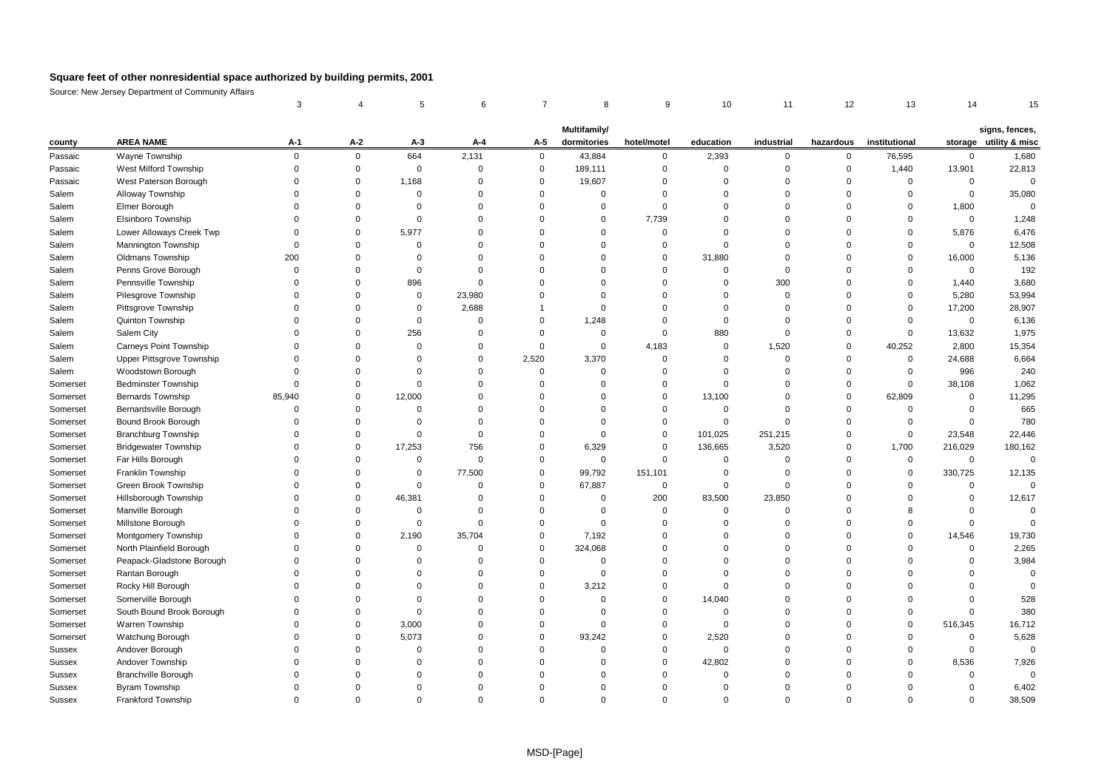|          |                             | 3           |             | 5           | 6              | 7           | 8              | 9           | 10          | 11          | 12          | 13            | 14          |                        |
|----------|-----------------------------|-------------|-------------|-------------|----------------|-------------|----------------|-------------|-------------|-------------|-------------|---------------|-------------|------------------------|
|          |                             |             |             |             |                |             | Multifamily/   |             |             |             |             |               |             | signs, fences,         |
| county   | <b>AREA NAME</b>            | A-1         | $A-2$       | $A-3$       | $A - 4$        | A-5         | dormitories    | hotel/motel | education   | industrial  | hazardous   | institutional |             | storage utility & misc |
| Passaic  | Wayne Township              | $\mathbf 0$ | $\mathbf 0$ | 664         | 2,131          | $\mathbf 0$ | 43,884         | $\mathbf 0$ | 2,393       | $\mathbf 0$ | $\mathbf 0$ | 76,595        | $\mathbf 0$ | 1,680                  |
| Passaic  | West Milford Township       | $\Omega$    | $\mathbf 0$ | $\mathbf 0$ | $\mathbf 0$    | $\Omega$    | 189,111        | $\mathbf 0$ | $\mathbf 0$ | $\Omega$    | $\mathbf 0$ | 1,440         | 13,901      | 22,813                 |
| Passaic  | West Paterson Borough       | $\Omega$    | $\mathbf 0$ | 1,168       | $\mathbf 0$    | $\Omega$    | 19,607         | $\Omega$    | $\Omega$    | $\Omega$    | $\mathbf 0$ | $\mathbf 0$   | $\mathbf 0$ | $\mathsf 0$            |
| Salem    | Alloway Township            | $\Omega$    | $\Omega$    | $\mathbf 0$ | $\overline{0}$ | $\Omega$    | $\Omega$       | $\Omega$    | $\Omega$    | $\Omega$    | $\Omega$    | $\Omega$      | $\mathbf 0$ | 35,080                 |
| Salem    | Elmer Borough               | $\Omega$    | $\mathbf 0$ | $\mathsf 0$ | $\mathbf 0$    | $\Omega$    | $\Omega$       | $\mathbf 0$ | $\mathbf 0$ | 0           | $\mathbf 0$ | $\mathbf 0$   | 1,800       | $\mathbf 0$            |
| Salem    | Elsinboro Township          | $\Omega$    | $\Omega$    | $\mathbf 0$ | $\mathbf 0$    | $\Omega$    | $\Omega$       | 7,739       | $\Omega$    | $\Omega$    | $\mathbf 0$ | $\mathbf 0$   | $\mathbf 0$ | 1,248                  |
| Salem    | Lower Alloways Creek Twp    | $\Omega$    | $\Omega$    | 5,977       | $\mathbf 0$    | $\Omega$    | $\Omega$       | $\pmb{0}$   | $\mathbf 0$ | $\Omega$    | $\Omega$    | $\mathbf 0$   | 5,876       | 6,476                  |
| Salem    | Mannington Township         | $\Omega$    | $\Omega$    | $\mathbf 0$ | $\Omega$       | $\Omega$    | $\Omega$       | $\mathbf 0$ | $\mathbf 0$ | $\Omega$    | $\Omega$    | $\mathbf 0$   | $\mathbf 0$ | 12,508                 |
| Salem    | <b>Oldmans Township</b>     | 200         | 0           | $\mathbf 0$ | $\mathbf 0$    | $\Omega$    | $\mathbf 0$    | $\mathbf 0$ | 31,880      | $\mathbf 0$ | $\mathbf 0$ | $\mathbf 0$   | 16,000      | 5,136                  |
| Salem    | Penns Grove Borough         | $\Omega$    | $\Omega$    | $\mathbf 0$ | $\mathbf 0$    | $\Omega$    | $\Omega$       | $\Omega$    | $\mathbf 0$ | $\Omega$    | $\Omega$    | $\Omega$      | $\Omega$    | 192                    |
| Salem    | Pennsville Township         | $\Omega$    | $\Omega$    | 896         | $\mathbf 0$    | $\Omega$    | $\Omega$       | $\mathbf 0$ | $\mathbf 0$ | 300         | $\Omega$    | $\Omega$      | 1,440       | 3,680                  |
| Salem    | Pilesgrove Township         | $\Omega$    | $\Omega$    | $\mathbf 0$ | 23,980         | $\Omega$    | $\Omega$       | $\Omega$    | $\mathbf 0$ | $\Omega$    | $\Omega$    | $\mathbf 0$   | 5,280       | 53,994                 |
| Salem    | Pittsgrove Township         | $\Omega$    | $\Omega$    | $\mathsf 0$ | 2,688          | 1           | $\Omega$       | $\Omega$    | $\Omega$    | $\Omega$    | $\Omega$    | $\mathbf 0$   | 17,200      | 28,907                 |
| Salem    | Quinton Township            | $\Omega$    | $\Omega$    | $\mathbf 0$ | $\overline{0}$ | $\Omega$    | 1,248          | $\mathbf 0$ | $\mathbf 0$ | $\Omega$    | $\mathbf 0$ | $\mathbf 0$   | $\mathbf 0$ | 6,136                  |
| Salem    | Salem City                  |             | $\Omega$    | 256         | $\Omega$       | $\Omega$    | $\overline{0}$ | $\mathbf 0$ | 880         | $\Omega$    | $\mathbf 0$ | $\mathbf 0$   | 13,632      | 1,975                  |
| Salem    | Carneys Point Township      | $\Omega$    | $\Omega$    | $\mathbf 0$ | $\mathbf 0$    | $\mathbf 0$ | $\Omega$       | 4,183       | $\mathbf 0$ | 1,520       | $\mathbf 0$ | 40,252        | 2,800       | 15,354                 |
| Salem    | Upper Pittsgrove Township   | $\Omega$    | $\Omega$    | $\Omega$    | $\mathbf 0$    | 2,520       | 3,370          | $\mathbf 0$ | $\mathbf 0$ | $\Omega$    | $\mathbf 0$ | $\mathbf 0$   | 24,688      | 6,664                  |
| Salem    | Woodstown Borough           | $\Omega$    | $\Omega$    | $\Omega$    | $\mathbf 0$    | $\Omega$    | $\Omega$       | $\Omega$    | $\mathbf 0$ | $\Omega$    | $\mathbf 0$ | 0             | 996         | 240                    |
| Somerset | <b>Bedminster Township</b>  | $\Omega$    | $\Omega$    | $\Omega$    | $\overline{0}$ | $\Omega$    | $\Omega$       | $\Omega$    | $\mathbf 0$ | $\Omega$    | $\mathbf 0$ | $\mathbf 0$   | 38,108      | 1,062                  |
| Somerset | <b>Bernards Township</b>    | 85,940      | $\Omega$    | 12,000      | $\mathbf 0$    | $\Omega$    | $\mathbf 0$    | $\mathbf 0$ | 13,100      | $\Omega$    | $\mathbf 0$ | 62,809        | $\mathbf 0$ | 11,295                 |
| Somerset | Bernardsville Borough       | $\Omega$    | $\Omega$    | $\Omega$    | $\overline{0}$ | $\Omega$    | $\Omega$       | $\mathbf 0$ | $\mathbf 0$ | $\Omega$    | $\mathbf 0$ | 0             | $\mathbf 0$ | 665                    |
| Somerset | Bound Brook Borough         | $\Omega$    | $\Omega$    | $\mathbf 0$ | $\mathbf 0$    | $\Omega$    | $\Omega$       | $\mathbf 0$ | $\mathbf 0$ | $\mathbf 0$ | $\mathbf 0$ | $\mathbf 0$   | $\mathbf 0$ | 780                    |
| Somerset | <b>Branchburg Township</b>  | $\Omega$    | $\Omega$    | $\mathbf 0$ | $\mathbf 0$    | $\Omega$    | $\Omega$       | $\mathbf 0$ | 101,025     | 251,215     | $\mathbf 0$ | $\mathbf 0$   | 23,548      | 22,446                 |
| Somerset | <b>Bridgewater Township</b> | $\Omega$    | $\Omega$    | 17,253      | 756            | $\Omega$    | 6,329          | $\mathbf 0$ | 136,665     | 3,520       | $\mathbf 0$ | 1,700         | 216,029     | 180,162                |
| Somerset | Far Hills Borough           | $\Omega$    | $\Omega$    | $\Omega$    | $\mathbf 0$    | $\Omega$    | $\Omega$       | $\mathbf 0$ | $\mathbf 0$ | $\Omega$    | $\mathbf 0$ | $\mathbf 0$   | $\Omega$    | $\Omega$               |
| Somerset | Franklin Township           | $\Omega$    | $\mathbf 0$ | $\mathbf 0$ | 77,500         | $\Omega$    | 99,792         | 151,101     | $\mathbf 0$ | $\mathbf 0$ | $\mathbf 0$ | 0             | 330,725     | 12,135                 |
| Somerset | Green Brook Township        | $\Omega$    | $\mathbf 0$ | $\mathbf 0$ | $\overline{0}$ | $\Omega$    | 67,887         | $\mathbf 0$ | $\mathbf 0$ | $\Omega$    | $\Omega$    | $\mathbf 0$   | $\mathbf 0$ | $\Omega$               |
| Somerset | Hillsborough Township       |             | $\Omega$    | 46,381      | $\mathbf 0$    | $\Omega$    | $\overline{0}$ | 200         | 83,500      | 23,850      | $\Omega$    | $\Omega$      | $\mathbf 0$ | 12,617                 |
| Somerset | Manville Borough            | $\Omega$    | $\Omega$    | $\mathbf 0$ | $\overline{0}$ | $\Omega$    | $\Omega$       | $\mathbf 0$ | $\mathbf 0$ | $\Omega$    | $\Omega$    | 8             | $\mathbf 0$ | $\mathbf 0$            |
| Somerset | Millstone Borough           | $\Omega$    | $\Omega$    | $\mathsf 0$ | $\mathbf 0$    | $\Omega$    | $\Omega$       | $\mathbf 0$ | $\mathbf 0$ | $\Omega$    | $\Omega$    | $\mathbf 0$   | $\Omega$    | $\Omega$               |
| Somerset | Montgomery Township         | $\Omega$    | $\Omega$    | 2,190       | 35,704         | $\Omega$    | 7,192          | $\Omega$    | $\Omega$    | $\Omega$    | $\Omega$    | $\mathbf 0$   | 14,546      | 19,730                 |
| Somerset | North Plainfield Borough    |             | $\Omega$    | $\mathbf 0$ | $\Omega$       | $\Omega$    | 324,068        | $\Omega$    | $\mathbf 0$ | $\Omega$    | $\Omega$    | $\Omega$      | $\Omega$    | 2,265                  |
| Somerset | Peapack-Gladstone Borough   |             | $\Omega$    | $\Omega$    | $\overline{0}$ | $\Omega$    | $\Omega$       | $\Omega$    | $\Omega$    | $\Omega$    | $\mathbf 0$ | $\Omega$      | $\mathbf 0$ | 3,984                  |
| Somerset | Raritan Borough             | $\Omega$    | $\Omega$    | $\mathbf 0$ | $\mathbf 0$    | $\Omega$    | $\overline{0}$ | $\Omega$    | $\mathbf 0$ | $\mathbf 0$ | $\mathbf 0$ | $\mathbf 0$   | $\mathbf 0$ | $\mathsf 0$            |
| Somerset | Rocky Hill Borough          | $\Omega$    | $\Omega$    | $\Omega$    | $\overline{0}$ | $\Omega$    | 3,212          | $\Omega$    | $\mathbf 0$ | $\Omega$    | $\mathbf 0$ | $\mathbf 0$   | $\Omega$    | $\Omega$               |
| Somerset | Somerville Borough          |             | $\Omega$    | $\mathbf 0$ | $\mathbf 0$    | $\Omega$    | $\mathbf 0$    | $\mathbf 0$ | 14,040      | $\mathbf 0$ | $\Omega$    | $\mathbf 0$   | $\Omega$    | 528                    |
| Somerset | South Bound Brook Borough   |             | $\Omega$    | $\mathbf 0$ | $\Omega$       | $\Omega$    | $\Omega$       | $\mathbf 0$ | $\mathbf 0$ | $\Omega$    | $\mathbf 0$ | $\mathbf 0$   | $\Omega$    | 380                    |
| Somerset | Warren Township             | $\Omega$    | 0           | 3,000       | $\mathbf 0$    | $\Omega$    | $\mathbf 0$    | $\mathbf 0$ | $\mathbf 0$ | $\mathbf 0$ | $\mathbf 0$ | $\mathbf 0$   | 516,345     | 16,712                 |
| Somerset | Watchung Borough            | $\Omega$    | $\Omega$    | 5,073       | $\Omega$       | $\Omega$    | 93,242         | $\Omega$    | 2,520       | $\Omega$    | $\Omega$    | $\Omega$      | $\mathbf 0$ | 5,628                  |
| Sussex   | Andover Borough             |             | $\Omega$    | $\Omega$    | $\Omega$       | $\Omega$    | $\Omega$       | $\Omega$    | $\mathbf 0$ | $\Omega$    | $\Omega$    | $\Omega$      | $\mathbf 0$ | $\mathsf 0$            |
| Sussex   | Andover Township            | $\Omega$    | $\Omega$    | $\Omega$    | $\Omega$       | $\Omega$    | $\Omega$       | $\Omega$    | 42,802      | $\mathbf 0$ | $\Omega$    | $\mathbf 0$   | 8,536       | 7,926                  |
| Sussex   | <b>Branchville Borough</b>  |             | $\Omega$    | $\Omega$    | $\Omega$       | $\Omega$    | $\Omega$       | $\Omega$    | $\mathbf 0$ | $\Omega$    | $\Omega$    | $\Omega$      | $\Omega$    | $\Omega$               |
| Sussex   | <b>Byram Township</b>       |             | $\Omega$    | $\Omega$    | $\Omega$       | $\Omega$    | $\Omega$       | $\Omega$    | $\Omega$    | $\Omega$    | $\Omega$    | $\Omega$      | $\Omega$    | 6,402                  |
| Sussex   | Frankford Township          |             | $\Omega$    | $\Omega$    | $\Omega$       | $\Omega$    | $\Omega$       | $\Omega$    | $\Omega$    | $\Omega$    | $\Omega$    | $\Omega$      | $\Omega$    | 38,509                 |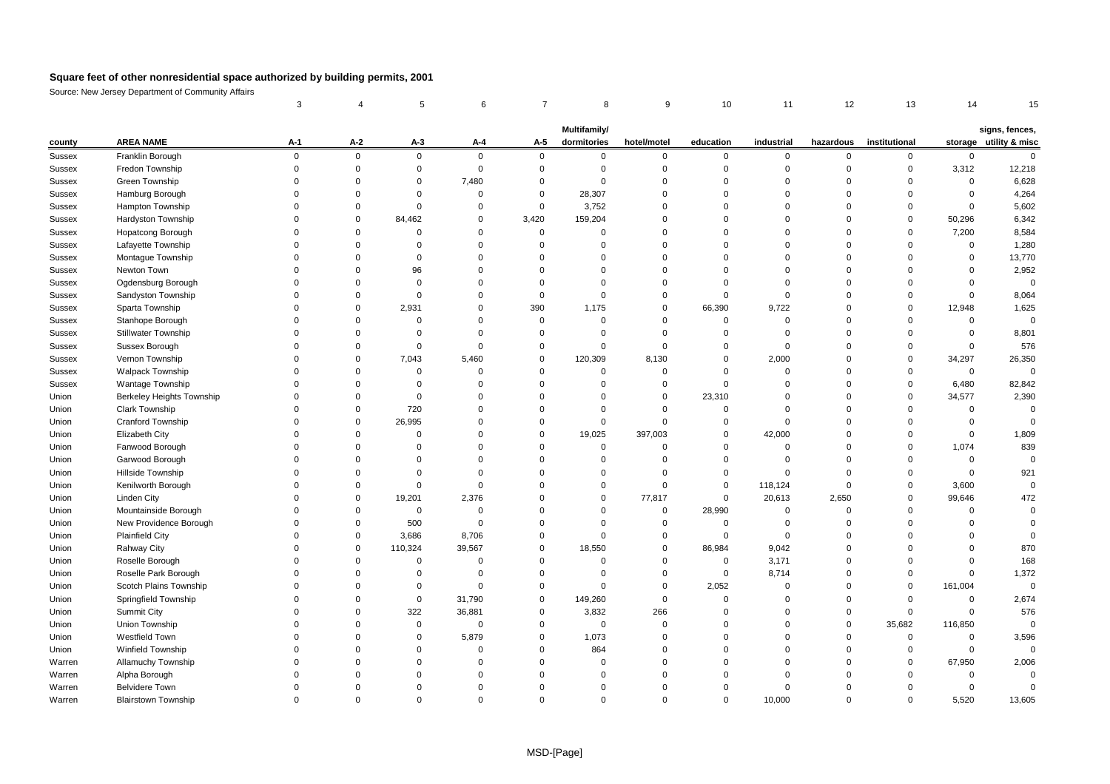|                  |                                     | 3           | 4                    | 5           | 6                       | 7           | 8                           | 9                          | 10                      | 11            | 12                      | 13                   | 14          | 15                                       |
|------------------|-------------------------------------|-------------|----------------------|-------------|-------------------------|-------------|-----------------------------|----------------------------|-------------------------|---------------|-------------------------|----------------------|-------------|------------------------------------------|
|                  |                                     |             |                      |             |                         |             |                             |                            |                         |               |                         |                      |             |                                          |
|                  | <b>AREA NAME</b>                    | $A-1$       | $A-2$                | $A-3$       | $A - 4$                 | A-5         | Multifamily/<br>dormitories | hotel/motel                | education               | industrial    | hazardous               | institutional        |             | signs, fences,<br>storage utility & misc |
| county           |                                     | $\mathbf 0$ | $\mathbf 0$          | $\mathbf 0$ | $\mathbf 0$             | $\mathbf 0$ | $\mathbf 0$                 |                            |                         |               |                         |                      | $\mathbf 0$ | $\mathbf 0$                              |
| Sussex<br>Sussex | Franklin Borough<br>Fredon Township | $\Omega$    | $\Omega$             | $\mathbf 0$ | $\overline{0}$          | $\Omega$    | $\Omega$                    | 0<br>$\mathbf 0$           | 0<br>$\mathbf 0$        | 0<br>$\Omega$ | 0<br>$\mathbf 0$        | 0<br>$\Omega$        | 3,312       | 12,218                                   |
|                  |                                     | $\Omega$    | $\Omega$             | $\mathbf 0$ |                         | $\Omega$    | $\Omega$                    |                            |                         | $\Omega$      |                         | $\Omega$             | $\Omega$    |                                          |
| Sussex           | Green Township                      | $\Omega$    | $\Omega$             | $\mathbf 0$ | 7,480<br>$\overline{0}$ | $\Omega$    |                             | $\mathbf 0$<br>$\mathbf 0$ | $\mathbf 0$<br>$\Omega$ | $\Omega$      | $\mathbf 0$<br>$\Omega$ | $\Omega$             | $\mathbf 0$ | 6,628                                    |
| Sussex           | Hamburg Borough                     |             |                      |             |                         |             | 28,307                      |                            |                         |               |                         |                      |             | 4,264                                    |
| Sussex           | Hampton Township                    | $\Omega$    | 0                    | $\mathbf 0$ | $\mathbf 0$             | 0           | 3,752                       | $\Omega$                   | $\mathbf 0$             | $\Omega$      | $\Omega$                | $\Omega$             | $\Omega$    | 5,602                                    |
| Sussex           | Hardyston Township                  | $\Omega$    | $\Omega$             | 84,462      | $\mathbf 0$             | 3,420       | 159,204                     | $\Omega$                   | $\Omega$                | $\Omega$      | $\Omega$                | $\Omega$             | 50,296      | 6,342                                    |
| Sussex           | Hopatcong Borough                   | $\Omega$    | $\Omega$             | $\mathbf 0$ | $\mathbf 0$             | 0           | 0                           | $\Omega$                   | $\mathbf 0$             | $\Omega$      | $\Omega$                | $\mathbf 0$          | 7,200       | 8,584                                    |
| Sussex           | Lafayette Township                  | $\Omega$    | $\Omega$             | $\mathbf 0$ | $\overline{0}$          | $\Omega$    | $\Omega$                    | $\mathbf 0$                | $\Omega$                | $\Omega$      | $\Omega$                | $\Omega$             | $\Omega$    | 1,280                                    |
| Sussex           | Montague Township                   | $\Omega$    | $\Omega$             | $\mathbf 0$ | $\mathbf 0$             | $\Omega$    | $\Omega$                    | $\mathbf 0$                | $\mathbf 0$             | $\Omega$      | $\Omega$                | $\Omega$             | $\Omega$    | 13,770                                   |
| Sussex           | Newton Town                         |             | $\Omega$             | 96          | $\Omega$                | $\Omega$    | $\Omega$                    | $\Omega$                   | $\Omega$                | $\Omega$      | $\Omega$                | $\Omega$             | $\Omega$    | 2,952                                    |
| Sussex           | Ogdensburg Borough                  | $\Omega$    | $\Omega$             | $\mathbf 0$ | $\Omega$                | $\Omega$    | $\Omega$                    | $\Omega$                   | $\mathbf 0$             | $\Omega$      | $\Omega$                | $\Omega$             | $\mathbf 0$ | $\overline{0}$                           |
| <b>Sussex</b>    | Sandyston Township                  |             | $\Omega$             | $\mathbf 0$ | $\overline{0}$          | $\mathbf 0$ | $\Omega$                    | $\mathbf 0$                | $\mathbf 0$             | $\Omega$      | $\Omega$                | $\Omega$             | $\mathbf 0$ | 8,064                                    |
| Sussex           | Sparta Township                     | $\Omega$    | $\Omega$             | 2,931       | $\mathbf 0$             | 390         | 1,175                       | $\mathbf 0$                | 66,390                  | 9,722         | $\Omega$                | $\Omega$             | 12,948      | 1,625                                    |
| Sussex           | Stanhope Borough                    | $\Omega$    | $\Omega$             | $\mathbf 0$ | $\Omega$                | $\mathbf 0$ | $\Omega$                    | $\mathbf 0$                | $\mathbf 0$             | $\Omega$      | $\Omega$                | $\Omega$             | $\Omega$    | $\overline{0}$                           |
| Sussex           | <b>Stillwater Township</b>          | $\Omega$    | $\Omega$             | 0           | $\mathbf 0$             | $\Omega$    | $\mathbf 0$                 | $\mathbf 0$                | $\mathbf 0$             | $\mathbf 0$   | $\Omega$                | $\Omega$             | $\mathbf 0$ | 8,801                                    |
| Sussex           | Sussex Borough                      |             | $\Omega$             | $\mathbf 0$ | $\mathbf 0$             | $\Omega$    | $\Omega$                    | $\mathbf 0$                | $\Omega$                | $\Omega$      | $\Omega$                | $\Omega$             | $\Omega$    | 576                                      |
| Sussex           | Vernon Township                     |             | $\Omega$             | 7,043       | 5,460                   | $\Omega$    | 120,309                     | 8,130                      | $\mathbf 0$             | 2,000         | $\Omega$                | $\Omega$             | 34,297      | 26,350                                   |
| Sussex           | <b>Walpack Township</b>             | $\Omega$    | $\Omega$             | $\mathbf 0$ | $\overline{0}$          | $\Omega$    | $\Omega$                    | $\mathbf 0$                | $\Omega$                | $\Omega$      | $\Omega$                | $\Omega$             | $\mathbf 0$ | $\Omega$                                 |
| <b>Sussex</b>    | <b>Wantage Township</b>             |             | $\Omega$             | $\mathbf 0$ | $\mathbf 0$             | $\Omega$    | $\mathbf 0$                 | 0                          | $\mathbf 0$             | $\Omega$      | $\Omega$                | $\Omega$             | 6,480       | 82,842                                   |
| Union            | <b>Berkeley Heights Township</b>    |             | $\Omega$             | $\mathbf 0$ | $\overline{0}$          | $\Omega$    | $\Omega$                    | $\mathbf 0$                | 23,310                  | $\Omega$      | $\Omega$                | $\Omega$             | 34,577      | 2,390                                    |
| Union            | Clark Township                      | $\Omega$    | $\Omega$             | 720         | $\mathbf 0$             | $\Omega$    | $\Omega$                    | 0                          | $\mathbf 0$             | $\Omega$      | $\Omega$                | $\Omega$             | $\mathbf 0$ | $\Omega$                                 |
| Union            | <b>Cranford Township</b>            | $\Omega$    | $\Omega$             | 26,995      | $\Omega$                | $\Omega$    | $\Omega$                    | $\mathbf 0$                | $\mathbf 0$             | $\Omega$      | $\Omega$                | $\Omega$             | $\Omega$    | $\Omega$                                 |
| Union            | Elizabeth City                      | $\Omega$    | $\Omega$             | 0           | $\mathbf 0$             | $\Omega$    | 19,025                      | 397,003                    | $\mathbf 0$             | 42,000        | $\Omega$                | $\Omega$             | $\Omega$    | 1,809                                    |
| Union            | Fanwood Borough                     |             | $\Omega$             | $\Omega$    | $\Omega$                | $\Omega$    | $\Omega$                    | $\mathbf 0$                | $\Omega$                | $\Omega$      | $\Omega$                | $\Omega$             | 1,074       | 839                                      |
| Union            | Garwood Borough                     | $\Omega$    | $\Omega$             | $\Omega$    | $\overline{0}$          | $\Omega$    | $\Omega$                    | $\mathbf 0$                | $\mathbf 0$             | $\Omega$      | $\Omega$                | $\Omega$             | $\mathbf 0$ | $\overline{0}$                           |
| Union            | Hillside Township                   | $\Omega$    | $\Omega$             | $\mathbf 0$ | $\overline{0}$          | $\Omega$    | $\Omega$                    | $\mathbf 0$                | $\mathbf 0$             | $\Omega$      | $\Omega$                | $\Omega$             | $\Omega$    | 921                                      |
| Union            | Kenilworth Borough                  | $\Omega$    | $\Omega$             | $\mathbf 0$ | $\mathbf 0$             | $\Omega$    | $\mathbf 0$                 | $\mathbf 0$                | $\mathbf 0$             | 118,124       | $\mathbf 0$             | $\Omega$             | 3,600       | $\overline{0}$                           |
| Union            | <b>Linden City</b>                  |             | $\Omega$             | 19,201      | 2,376                   | $\Omega$    | $\Omega$                    | 77,817                     | $\mathbf 0$             | 20,613        | 2,650                   | $\Omega$             | 99,646      | 472                                      |
| Union            | Mountainside Borough                | $\Omega$    | $\Omega$             | $\mathbf 0$ | $\mathbf 0$             | $\Omega$    | $\mathbf 0$                 | $\mathbf 0$                | 28,990                  | $\mathbf 0$   | $\mathbf 0$             | $\mathbf 0$          | $\mathbf 0$ | $\overline{0}$                           |
| Union            | New Providence Borough              | $\Omega$    | $\Omega$             | 500         | $\mathbf 0$             | $\Omega$    | $\Omega$                    | $\mathbf 0$                | $\mathbf 0$             | $\Omega$      | $\Omega$                | $\Omega$             | $\Omega$    | $\Omega$                                 |
| Union            | <b>Plainfield City</b>              |             | $\Omega$             | 3,686       | 8,706                   | $\Omega$    | $\Omega$                    | $\mathbf 0$                | $\mathbf 0$             | $\Omega$      | $\Omega$                | $\Omega$             | $\Omega$    | $\Omega$                                 |
| Union            | Rahway City                         | $\Omega$    | $\Omega$             | 110,324     | 39,567                  | $\Omega$    | 18,550                      | $\mathbf 0$                | 86,984                  | 9,042         | $\Omega$                | 0                    | $\Omega$    | 870                                      |
| Union            | Roselle Borough                     | $\Omega$    | 0                    | 0           | $\mathbf 0$             | $\Omega$    | $\Omega$                    | 0                          | 0                       | 3,171         | $\Omega$                | $\Omega$             | $\Omega$    | 168                                      |
| Union            | Roselle Park Borough                | $\Omega$    | $\Omega$             | $\mathbf 0$ | $\mathbf 0$             | $\Omega$    | $\Omega$                    | $\mathbf 0$                | $\mathbf 0$             | 8,714         | $\Omega$                | $\Omega$             | $\Omega$    | 1,372                                    |
| Union            | Scotch Plains Township              |             | $\Omega$             | $\mathbf 0$ | $\mathbf 0$             | $\Omega$    | $\Omega$                    | $\mathbf 0$                | 2,052                   | $\mathbf 0$   | $\mathbf 0$             | $\Omega$             | 161,004     | $\overline{0}$                           |
| Union            | Springfield Township                | $\Omega$    | $\Omega$             | $\mathbf 0$ | 31,790                  | $\Omega$    | 149,260                     | $\mathbf 0$                | $\mathbf 0$             | $\Omega$      | $\Omega$                | $\Omega$             | $\mathbf 0$ | 2,674                                    |
| Union            | <b>Summit City</b>                  | $\Omega$    | 0                    | 322         | 36,881                  | $\Omega$    | 3,832                       | 266                        | $\Omega$                | $\Omega$      | $\mathbf 0$             | 0                    | $\Omega$    | 576                                      |
| Union            | Union Township                      |             | $\Omega$             | $\mathbf 0$ | $\mathbf 0$             | $\Omega$    | $\mathbf 0$                 | $\mathbf 0$                | $\Omega$                | $\Omega$      | $\Omega$                | 35,682               | 116,850     | $\overline{0}$                           |
|                  | Westfield Town                      |             | $\Omega$             | $\mathbf 0$ | 5,879                   | $\Omega$    | 1,073                       | $\Omega$                   | $\mathbf 0$             | $\Omega$      | $\Omega$                | $\mathbf 0$          | $\Omega$    | 3,596                                    |
| Union            | <b>Winfield Township</b>            |             | $\Omega$             | $\Omega$    | $\overline{0}$          | $\Omega$    | 864                         | $\Omega$                   | $\Omega$                | $\Omega$      | $\Omega$                | $\Omega$             | $\Omega$    | $\Omega$                                 |
| Union            |                                     | $\Omega$    | $\Omega$             | $\mathbf 0$ |                         | $\Omega$    | $\Omega$                    | $\Omega$                   | $\mathbf 0$             | $\Omega$      | $\Omega$                | $\Omega$             | 67,950      |                                          |
| Warren           | Allamuchy Township                  |             | $\Omega$             | $\Omega$    | $\mathbf 0$<br>$\Omega$ | $\Omega$    | $\Omega$                    | $\Omega$                   | $\mathbf 0$             | $\Omega$      | $\Omega$                | $\Omega$             | $\Omega$    | 2,006<br>$\Omega$                        |
| Warren           | Alpha Borough                       |             |                      | $\Omega$    | $\Omega$                | $\Omega$    |                             | $\Omega$                   |                         |               | $\Omega$                |                      |             |                                          |
| Warren           | <b>Belvidere Town</b>               |             | $\Omega$<br>$\Omega$ |             | $\Omega$                | $\Omega$    | 0<br>$\Omega$               |                            | $\mathbf 0$             | $\Omega$      | $\Omega$                | $\Omega$<br>$\Omega$ | $\mathbf 0$ | $\overline{0}$                           |
| Warren           | <b>Blairstown Township</b>          |             |                      | $\Omega$    |                         |             |                             | $\Omega$                   | $\Omega$                | 10.000        |                         |                      | 5.520       | 13,605                                   |